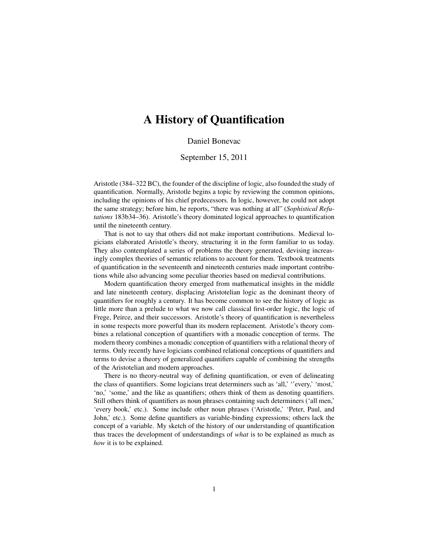# A History of Quantification

Daniel Bonevac

September 15, 2011

Aristotle (384–322 BC), the founder of the discipline of logic, also founded the study of quantification. Normally, Aristotle begins a topic by reviewing the common opinions, including the opinions of his chief predecessors. In logic, however, he could not adopt the same strategy; before him, he reports, "there was nothing at all" (*Sophistical Refutations* 183b34–36). Aristotle's theory dominated logical approaches to quantification until the nineteenth century.

That is not to say that others did not make important contributions. Medieval logicians elaborated Aristotle's theory, structuring it in the form familiar to us today. They also contemplated a series of problems the theory generated, devising increasingly complex theories of semantic relations to account for them. Textbook treatments of quantification in the seventeenth and nineteenth centuries made important contributions while also advancing some peculiar theories based on medieval contributions.

Modern quantification theory emerged from mathematical insights in the middle and late nineteenth century, displacing Aristotelian logic as the dominant theory of quantifiers for roughly a century. It has become common to see the history of logic as little more than a prelude to what we now call classical first-order logic, the logic of Frege, Peirce, and their successors. Aristotle's theory of quantification is nevertheless in some respects more powerful than its modern replacement. Aristotle's theory combines a relational conception of quantifiers with a monadic conception of terms. The modern theory combines a monadic conception of quantifiers with a relational theory of terms. Only recently have logicians combined relational conceptions of quantifiers and terms to devise a theory of generalized quantifiers capable of combining the strengths of the Aristotelian and modern approaches.

There is no theory-neutral way of defining quantification, or even of delineating the class of quantifiers. Some logicians treat determiners such as 'all,' ''every,' 'most,' 'no,' 'some,' and the like as quantifiers; others think of them as denoting quantifiers. Still others think of quantifiers as noun phrases containing such determiners ('all men,' 'every book,' etc.). Some include other noun phrases ('Aristotle,' 'Peter, Paul, and John,' etc.). Some define quantifiers as variable-binding expressions; others lack the concept of a variable. My sketch of the history of our understanding of quantification thus traces the development of understandings of *what* is to be explained as much as *how* it is to be explained.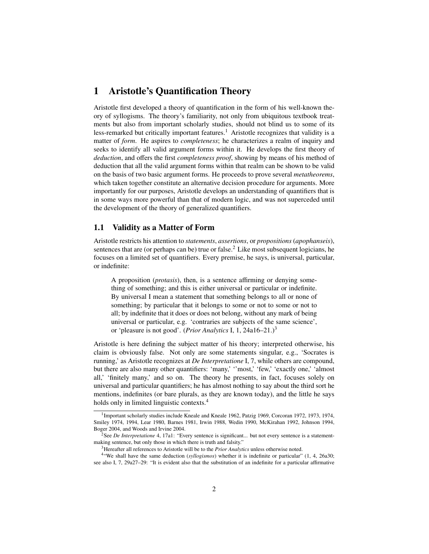# 1 Aristotle's Quantification Theory

Aristotle first developed a theory of quantification in the form of his well-known theory of syllogisms. The theory's familiarity, not only from ubiquitous textbook treatments but also from important scholarly studies, should not blind us to some of its less-remarked but critically important features.<sup>1</sup> Aristotle recognizes that validity is a matter of *form*. He aspires to *completeness*; he characterizes a realm of inquiry and seeks to identify all valid argument forms within it. He develops the first theory of *deduction*, and offers the first *completeness proof*, showing by means of his method of deduction that all the valid argument forms within that realm can be shown to be valid on the basis of two basic argument forms. He proceeds to prove several *metatheorems*, which taken together constitute an alternative decision procedure for arguments. More importantly for our purposes, Aristotle develops an understanding of quantifiers that is in some ways more powerful than that of modern logic, and was not superceded until the development of the theory of generalized quantifiers.

# 1.1 Validity as a Matter of Form

Aristotle restricts his attention to *statements*, *assertions*, or *propositions* (*apophanseis*), sentences that are (or perhaps can be) true or false.<sup>2</sup> Like most subsequent logicians, he focuses on a limited set of quantifiers. Every premise, he says, is universal, particular, or indefinite:

A proposition (*protasis*), then, is a sentence affirming or denying something of something; and this is either universal or particular or indefinite. By universal I mean a statement that something belongs to all or none of something; by particular that it belongs to some or not to some or not to all; by indefinite that it does or does not belong, without any mark of being universal or particular, e.g. 'contraries are subjects of the same science', or 'pleasure is not good'. (*Prior Analytics* I, 1, 24a16–21.)<sup>3</sup>

Aristotle is here defining the subject matter of his theory; interpreted otherwise, his claim is obviously false. Not only are some statements singular, e.g., 'Socrates is running,' as Aristotle recognizes at *De Interpretatione* I, 7, while others are compound, but there are also many other quantifiers: 'many,' ''most,' 'few,' 'exactly one,' 'almost all,' 'finitely many,' and so on. The theory he presents, in fact, focuses solely on universal and particular quantifiers; he has almost nothing to say about the third sort he mentions, indefinites (or bare plurals, as they are known today), and the little he says holds only in limited linguistic contexts.<sup>4</sup>

<sup>&</sup>lt;sup>1</sup>Important scholarly studies include Kneale and Kneale 1962, Patzig 1969, Corcoran 1972, 1973, 1974, Smiley 1974, 1994, Lear 1980, Barnes 1981, Irwin 1988, Wedin 1990, McKirahan 1992, Johnson 1994, Boger 2004, and Woods and Irvine 2004.

<sup>&</sup>lt;sup>2</sup>See *De Interpretatione* 4, 17a1: "Every sentence is significant... but not every sentence is a statementmaking sentence, but only those in which there is truth and falsity."

<sup>3</sup>Hereafter all references to Aristotle will be to the *Prior Analytics* unless otherwise noted.

<sup>4</sup> "We shall have the same deduction (*syllogismos*) whether it is indefinite or particular" (1, 4, 26a30; see also I, 7, 29a27–29: "It is evident also that the substitution of an indefinite for a particular affirmative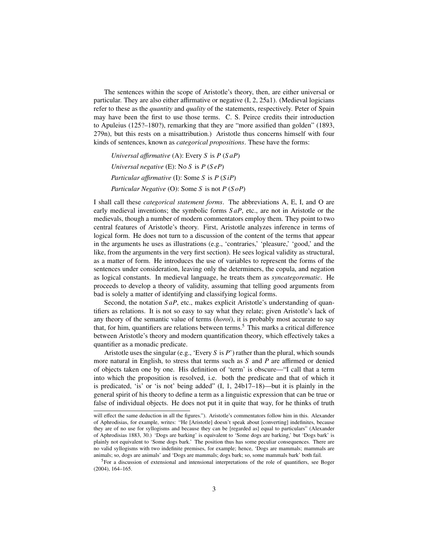The sentences within the scope of Aristotle's theory, then, are either universal or particular. They are also either affirmative or negative (I, 2, 25a1). (Medieval logicians refer to these as the *quantity* and *quality* of the statements, respectively. Peter of Spain may have been the first to use those terms. C. S. Peirce credits their introduction to Apuleius (125?–180?), remarking that they are "more assified than golden" (1893, 279n), but this rests on a misattribution.) Aristotle thus concerns himself with four kinds of sentences, known as *categorical propositions*. These have the forms:

*Universal a*ffi*rmative* (A): Every *S* is *P* (*S aP*) *Universal negative* (E): No *S* is *P* (*S eP*) *Particular a*ffi*rmative* (I): Some *S* is *P* (*S iP*) *Particular Negative* (O): Some *S* is not *P* (*S oP*)

I shall call these *categorical statement forms*. The abbreviations A, E, I, and O are early medieval inventions; the symbolic forms *S aP*, etc., are not in Aristotle or the medievals, though a number of modern commentators employ them. They point to two central features of Aristotle's theory. First, Aristotle analyzes inference in terms of logical form. He does not turn to a discussion of the content of the terms that appear in the arguments he uses as illustrations (e.g., 'contraries,' 'pleasure,' 'good,' and the like, from the arguments in the very first section). He sees logical validity as structural, as a matter of form. He introduces the use of variables to represent the forms of the sentences under consideration, leaving only the determiners, the copula, and negation as logical constants. In medieval language, he treats them as *syncategorematic*. He proceeds to develop a theory of validity, assuming that telling good arguments from bad is solely a matter of identifying and classifying logical forms.

Second, the notation *S aP*, etc., makes explicit Aristotle's understanding of quantifiers as relations. It is not so easy to say what they relate; given Aristotle's lack of any theory of the semantic value of terms (*horoi*), it is probably most accurate to say that, for him, quantifiers are relations between terms.<sup>5</sup> This marks a critical difference between Aristotle's theory and modern quantification theory, which effectively takes a quantifier as a monadic predicate.

Aristotle uses the singular (e.g., 'Every *S* is *P*') rather than the plural, which sounds more natural in English, to stress that terms such as *S* and *P* are affirmed or denied of objects taken one by one. His definition of 'term' is obscure—"I call that a term into which the proposition is resolved, i.e. both the predicate and that of which it is predicated, 'is' or 'is not' being added" (I, 1, 24b17–18)—but it is plainly in the general spirit of his theory to define a term as a linguistic expression that can be true or false of individual objects. He does not put it in quite that way, for he thinks of truth

will effect the same deduction in all the figures."). Aristotle's commentators follow him in this. Alexander of Aphrodisias, for example, writes: "He [Aristotle] doesn't speak about [converting] indefinites, because they are of no use for syllogisms and because they can be [regarded as] equal to particulars" (Alexander of Aphrodisias 1883, 30.) 'Dogs are barking' is equivalent to 'Some dogs are barking,' but 'Dogs bark' is plainly not equivalent to 'Some dogs bark.' The position thus has some peculiar consequences. There are no valid syllogisms with two indefinite premises, for example; hence, 'Dogs are mammals; mammals are animals; so, dogs are animals' and 'Dogs are mammals; dogs bark; so, some mammals bark' both fail.

 ${}^{5}$ For a discussion of extensional and intensional interpretations of the role of quantifiers, see Boger (2004), 164–165.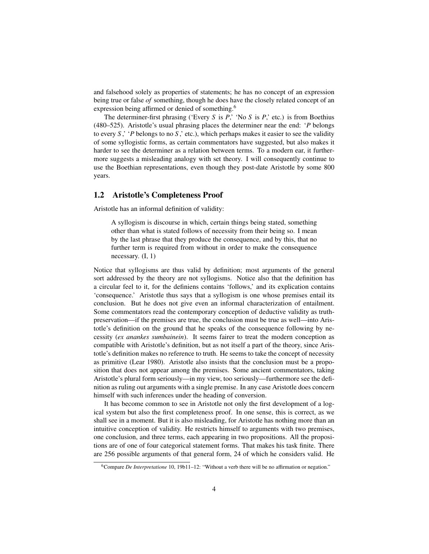and falsehood solely as properties of statements; he has no concept of an expression being true or false *of* something, though he does have the closely related concept of an expression being affirmed or denied of something.<sup>6</sup>

The determiner-first phrasing ('Every *S* is *P*,' 'No *S* is *P*,' etc.) is from Boethius (480–525). Aristotle's usual phrasing places the determiner near the end: '*P* belongs to every *S* ,' '*P* belongs to no *S* ,' etc.), which perhaps makes it easier to see the validity of some syllogistic forms, as certain commentators have suggested, but also makes it harder to see the determiner as a relation between terms. To a modern ear, it furthermore suggests a misleading analogy with set theory. I will consequently continue to use the Boethian representations, even though they post-date Aristotle by some 800 years.

### 1.2 Aristotle's Completeness Proof

Aristotle has an informal definition of validity:

A syllogism is discourse in which, certain things being stated, something other than what is stated follows of necessity from their being so. I mean by the last phrase that they produce the consequence, and by this, that no further term is required from without in order to make the consequence necessary. (I, 1)

Notice that syllogisms are thus valid by definition; most arguments of the general sort addressed by the theory are not syllogisms. Notice also that the definition has a circular feel to it, for the definiens contains 'follows,' and its explication contains 'consequence.' Aristotle thus says that a syllogism is one whose premises entail its conclusion. But he does not give even an informal characterization of entailment. Some commentators read the contemporary conception of deductive validity as truthpreservation—if the premises are true, the conclusion must be true as well—into Aristotle's definition on the ground that he speaks of the consequence following by necessity (*ex anankes sumbainein*). It seems fairer to treat the modern conception as compatible with Aristotle's definition, but as not itself a part of the theory, since Aristotle's definition makes no reference to truth. He seems to take the concept of necessity as primitive (Lear 1980). Aristotle also insists that the conclusion must be a proposition that does not appear among the premises. Some ancient commentators, taking Aristotle's plural form seriously—in my view, too seriously—furthermore see the definition as ruling out arguments with a single premise. In any case Aristotle does concern himself with such inferences under the heading of conversion.

It has become common to see in Aristotle not only the first development of a logical system but also the first completeness proof. In one sense, this is correct, as we shall see in a moment. But it is also misleading, for Aristotle has nothing more than an intuitive conception of validity. He restricts himself to arguments with two premises, one conclusion, and three terms, each appearing in two propositions. All the propositions are of one of four categorical statement forms. That makes his task finite. There are 256 possible arguments of that general form, 24 of which he considers valid. He

<sup>6</sup>Compare *De Interpretatione* 10, 19b11–12: "Without a verb there will be no affirmation or negation."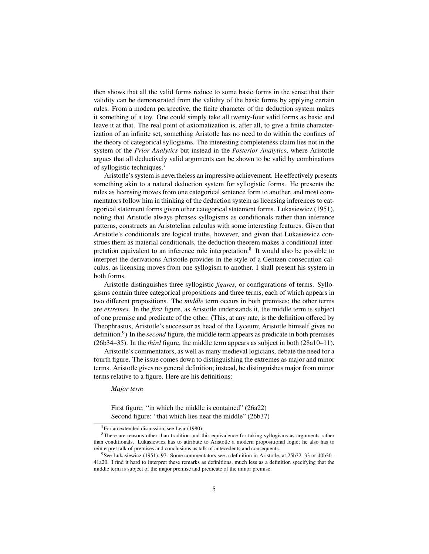then shows that all the valid forms reduce to some basic forms in the sense that their validity can be demonstrated from the validity of the basic forms by applying certain rules. From a modern perspective, the finite character of the deduction system makes it something of a toy. One could simply take all twenty-four valid forms as basic and leave it at that. The real point of axiomatization is, after all, to give a finite characterization of an infinite set, something Aristotle has no need to do within the confines of the theory of categorical syllogisms. The interesting completeness claim lies not in the system of the *Prior Analytics* but instead in the *Posterior Analytics*, where Aristotle argues that all deductively valid arguments can be shown to be valid by combinations of syllogistic techniques.<sup>7</sup>

Aristotle's system is nevertheless an impressive achievement. He effectively presents something akin to a natural deduction system for syllogistic forms. He presents the rules as licensing moves from one categorical sentence form to another, and most commentators follow him in thinking of the deduction system as licensing inferences to categorical statement forms given other categorical statement forms. Lukasiewicz (1951), noting that Aristotle always phrases syllogisms as conditionals rather than inference patterns, constructs an Aristotelian calculus with some interesting features. Given that Aristotle's conditionals are logical truths, however, and given that Lukasiewicz construes them as material conditionals, the deduction theorem makes a conditional interpretation equivalent to an inference rule interpretation.<sup>8</sup> It would also be possible to interpret the derivations Aristotle provides in the style of a Gentzen consecution calculus, as licensing moves from one syllogism to another. I shall present his system in both forms.

Aristotle distinguishes three syllogistic *figures*, or configurations of terms. Syllogisms contain three categorical propositions and three terms, each of which appears in two different propositions. The *middle* term occurs in both premises; the other terms are *extremes*. In the *first* figure, as Aristotle understands it, the middle term is subject of one premise and predicate of the other. (This, at any rate, is the definition offered by Theophrastus, Aristotle's successor as head of the Lyceum; Aristotle himself gives no definition.<sup>9</sup>) In the *second* figure, the middle term appears as predicate in both premises (26b34–35). In the *third* figure, the middle term appears as subject in both (28a10–11).

Aristotle's commentators, as well as many medieval logicians, debate the need for a fourth figure. The issue comes down to distinguishing the extremes as major and minor terms. Aristotle gives no general definition; instead, he distinguishes major from minor terms relative to a figure. Here are his definitions:

*Major term*

First figure: "in which the middle is contained" (26a22) Second figure: "that which lies near the middle" (26b37)

 $7$ For an extended discussion, see Lear (1980).

<sup>&</sup>lt;sup>8</sup>There are reasons other than tradition and this equivalence for taking syllogisms as arguments rather than conditionals. Lukasiewicz has to attribute to Aristotle a modern propositional logic; he also has to reinterpret talk of premises and conclusions as talk of antecedents and consequents.

 $9$ See Lukasiewicz (1951), 97. Some commentators see a definition in Aristotle, at 25b32–33 or 40b30– 41a20. I find it hard to interpret these remarks as definitions, much less as a definition specifying that the middle term is subject of the major premise and predicate of the minor premise.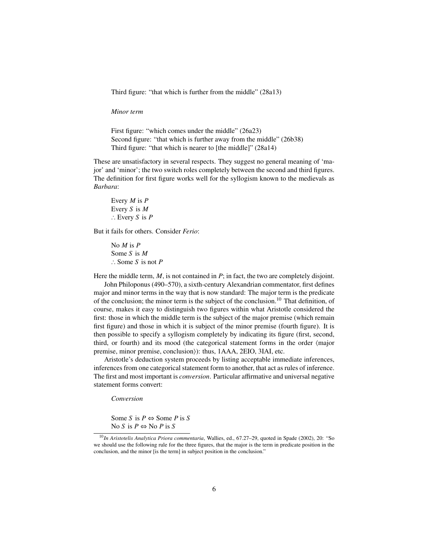Third figure: "that which is further from the middle" (28a13)

*Minor term*

First figure: "which comes under the middle" (26a23) Second figure: "that which is further away from the middle" (26b38) Third figure: "that which is nearer to [the middle]" (28a14)

These are unsatisfactory in several respects. They suggest no general meaning of 'major' and 'minor'; the two switch roles completely between the second and third figures. The definition for first figure works well for the syllogism known to the medievals as *Barbara*:

Every *M* is *P* Every *S* is *M* ∴ Every *S* is *P*

But it fails for others. Consider *Ferio*:

No *M* is *P* Some *S* is *M* ∴ Some *S* is not *P*

Here the middle term, *M*, is not contained in *P*; in fact, the two are completely disjoint.

John Philoponus (490–570), a sixth-century Alexandrian commentator, first defines major and minor terms in the way that is now standard: The major term is the predicate of the conclusion; the minor term is the subject of the conclusion.<sup>10</sup> That definition, of course, makes it easy to distinguish two figures within what Aristotle considered the first: those in which the middle term is the subject of the major premise (which remain first figure) and those in which it is subject of the minor premise (fourth figure). It is then possible to specify a syllogism completely by indicating its figure (first, second, third, or fourth) and its mood (the categorical statement forms in the order  $\langle$  major premise, minor premise, conclusion)): thus, 1AAA, 2EIO, 3IAI, etc.

Aristotle's deduction system proceeds by listing acceptable immediate inferences, inferences from one categorical statement form to another, that act as rules of inference. The first and most important is *conversion*. Particular affirmative and universal negative statement forms convert:

*Conversion*

Some *S* is  $P \Leftrightarrow$  Some *P* is *S* No *S* is  $P \Leftrightarrow$  No *P* is *S* 

<sup>10</sup>*In Aristotelis Analytica Priora commentaria*, Wallies, ed., 67.27–29, quoted in Spade (2002), 20: "So we should use the following rule for the three figures, that the major is the term in predicate position in the conclusion, and the minor [is the term] in subject position in the conclusion."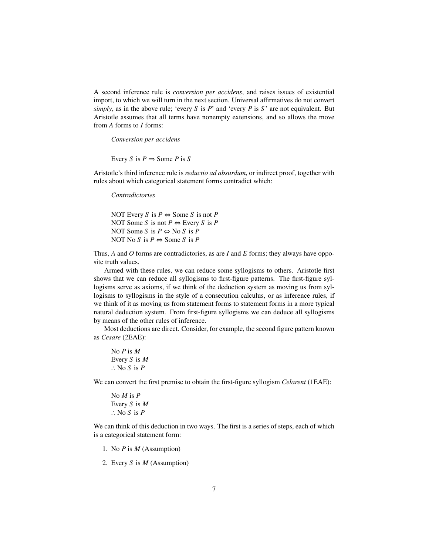A second inference rule is *conversion per accidens*, and raises issues of existential import, to which we will turn in the next section. Universal affirmatives do not convert *simply*, as in the above rule; 'every *S* is *P*' and 'every *P* is *S*' are not equivalent. But Aristotle assumes that all terms have nonempty extensions, and so allows the move from *A* forms to *I* forms:

*Conversion per accidens*

Every *S* is  $P \Rightarrow$  Some *P* is *S* 

Aristotle's third inference rule is *reductio ad absurdum*, or indirect proof, together with rules about which categorical statement forms contradict which:

*Contradictories*

NOT Every *S* is  $P \Leftrightarrow$  Some *S* is not *P* NOT Some *S* is not  $P \Leftrightarrow$  Every *S* is *P* NOT Some *S* is  $P \Leftrightarrow$  No *S* is *P* NOT No *S* is  $P \Leftrightarrow$  Some *S* is *P* 

Thus, *A* and *O* forms are contradictories, as are *I* and *E* forms; they always have opposite truth values.

Armed with these rules, we can reduce some syllogisms to others. Aristotle first shows that we can reduce all syllogisms to first-figure patterns. The first-figure syllogisms serve as axioms, if we think of the deduction system as moving us from syllogisms to syllogisms in the style of a consecution calculus, or as inference rules, if we think of it as moving us from statement forms to statement forms in a more typical natural deduction system. From first-figure syllogisms we can deduce all syllogisms by means of the other rules of inference.

Most deductions are direct. Consider, for example, the second figure pattern known as *Cesare* (2EAE):

No *P* is *M* Every *S* is *M* ∴ No *S* is *P*

We can convert the first premise to obtain the first-figure syllogism *Celarent* (1EAE):

No *M* is *P* Every *S* is *M* ∴ No *S* is *P*

We can think of this deduction in two ways. The first is a series of steps, each of which is a categorical statement form:

1. No *P* is *M* (Assumption)

2. Every *S* is *M* (Assumption)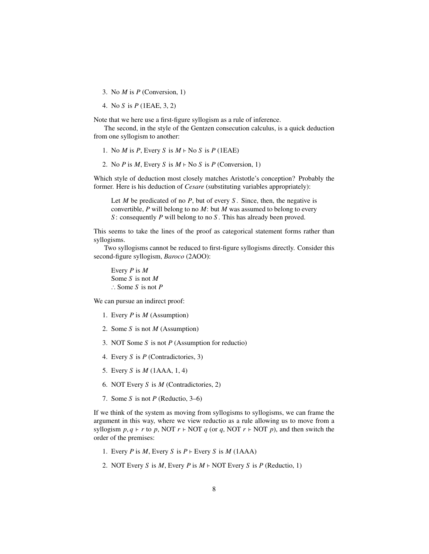- 3. No *M* is *P* (Conversion, 1)
- 4. No *S* is *P* (1EAE, 3, 2)

Note that we here use a first-figure syllogism as a rule of inference.

The second, in the style of the Gentzen consecution calculus, is a quick deduction from one syllogism to another:

- 1. No *M* is *P*, Every *S* is  $M \vdash$  No *S* is *P* (1EAE)
- 2. No *P* is *M*, Every *S* is  $M \vdash$  No *S* is *P* (Conversion, 1)

Which style of deduction most closely matches Aristotle's conception? Probably the former. Here is his deduction of *Cesare* (substituting variables appropriately):

Let *M* be predicated of no *P*, but of every *S*. Since, then, the negative is convertible, *P* will belong to no *M*: but *M* was assumed to belong to every *S* : consequently *P* will belong to no *S* . This has already been proved.

This seems to take the lines of the proof as categorical statement forms rather than syllogisms.

Two syllogisms cannot be reduced to first-figure syllogisms directly. Consider this second-figure syllogism, *Baroco* (2AOO):

Every *P* is *M* Some *S* is not *M* ∴ Some *S* is not *P*

We can pursue an indirect proof:

- 1. Every *P* is *M* (Assumption)
- 2. Some *S* is not *M* (Assumption)
- 3. NOT Some *S* is not *P* (Assumption for reductio)
- 4. Every *S* is *P* (Contradictories, 3)
- 5. Every *S* is *M* (1AAA, 1, 4)
- 6. NOT Every *S* is *M* (Contradictories, 2)
- 7. Some *S* is not *P* (Reductio, 3–6)

If we think of the system as moving from syllogisms to syllogisms, we can frame the argument in this way, where we view reductio as a rule allowing us to move from a syllogism  $p, q \in r$  to  $p$ , NOT  $r \in \text{NOT } q$  (or  $q$ , NOT  $r \in \text{NOT } p$ ), and then switch the order of the premises:

- 1. Every *P* is *M*, Every *S* is  $P \vdash$  Every *S* is *M* (1AAA)
- 2. NOT Every *S* is *M*, Every *P* is  $M \text{ }\vdash$  NOT Every *S* is *P* (Reductio, 1)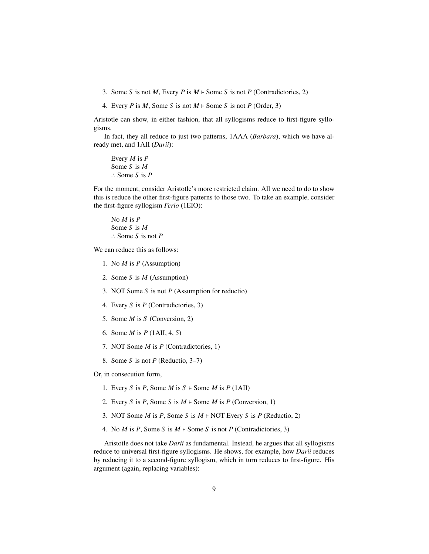3. Some *S* is not *M*, Every *P* is  $M \vdash$  Some *S* is not *P* (Contradictories, 2)

4. Every *P* is *M*, Some *S* is not  $M \vdash$  Some *S* is not *P* (Order, 3)

Aristotle can show, in either fashion, that all syllogisms reduce to first-figure syllogisms.

In fact, they all reduce to just two patterns, 1AAA (*Barbara*), which we have already met, and 1AII (*Darii*):

Every *M* is *P* Some *S* is *M* ∴ Some *S* is *P*

For the moment, consider Aristotle's more restricted claim. All we need to do to show this is reduce the other first-figure patterns to those two. To take an example, consider the first-figure syllogism *Ferio* (1EIO):

No *M* is *P* Some *S* is *M* ∴ Some *S* is not *P*

We can reduce this as follows:

1. No *M* is *P* (Assumption)

2. Some *S* is *M* (Assumption)

3. NOT Some *S* is not *P* (Assumption for reductio)

4. Every *S* is *P* (Contradictories, 3)

5. Some *M* is *S* (Conversion, 2)

6. Some *M* is *P* (1AII, 4, 5)

7. NOT Some *M* is *P* (Contradictories, 1)

8. Some *S* is not *P* (Reductio, 3–7)

Or, in consecution form,

- 1. Every *S* is *P*, Some *M* is  $S \text{ }\vdash$  Some *M* is *P* (1AII)
- 2. Every *S* is *P*, Some *S* is  $M \rhd$  Some *M* is *P* (Conversion, 1)
- 3. NOT Some *M* is *P*, Some *S* is  $M \vdash$  NOT Every *S* is *P* (Reductio, 2)
- 4. No *M* is *P*, Some *S* is  $M \rhd$  Some *S* is not *P* (Contradictories, 3)

Aristotle does not take *Darii* as fundamental. Instead, he argues that all syllogisms reduce to universal first-figure syllogisms. He shows, for example, how *Darii* reduces by reducing it to a second-figure syllogism, which in turn reduces to first-figure. His argument (again, replacing variables):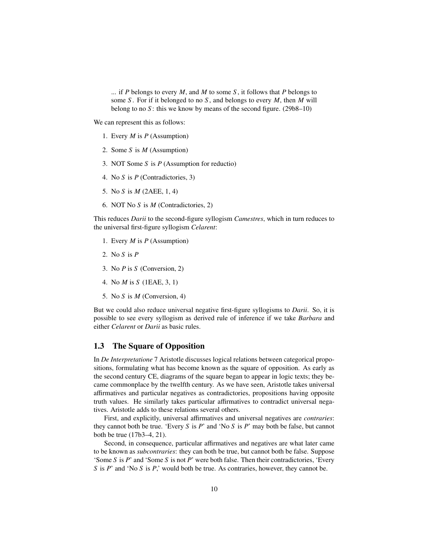... if *P* belongs to every *M*, and *M* to some *S* , it follows that *P* belongs to some *S* . For if it belonged to no *S* , and belongs to every *M*, then *M* will belong to no  $S$ : this we know by means of the second figure. (29b8–10)

We can represent this as follows:

- 1. Every *M* is *P* (Assumption)
- 2. Some *S* is *M* (Assumption)
- 3. NOT Some *S* is *P* (Assumption for reductio)
- 4. No *S* is *P* (Contradictories, 3)
- 5. No *S* is *M* (2AEE, 1, 4)
- 6. NOT No *S* is *M* (Contradictories, 2)

This reduces *Darii* to the second-figure syllogism *Camestres*, which in turn reduces to the universal first-figure syllogism *Celarent*:

- 1. Every *M* is *P* (Assumption)
- 2. No *S* is *P*
- 3. No *P* is *S* (Conversion, 2)
- 4. No *M* is *S* (1EAE, 3, 1)
- 5. No *S* is *M* (Conversion, 4)

But we could also reduce universal negative first-figure syllogisms to *Darii*. So, it is possible to see every syllogism as derived rule of inference if we take *Barbara* and either *Celarent* or *Darii* as basic rules.

# 1.3 The Square of Opposition

In *De Interpretatione* 7 Aristotle discusses logical relations between categorical propositions, formulating what has become known as the square of opposition. As early as the second century CE, diagrams of the square began to appear in logic texts; they became commonplace by the twelfth century. As we have seen, Aristotle takes universal affirmatives and particular negatives as contradictories, propositions having opposite truth values. He similarly takes particular affirmatives to contradict universal negatives. Aristotle adds to these relations several others.

First, and explicitly, universal affirmatives and universal negatives are *contraries*: they cannot both be true. 'Every *S* is *P*' and 'No *S* is *P*' may both be false, but cannot both be true (17b3–4, 21).

Second, in consequence, particular affirmatives and negatives are what later came to be known as *subcontraries*: they can both be true, but cannot both be false. Suppose 'Some *S* is *P*' and 'Some *S* is not *P*' were both false. Then their contradictories, 'Every *S* is *P*' and 'No *S* is *P*,' would both be true. As contraries, however, they cannot be.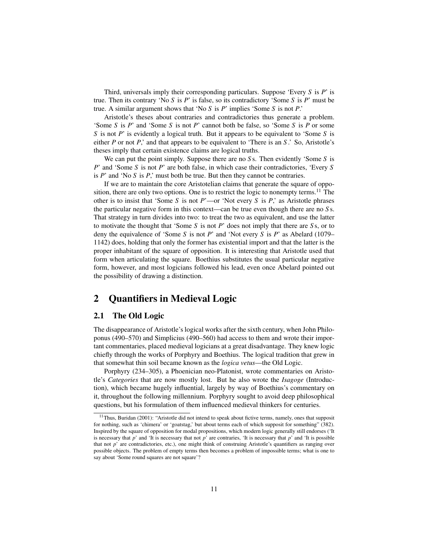Third, universals imply their corresponding particulars. Suppose 'Every *S* is *P*' is true. Then its contrary 'No *S* is *P*' is false, so its contradictory 'Some *S* is *P*' must be true. A similar argument shows that 'No *S* is *P*' implies 'Some *S* is not *P*.'

Aristotle's theses about contraries and contradictories thus generate a problem. 'Some *S* is *P*' and 'Some *S* is not *P*' cannot both be false, so 'Some *S* is *P* or some *S* is not *P*' is evidently a logical truth. But it appears to be equivalent to 'Some *S* is either *P* or not *P*,' and that appears to be equivalent to 'There is an *S*.' So, Aristotle's theses imply that certain existence claims are logical truths.

We can put the point simply. Suppose there are no *S* s. Then evidently 'Some *S* is *P*' and 'Some *S* is not *P*' are both false, in which case their contradictories, 'Every *S* is *P*' and 'No *S* is *P*,' must both be true. But then they cannot be contraries.

If we are to maintain the core Aristotelian claims that generate the square of opposition, there are only two options. One is to restrict the logic to nonempty terms.<sup>11</sup> The other is to insist that 'Some *S* is not *P*'—or 'Not every *S* is *P*,' as Aristotle phrases the particular negative form in this context—can be true even though there are no *S* s. That strategy in turn divides into two: to treat the two as equivalent, and use the latter to motivate the thought that 'Some *S* is not *P*' does not imply that there are *S* s, or to deny the equivalence of 'Some *S* is not *P*' and 'Not every *S* is *P*' as Abelard (1079– 1142) does, holding that only the former has existential import and that the latter is the proper inhabitant of the square of opposition. It is interesting that Aristotle used that form when articulating the square. Boethius substitutes the usual particular negative form, however, and most logicians followed his lead, even once Abelard pointed out the possibility of drawing a distinction.

# 2 Quantifiers in Medieval Logic

# 2.1 The Old Logic

The disappearance of Aristotle's logical works after the sixth century, when John Philoponus (490–570) and Simplicius (490–560) had access to them and wrote their important commentaries, placed medieval logicians at a great disadvantage. They knew logic chiefly through the works of Porphyry and Boethius. The logical tradition that grew in that somewhat thin soil became known as the *logica vetus*—the Old Logic.

Porphyry (234–305), a Phoenician neo-Platonist, wrote commentaries on Aristotle's *Categories* that are now mostly lost. But he also wrote the *Isagoge* (Introduction), which became hugely influential, largely by way of Boethius's commentary on it, throughout the following millennium. Porphyry sought to avoid deep philosophical questions, but his formulation of them influenced medieval thinkers for centuries.

<sup>&</sup>lt;sup>11</sup>Thus, Buridan (2001): "Aristotle did not intend to speak about fictive terms, namely, ones that supposit for nothing, such as 'chimera' or 'goatstag,' but about terms each of which supposit for something" (382). Inspired by the square of opposition for modal propositions, which modern logic generally still endorses ('It is necessary that  $p'$  and 'It is necessary that not  $p'$  are contraries, 'It is necessary that  $p'$  and 'It is possible that not *p*' are contradictories, etc.), one might think of construing Aristotle's quantifiers as ranging over possible objects. The problem of empty terms then becomes a problem of impossible terms; what is one to say about 'Some round squares are not square'?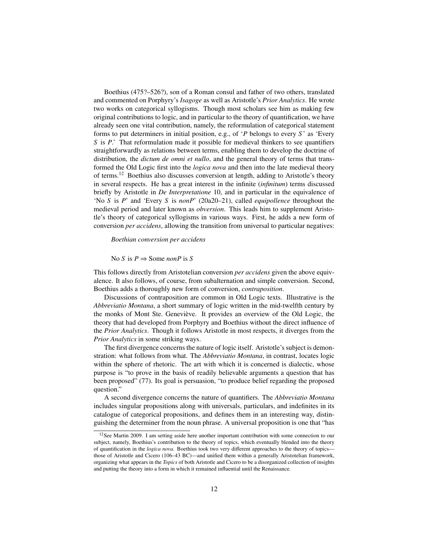Boethius (475?–526?), son of a Roman consul and father of two others, translated and commented on Porphyry's *Isagoge* as well as Aristotle's *Prior Analytics*. He wrote two works on categorical syllogisms. Though most scholars see him as making few original contributions to logic, and in particular to the theory of quantification, we have already seen one vital contribution, namely, the reformulation of categorical statement forms to put determiners in initial position, e.g., of '*P* belongs to every *S* ' as 'Every *S* is *P*.' That reformulation made it possible for medieval thinkers to see quantifiers straightforwardly as relations between terms, enabling them to develop the doctrine of distribution, the *dictum de omni et nullo*, and the general theory of terms that transformed the Old Logic first into the *logica nova* and then into the late medieval theory of terms.<sup>12</sup> Boethius also discusses conversion at length, adding to Aristotle's theory in several respects. He has a great interest in the infinite (*infinitum*) terms discussed briefly by Aristotle in *De Interpretatione* 10, and in particular in the equivalence of 'No *S* is *P*' and 'Every *S* is *nonP*' (20a20–21), called *equipollence* throughout the medieval period and later known as *obversion*. This leads him to supplement Aristotle's theory of categorical syllogisms in various ways. First, he adds a new form of conversion *per accidens*, allowing the transition from universal to particular negatives:

*Boethian conversion per accidens*

#### No *S* is  $P \Rightarrow$  Some *nonP* is *S*

This follows directly from Aristotelian conversion *per accidens* given the above equivalence. It also follows, of course, from subalternation and simple conversion. Second, Boethius adds a thoroughly new form of conversion, *contraposition*.

Discussions of contraposition are common in Old Logic texts. Illustrative is the *Abbreviatio Montana*, a short summary of logic written in the mid-twelfth century by the monks of Mont Ste. Geneviève. It provides an overview of the Old Logic, the theory that had developed from Porphyry and Boethius without the direct influence of the *Prior Analytics*. Though it follows Aristotle in most respects, it diverges from the *Prior Analytics* in some striking ways.

The first divergence concerns the nature of logic itself. Aristotle's subject is demonstration: what follows from what. The *Abbreviatio Montana*, in contrast, locates logic within the sphere of rhetoric. The art with which it is concerned is dialectic, whose purpose is "to prove in the basis of readily believable arguments a question that has been proposed" (77). Its goal is persuasion, "to produce belief regarding the proposed question."

A second divergence concerns the nature of quantifiers. The *Abbreviatio Montana* includes singular propositions along with universals, particulars, and indefinites in its catalogue of categorical propositions, and defines them in an interesting way, distinguishing the determiner from the noun phrase. A universal proposition is one that "has

<sup>&</sup>lt;sup>12</sup>See Martin 2009. I am setting aside here another important contribution with some connection to our subject, namely, Boethius's contribution to the theory of topics, which eventually blended into the theory of quantification in the *logica nova*. Boethius took two very different approaches to the theory of topics those of Aristotle and Cicero (106–43 BC)—and unified them within a generally Aristotelian framework, organizing what appears in the *Topics* of both Aristotle and Cicero to be a disorganized collection of insights and putting the theory into a form in which it remained influential until the Renaissance.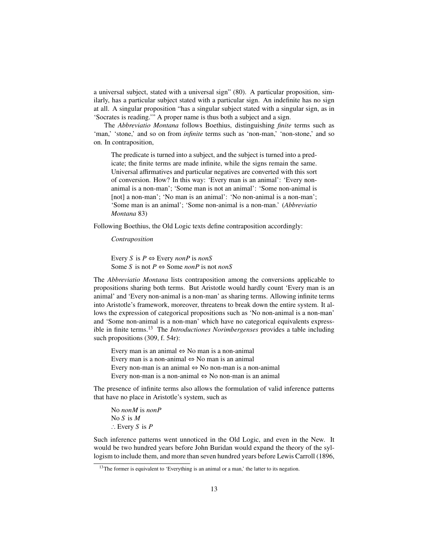a universal subject, stated with a universal sign" (80). A particular proposition, similarly, has a particular subject stated with a particular sign. An indefinite has no sign at all. A singular proposition "has a singular subject stated with a singular sign, as in 'Socrates is reading.'" A proper name is thus both a subject and a sign.

The *Abbreviatio Montana* follows Boethius, distinguishing *finite* terms such as 'man,' 'stone,' and so on from *infinite* terms such as 'non-man,' 'non-stone,' and so on. In contraposition,

The predicate is turned into a subject, and the subject is turned into a predicate; the finite terms are made infinite, while the signs remain the same. Universal affirmatives and particular negatives are converted with this sort of conversion. How? In this way: 'Every man is an animal': 'Every nonanimal is a non-man'; 'Some man is not an animal': 'Some non-animal is [not] a non-man'; 'No man is an animal': 'No non-animal is a non-man'; 'Some man is an animal'; 'Some non-animal is a non-man.' (*Abbreviatio Montana* 83)

Following Boethius, the Old Logic texts define contraposition accordingly:

*Contraposition*

Every *S* is  $P \Leftrightarrow$  Every *nonP* is *nonS* Some *S* is not  $P \Leftrightarrow$  Some *nonP* is not *nonS* 

The *Abbreviatio Montana* lists contraposition among the conversions applicable to propositions sharing both terms. But Aristotle would hardly count 'Every man is an animal' and 'Every non-animal is a non-man' as sharing terms. Allowing infinite terms into Aristotle's framework, moreover, threatens to break down the entire system. It allows the expression of categorical propositions such as 'No non-animal is a non-man' and 'Some non-animal is a non-man' which have no categorical equivalents expressible in finite terms.<sup>13</sup> The *Introductiones Norimbergenses* provides a table including such propositions (309, f. 54r):

Every man is an animal ⇔ No man is a non-animal Every man is a non-animal ⇔ No man is an animal Every non-man is an animal ⇔ No non-man is a non-animal Every non-man is a non-animal ⇔ No non-man is an animal

The presence of infinite terms also allows the formulation of valid inference patterns that have no place in Aristotle's system, such as

No *nonM* is *nonP* No *S* is *M* ∴ Every *S* is *P*

Such inference patterns went unnoticed in the Old Logic, and even in the New. It would be two hundred years before John Buridan would expand the theory of the syllogism to include them, and more than seven hundred years before Lewis Carroll (1896,

<sup>&</sup>lt;sup>13</sup>The former is equivalent to 'Everything is an animal or a man,' the latter to its negation.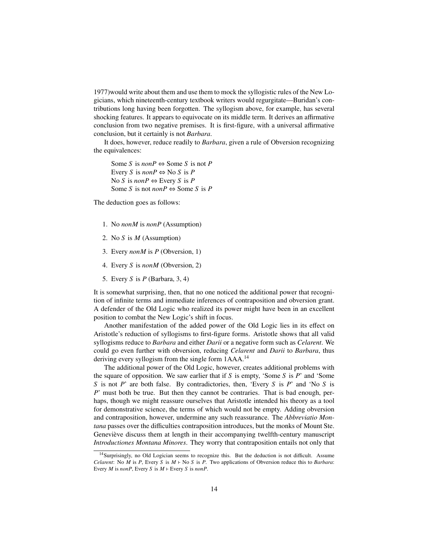1977)would write about them and use them to mock the syllogistic rules of the New Logicians, which nineteenth-century textbook writers would regurgitate—Buridan's contributions long having been forgotten. The syllogism above, for example, has several shocking features. It appears to equivocate on its middle term. It derives an affirmative conclusion from two negative premises. It is first-figure, with a universal affirmative conclusion, but it certainly is not *Barbara*.

It does, however, reduce readily to *Barbara*, given a rule of Obversion recognizing the equivalences:

Some *S* is *nonP*  $\Leftrightarrow$  Some *S* is not *P* Every *S* is *nonP*  $\Leftrightarrow$  No *S* is *P* No *S* is *nonP*  $\Leftrightarrow$  Every *S* is *P* Some *S* is not *non*  $P \Leftrightarrow$  Some *S* is  $P$ 

The deduction goes as follows:

- 1. No *nonM* is *nonP* (Assumption)
- 2. No *S* is *M* (Assumption)
- 3. Every *nonM* is *P* (Obversion, 1)
- 4. Every *S* is *nonM* (Obversion, 2)
- 5. Every *S* is *P* (Barbara, 3, 4)

It is somewhat surprising, then, that no one noticed the additional power that recognition of infinite terms and immediate inferences of contraposition and obversion grant. A defender of the Old Logic who realized its power might have been in an excellent position to combat the New Logic's shift in focus.

Another manifestation of the added power of the Old Logic lies in its effect on Aristotle's reduction of syllogisms to first-figure forms. Aristotle shows that all valid syllogisms reduce to *Barbara* and either *Darii* or a negative form such as *Celarent*. We could go even further with obversion, reducing *Celarent* and *Darii* to *Barbara*, thus deriving every syllogism from the single form 1AAA.<sup>14</sup>

The additional power of the Old Logic, however, creates additional problems with the square of opposition. We saw earlier that if *S* is empty, 'Some *S* is *P*' and 'Some *S* is not *P*' are both false. By contradictories, then, 'Every *S* is *P*' and 'No *S* is *P*' must both be true. But then they cannot be contraries. That is bad enough, perhaps, though we might reassure ourselves that Aristotle intended his theory as a tool for demonstrative science, the terms of which would not be empty. Adding obversion and contraposition, however, undermine any such reassurance. The *Abbreviatio Montana* passes over the difficulties contraposition introduces, but the monks of Mount Ste. Geneviève discuss them at length in their accompanying twelfth-century manuscript *Introductiones Montana Minores*. They worry that contraposition entails not only that

<sup>&</sup>lt;sup>14</sup>Surprisingly, no Old Logician seems to recognize this. But the deduction is not difficult. Assume *Celarent*: No  $\overline{M}$  is  $P$ , Every  $\overline{S}$  is  $M \vdash N$  o  $S$  is  $P$ . Two applications of Obversion reduce this to *Barbara*: Every  $M$  is non $P$ , Every  $S$  is  $M \vdash$  Every  $S$  is non $P$ .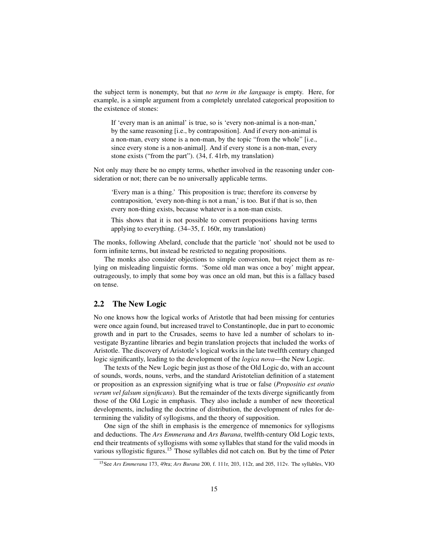the subject term is nonempty, but that *no term in the language* is empty. Here, for example, is a simple argument from a completely unrelated categorical proposition to the existence of stones:

If 'every man is an animal' is true, so is 'every non-animal is a non-man,' by the same reasoning [i.e., by contraposition]. And if every non-animal is a non-man, every stone is a non-man, by the topic "from the whole" [i.e., since every stone is a non-animal]. And if every stone is a non-man, every stone exists ("from the part"). (34, f. 41rb, my translation)

Not only may there be no empty terms, whether involved in the reasoning under consideration or not; there can be no universally applicable terms.

'Every man is a thing.' This proposition is true; therefore its converse by contraposition, 'every non-thing is not a man,' is too. But if that is so, then every non-thing exists, because whatever is a non-man exists.

This shows that it is not possible to convert propositions having terms applying to everything. (34–35, f. 160r, my translation)

The monks, following Abelard, conclude that the particle 'not' should not be used to form infinite terms, but instead be restricted to negating propositions.

The monks also consider objections to simple conversion, but reject them as relying on misleading linguistic forms. 'Some old man was once a boy' might appear, outrageously, to imply that some boy was once an old man, but this is a fallacy based on tense.

# 2.2 The New Logic

No one knows how the logical works of Aristotle that had been missing for centuries were once again found, but increased travel to Constantinople, due in part to economic growth and in part to the Crusades, seems to have led a number of scholars to investigate Byzantine libraries and begin translation projects that included the works of Aristotle. The discovery of Aristotle's logical works in the late twelfth century changed logic significantly, leading to the development of the *logica nova*—the New Logic.

The texts of the New Logic begin just as those of the Old Logic do, with an account of sounds, words, nouns, verbs, and the standard Aristotelian definition of a statement or proposition as an expression signifying what is true or false (*Propositio est oratio verum vel falsum significans*). But the remainder of the texts diverge significantly from those of the Old Logic in emphasis. They also include a number of new theoretical developments, including the doctrine of distribution, the development of rules for determining the validity of syllogisms, and the theory of supposition.

One sign of the shift in emphasis is the emergence of mnemonics for syllogisms and deductions. The *Ars Emmerana* and *Ars Burana*, twelfth-century Old Logic texts, end their treatments of syllogisms with some syllables that stand for the valid moods in various syllogistic figures.<sup>15</sup> Those syllables did not catch on. But by the time of Peter

<sup>15</sup>See *Ars Emmerana* 173, 49ra; *Ars Burana* 200, f. 111r, 203, 112r, and 205, 112v. The syllables, VIO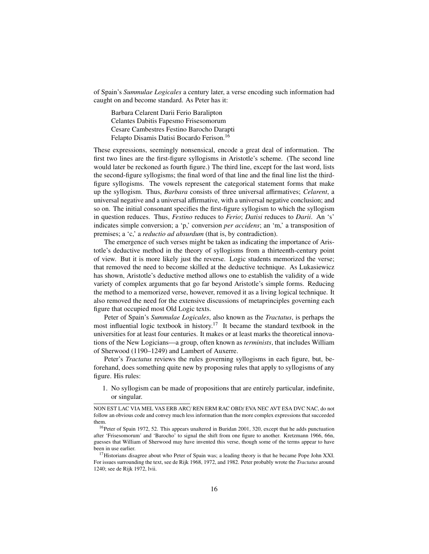of Spain's *Summulae Logicales* a century later, a verse encoding such information had caught on and become standard. As Peter has it:

Barbara Celarent Darii Ferio Baralipton Celantes Dabitis Fapesmo Frisesomorum Cesare Cambestres Festino Barocho Darapti Felapto Disamis Datisi Bocardo Ferison.<sup>16</sup>

These expressions, seemingly nonsensical, encode a great deal of information. The first two lines are the first-figure syllogisms in Aristotle's scheme. (The second line would later be reckoned as fourth figure.) The third line, except for the last word, lists the second-figure syllogisms; the final word of that line and the final line list the thirdfigure syllogisms. The vowels represent the categorical statement forms that make up the syllogism. Thus, *Barbara* consists of three universal affirmatives; *Celarent*, a universal negative and a universal affirmative, with a universal negative conclusion; and so on. The initial consonant specifies the first-figure syllogism to which the syllogism in question reduces. Thus, *Festino* reduces to *Ferio*; *Datisi* reduces to *Darii*. An 's' indicates simple conversion; a 'p,' conversion *per accidens*; an 'm,' a transposition of premises; a 'c,' a *reductio ad absurdum* (that is, by contradiction).

The emergence of such verses might be taken as indicating the importance of Aristotle's deductive method in the theory of syllogisms from a thirteenth-century point of view. But it is more likely just the reverse. Logic students memorized the verse; that removed the need to become skilled at the deductive technique. As Lukasiewicz has shown, Aristotle's deductive method allows one to establish the validity of a wide variety of complex arguments that go far beyond Aristotle's simple forms. Reducing the method to a memorized verse, however, removed it as a living logical technique. It also removed the need for the extensive discussions of metaprinciples governing each figure that occupied most Old Logic texts.

Peter of Spain's *Summulae Logicales*, also known as the *Tractatus*, is perhaps the most influential logic textbook in history.<sup>17</sup> It became the standard textbook in the universities for at least four centuries. It makes or at least marks the theoretical innovations of the New Logicians—a group, often known as *terminists*, that includes William of Sherwood (1190–1249) and Lambert of Auxerre.

Peter's *Tractatus* reviews the rules governing syllogisms in each figure, but, beforehand, does something quite new by proposing rules that apply to syllogisms of any figure. His rules:

1. No syllogism can be made of propositions that are entirely particular, indefinite, or singular.

NON EST LAC VIA MEL VAS ERB ARC/ REN ERM RAC OBD/ EVA NEC AVT ESA DVC NAC, do not follow an obvious code and convey much less information than the more complex expressions that succeeded them.

<sup>&</sup>lt;sup>16</sup>Peter of Spain 1972, 52. This appears unaltered in Buridan 2001, 320, except that he adds punctuation after 'Frisesomorum' and 'Barocho' to signal the shift from one figure to another. Kretzmann 1966, 66n, guesses that William of Sherwood may have invented this verse, though some of the terms appear to have been in use earlier.

<sup>&</sup>lt;sup>17</sup>Historians disagree about who Peter of Spain was; a leading theory is that he became Pope John XXI. For issues surrounding the text, see de Rijk 1968, 1972, and 1982. Peter probably wrote the *Tractatus* around 1240; see de Rijk 1972, lvii.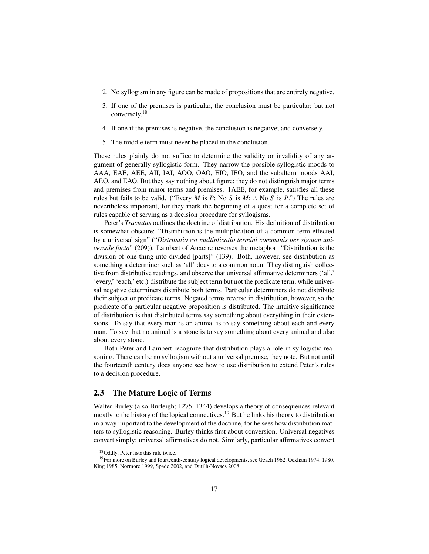- 2. No syllogism in any figure can be made of propositions that are entirely negative.
- 3. If one of the premises is particular, the conclusion must be particular; but not conversely.<sup>18</sup>
- 4. If one if the premises is negative, the conclusion is negative; and conversely.
- 5. The middle term must never be placed in the conclusion.

These rules plainly do not suffice to determine the validity or invalidity of any argument of generally syllogistic form. They narrow the possible syllogistic moods to AAA, EAE, AEE, AII, IAI, AOO, OAO, EIO, IEO, and the subaltern moods AAI, AEO, and EAO. But they say nothing about figure; they do not distinguish major terms and premises from minor terms and premises. 1AEE, for example, satisfies all these rules but fails to be valid. ("Every *M* is *P*; No *S* is *M*; ∴ No *S* is *P*.") The rules are nevertheless important, for they mark the beginning of a quest for a complete set of rules capable of serving as a decision procedure for syllogisms.

Peter's *Tractatus* outlines the doctrine of distribution. His definition of distribution is somewhat obscure: "Distribution is the multiplication of a common term effected by a universal sign" ("*Distributio est multiplicatio termini communis per signum universale facta*" (209)). Lambert of Auxerre reverses the metaphor: "Distribution is the division of one thing into divided [parts]" (139). Both, however, see distribution as something a determiner such as 'all' does to a common noun. They distinguish collective from distributive readings, and observe that universal affirmative determiners ('all,' 'every,' 'each,' etc.) distribute the subject term but not the predicate term, while universal negative determiners distribute both terms. Particular determiners do not distribute their subject or predicate terms. Negated terms reverse in distribution, however, so the predicate of a particular negative proposition is distributed. The intuitive significance of distribution is that distributed terms say something about everything in their extensions. To say that every man is an animal is to say something about each and every man. To say that no animal is a stone is to say something about every animal and also about every stone.

Both Peter and Lambert recognize that distribution plays a role in syllogistic reasoning. There can be no syllogism without a universal premise, they note. But not until the fourteenth century does anyone see how to use distribution to extend Peter's rules to a decision procedure.

### 2.3 The Mature Logic of Terms

Walter Burley (also Burleigh; 1275–1344) develops a theory of consequences relevant mostly to the history of the logical connectives.<sup>19</sup> But he links his theory to distribution in a way important to the development of the doctrine, for he sees how distribution matters to syllogistic reasoning. Burley thinks first about conversion. Universal negatives convert simply; universal affirmatives do not. Similarly, particular affirmatives convert

<sup>&</sup>lt;sup>18</sup>Oddly. Peter lists this rule twice.

<sup>&</sup>lt;sup>19</sup>For more on Burley and fourteenth-century logical developments, see Geach 1962, Ockham 1974, 1980, King 1985, Normore 1999, Spade 2002, and Dutilh-Novaes 2008.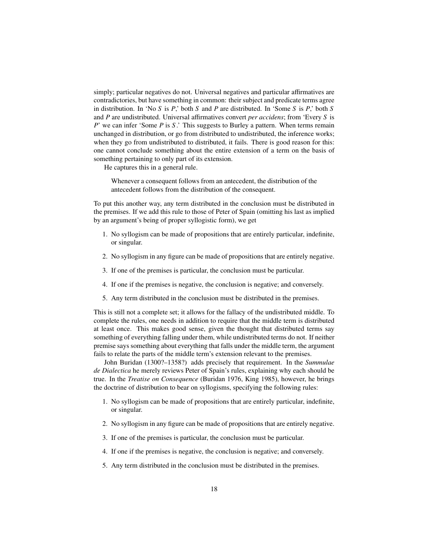simply; particular negatives do not. Universal negatives and particular affirmatives are contradictories, but have something in common: their subject and predicate terms agree in distribution. In 'No *S* is *P*,' both *S* and *P* are distributed. In 'Some *S* is *P*,' both *S* and *P* are undistributed. Universal affirmatives convert *per accidens*; from 'Every *S* is *P*' we can infer 'Some *P* is *S* .' This suggests to Burley a pattern. When terms remain unchanged in distribution, or go from distributed to undistributed, the inference works; when they go from undistributed to distributed, it fails. There is good reason for this: one cannot conclude something about the entire extension of a term on the basis of something pertaining to only part of its extension.

He captures this in a general rule.

Whenever a consequent follows from an antecedent, the distribution of the antecedent follows from the distribution of the consequent.

To put this another way, any term distributed in the conclusion must be distributed in the premises. If we add this rule to those of Peter of Spain (omitting his last as implied by an argument's being of proper syllogistic form), we get

- 1. No syllogism can be made of propositions that are entirely particular, indefinite, or singular.
- 2. No syllogism in any figure can be made of propositions that are entirely negative.
- 3. If one of the premises is particular, the conclusion must be particular.
- 4. If one if the premises is negative, the conclusion is negative; and conversely.
- 5. Any term distributed in the conclusion must be distributed in the premises.

This is still not a complete set; it allows for the fallacy of the undistributed middle. To complete the rules, one needs in addition to require that the middle term is distributed at least once. This makes good sense, given the thought that distributed terms say something of everything falling under them, while undistributed terms do not. If neither premise says something about everything that falls under the middle term, the argument fails to relate the parts of the middle term's extension relevant to the premises.

John Buridan (1300?–1358?) adds precisely that requirement. In the *Summulae de Dialectica* he merely reviews Peter of Spain's rules, explaining why each should be true. In the *Treatise on Consequence* (Buridan 1976, King 1985), however, he brings the doctrine of distribution to bear on syllogisms, specifying the following rules:

- 1. No syllogism can be made of propositions that are entirely particular, indefinite, or singular.
- 2. No syllogism in any figure can be made of propositions that are entirely negative.
- 3. If one of the premises is particular, the conclusion must be particular.
- 4. If one if the premises is negative, the conclusion is negative; and conversely.
- 5. Any term distributed in the conclusion must be distributed in the premises.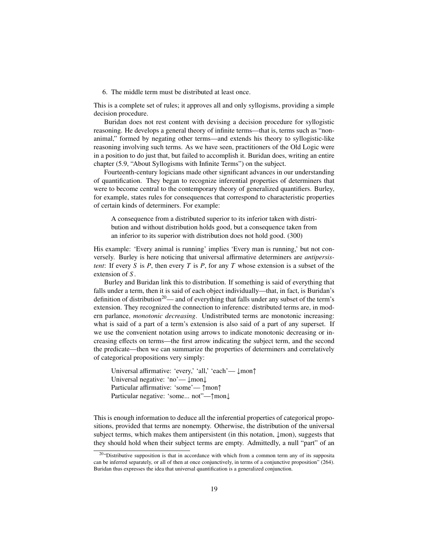6. The middle term must be distributed at least once.

This is a complete set of rules; it approves all and only syllogisms, providing a simple decision procedure.

Buridan does not rest content with devising a decision procedure for syllogistic reasoning. He develops a general theory of infinite terms—that is, terms such as "nonanimal," formed by negating other terms—and extends his theory to syllogistic-like reasoning involving such terms. As we have seen, practitioners of the Old Logic were in a position to do just that, but failed to accomplish it. Buridan does, writing an entire chapter (5.9, "About Syllogisms with Infinite Terms") on the subject.

Fourteenth-century logicians made other significant advances in our understanding of quantification. They began to recognize inferential properties of determiners that were to become central to the contemporary theory of generalized quantifiers. Burley, for example, states rules for consequences that correspond to characteristic properties of certain kinds of determiners. For example:

A consequence from a distributed superior to its inferior taken with distribution and without distribution holds good, but a consequence taken from an inferior to its superior with distribution does not hold good. (300)

His example: 'Every animal is running' implies 'Every man is running,' but not conversely. Burley is here noticing that universal affirmative determiners are *antipersistent*: If every *S* is *P*, then every *T* is *P*, for any *T* whose extension is a subset of the extension of *S* .

Burley and Buridan link this to distribution. If something is said of everything that falls under a term, then it is said of each object individually—that, in fact, is Buridan's definition of distribution<sup>20</sup>— and of everything that falls under any subset of the term's extension. They recognized the connection to inference: distributed terms are, in modern parlance, *monotonic decreasing*. Undistributed terms are monotonic increasing: what is said of a part of a term's extension is also said of a part of any superset. If we use the convenient notation using arrows to indicate monotonic decreasing or increasing effects on terms—the first arrow indicating the subject term, and the second the predicate—then we can summarize the properties of determiners and correlatively of categorical propositions very simply:

Universal affirmative: 'every,' 'all,' 'each'— ↓mon↑ Universal negative: 'no'— ↓mon↓ Particular affirmative: 'some'— ↑mon↑ Particular negative: 'some... not"—↑mon↓

This is enough information to deduce all the inferential properties of categorical propositions, provided that terms are nonempty. Otherwise, the distribution of the universal subject terms, which makes them antipersistent (in this notation,  $\downarrow$ mon), suggests that they should hold when their subject terms are empty. Admittedly, a null "part" of an

<sup>&</sup>lt;sup>20</sup>"Distributive supposition is that in accordance with which from a common term any of its supposita can be inferred separately, or all of then at once conjunctively, in terms of a conjunctive proposition" (264). Buridan thus expresses the idea that universal quantification is a generalized conjunction.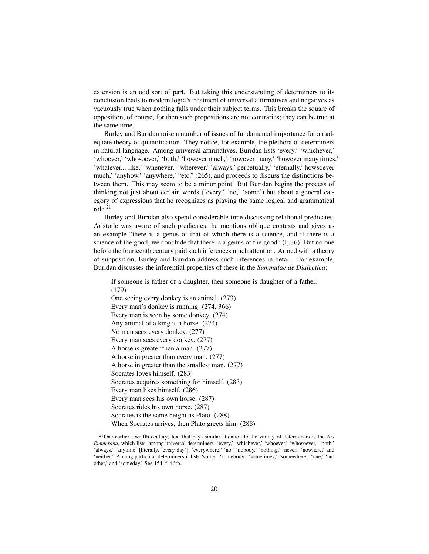extension is an odd sort of part. But taking this understanding of determiners to its conclusion leads to modern logic's treatment of universal affirmatives and negatives as vacuously true when nothing falls under their subject terms. This breaks the square of opposition, of course, for then such propositions are not contraries; they can be true at the same time.

Burley and Buridan raise a number of issues of fundamental importance for an adequate theory of quantification. They notice, for example, the plethora of determiners in natural language. Among universal affirmatives, Buridan lists 'every,' 'whichever,' 'whoever,' 'whosoever,' 'both,' 'however much,' 'however many,' 'however many times,' 'whatever... like,' 'whenever,' 'wherever,' 'always,' perpetually,' 'eternally,' howsoever much,' 'anyhow,' 'anywhere,' "etc." (265), and proceeds to discuss the distinctions between them. This may seem to be a minor point. But Buridan begins the process of thinking not just about certain words ('every,' 'no,' 'some') but about a general category of expressions that he recognizes as playing the same logical and grammatical role. $^{21}$ 

Burley and Buridan also spend considerable time discussing relational predicates. Aristotle was aware of such predicates; he mentions oblique contexts and gives as an example "there is a genus of that of which there is a science, and if there is a science of the good, we conclude that there is a genus of the good" (I, 36). But no one before the fourteenth century paid such inferences much attention. Armed with a theory of supposition, Burley and Buridan address such inferences in detail. For example, Buridan discusses the inferential properties of these in the *Summulae de Dialectica*:

If someone is father of a daughter, then someone is daughter of a father. (179)

One seeing every donkey is an animal. (273) Every man's donkey is running. (274, 366) Every man is seen by some donkey. (274) Any animal of a king is a horse. (274) No man sees every donkey. (277) Every man sees every donkey. (277) A horse is greater than a man. (277) A horse in greater than every man. (277) A horse in greater than the smallest man. (277) Socrates loves himself. (283) Socrates acquires something for himself. (283) Every man likes himself. (286) Every man sees his own horse. (287) Socrates rides his own horse. (287) Socrates is the same height as Plato. (288) When Socrates arrives, then Plato greets him. (288)

<sup>21</sup>One earlier (twelfth-century) text that pays similar attention to the variety of determiners is the *Ars Emmerana*, which lists, among universal determiners, 'every,' 'whichever,' 'whoever,' 'whosoever,' 'both,' 'always,' 'anytime' [literally, 'every day'], 'everywhere,' 'no,' 'nobody,' 'nothing,' 'never,' 'nowhere,' and 'neither.' Among particular determiners it lists 'some,' 'somebody,' 'sometimes,' 'somewhere,' 'one,' 'another,' and 'someday.' See 154, f. 46rb.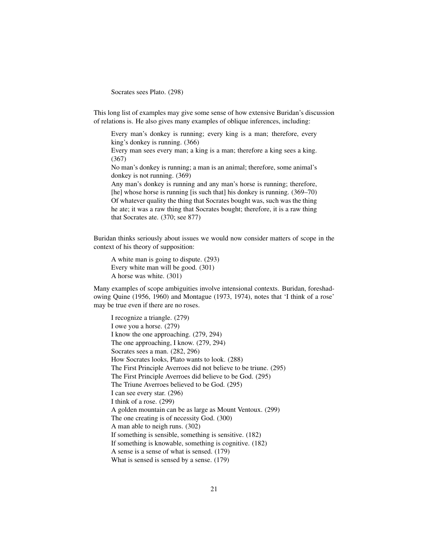Socrates sees Plato. (298)

This long list of examples may give some sense of how extensive Buridan's discussion of relations is. He also gives many examples of oblique inferences, including:

Every man's donkey is running; every king is a man; therefore, every king's donkey is running. (366)

Every man sees every man; a king is a man; therefore a king sees a king. (367)

No man's donkey is running; a man is an animal; therefore, some animal's donkey is not running. (369)

Any man's donkey is running and any man's horse is running; therefore, [he] whose horse is running [is such that] his donkey is running.  $(369-70)$ Of whatever quality the thing that Socrates bought was, such was the thing he ate; it was a raw thing that Socrates bought; therefore, it is a raw thing that Socrates ate. (370; see 877)

Buridan thinks seriously about issues we would now consider matters of scope in the context of his theory of supposition:

A white man is going to dispute. (293) Every white man will be good. (301) A horse was white. (301)

Many examples of scope ambiguities involve intensional contexts. Buridan, foreshadowing Quine (1956, 1960) and Montague (1973, 1974), notes that 'I think of a rose' may be true even if there are no roses.

I recognize a triangle. (279) I owe you a horse. (279) I know the one approaching. (279, 294) The one approaching, I know. (279, 294) Socrates sees a man. (282, 296) How Socrates looks, Plato wants to look. (288) The First Principle Averroes did not believe to be triune. (295) The First Principle Averroes did believe to be God. (295) The Triune Averroes believed to be God. (295) I can see every star. (296) I think of a rose. (299) A golden mountain can be as large as Mount Ventoux. (299) The one creating is of necessity God. (300) A man able to neigh runs. (302) If something is sensible, something is sensitive. (182) If something is knowable, something is cognitive. (182) A sense is a sense of what is sensed. (179) What is sensed is sensed by a sense. (179)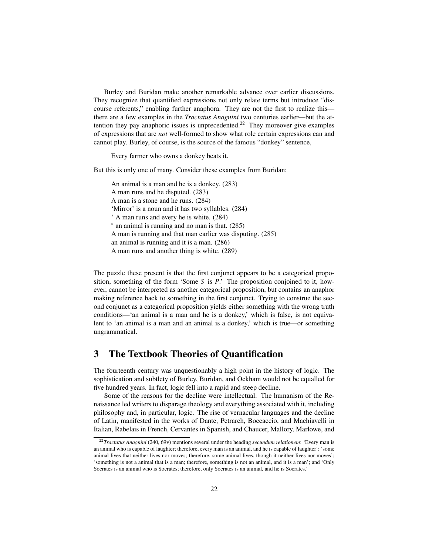Burley and Buridan make another remarkable advance over earlier discussions. They recognize that quantified expressions not only relate terms but introduce "discourse referents," enabling further anaphora. They are not the first to realize this there are a few examples in the *Tractatus Anagnini* two centuries earlier—but the attention they pay anaphoric issues is unprecedented.<sup>22</sup> They moreover give examples of expressions that are *not* well-formed to show what role certain expressions can and cannot play. Burley, of course, is the source of the famous "donkey" sentence,

Every farmer who owns a donkey beats it.

But this is only one of many. Consider these examples from Buridan:

An animal is a man and he is a donkey. (283) A man runs and he disputed. (283) A man is a stone and he runs. (284) 'Mirror' is a noun and it has two syllables. (284) <sup>∗</sup> A man runs and every he is white. (284) ∗ an animal is running and no man is that. (285) A man is running and that man earlier was disputing. (285) an animal is running and it is a man. (286) A man runs and another thing is white. (289)

The puzzle these present is that the first conjunct appears to be a categorical proposition, something of the form 'Some *S* is *P*.' The proposition conjoined to it, however, cannot be interpreted as another categorical proposition, but contains an anaphor making reference back to something in the first conjunct. Trying to construe the second conjunct as a categorical proposition yields either something with the wrong truth conditions—'an animal is a man and he is a donkey,' which is false, is not equivalent to 'an animal is a man and an animal is a donkey,' which is true—or something ungrammatical.

# 3 The Textbook Theories of Quantification

The fourteenth century was unquestionably a high point in the history of logic. The sophistication and subtlety of Burley, Buridan, and Ockham would not be equalled for five hundred years. In fact, logic fell into a rapid and steep decline.

Some of the reasons for the decline were intellectual. The humanism of the Renaissance led writers to disparage theology and everything associated with it, including philosophy and, in particular, logic. The rise of vernacular languages and the decline of Latin, manifested in the works of Dante, Petrarch, Boccaccio, and Machiavelli in Italian, Rabelais in French, Cervantes in Spanish, and Chaucer, Mallory, Marlowe, and

<sup>22</sup>*Tractatus Anagnini* (240, 69v) mentions several under the heading *secundum relationem*: 'Every man is an animal who is capable of laughter; therefore, every man is an animal, and he is capable of laughter'; 'some animal lives that neither lives nor moves; therefore, some animal lives, though it neither lives nor moves'; 'something is not a animal that is a man; therefore, something is not an animal, and it is a man'; and 'Only Socrates is an animal who is Socrates; therefore, only Socrates is an animal, and he is Socrates.'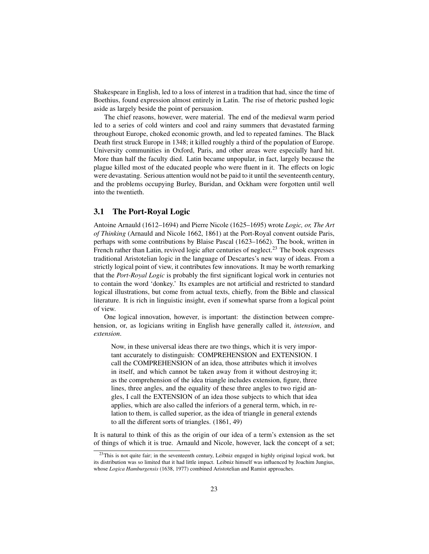Shakespeare in English, led to a loss of interest in a tradition that had, since the time of Boethius, found expression almost entirely in Latin. The rise of rhetoric pushed logic aside as largely beside the point of persuasion.

The chief reasons, however, were material. The end of the medieval warm period led to a series of cold winters and cool and rainy summers that devastated farming throughout Europe, choked economic growth, and led to repeated famines. The Black Death first struck Europe in 1348; it killed roughly a third of the population of Europe. University communities in Oxford, Paris, and other areas were especially hard hit. More than half the faculty died. Latin became unpopular, in fact, largely because the plague killed most of the educated people who were fluent in it. The effects on logic were devastating. Serious attention would not be paid to it until the seventeenth century, and the problems occupying Burley, Buridan, and Ockham were forgotten until well into the twentieth.

# 3.1 The Port-Royal Logic

Antoine Arnauld (1612–1694) and Pierre Nicole (1625–1695) wrote *Logic, or, The Art of Thinking* (Arnauld and Nicole 1662, 1861) at the Port-Royal convent outside Paris, perhaps with some contributions by Blaise Pascal (1623–1662). The book, written in French rather than Latin, revived logic after centuries of neglect.<sup>23</sup> The book expresses traditional Aristotelian logic in the language of Descartes's new way of ideas. From a strictly logical point of view, it contributes few innovations. It may be worth remarking that the *Port-Royal Logic* is probably the first significant logical work in centuries not to contain the word 'donkey.' Its examples are not artificial and restricted to standard logical illustrations, but come from actual texts, chiefly, from the Bible and classical literature. It is rich in linguistic insight, even if somewhat sparse from a logical point of view.

One logical innovation, however, is important: the distinction between comprehension, or, as logicians writing in English have generally called it, *intension*, and *extension*.

Now, in these universal ideas there are two things, which it is very important accurately to distinguish: COMPREHENSION and EXTENSION. I call the COMPREHENSION of an idea, those attributes which it involves in itself, and which cannot be taken away from it without destroying it; as the comprehension of the idea triangle includes extension, figure, three lines, three angles, and the equality of these three angles to two rigid angles, I call the EXTENSION of an idea those subjects to which that idea applies, which are also called the inferiors of a general term, which, in relation to them, is called superior, as the idea of triangle in general extends to all the different sorts of triangles. (1861, 49)

It is natural to think of this as the origin of our idea of a term's extension as the set of things of which it is true. Arnauld and Nicole, however, lack the concept of a set;

<sup>&</sup>lt;sup>23</sup>This is not quite fair; in the seventeenth century, Leibniz engaged in highly original logical work, but its distribution was so limited that it had little impact. Leibniz himself was influenced by Joachim Jungius, whose *Logica Hamburgensis* (1638, 1977) combined Aristotelian and Ramist approaches.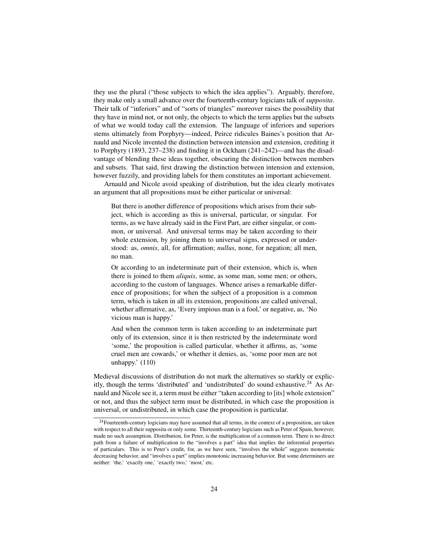they use the plural ("those subjects to which the idea applies"). Arguably, therefore, they make only a small advance over the fourteenth-century logicians talk of *supposita*. Their talk of "inferiors" and of "sorts of triangles" moreover raises the possibility that they have in mind not, or not only, the objects to which the term applies but the subsets of what we would today call the extension. The language of inferiors and superiors stems ultimately from Porphyry—indeed, Peirce ridicules Baines's position that Arnauld and Nicole invented the distinction between intension and extension, crediting it to Porphyry (1893, 237–238) and finding it in Ockham (241–242)—and has the disadvantage of blending these ideas together, obscuring the distinction between members and subsets. That said, first drawing the distinction between intension and extension, however fuzzily, and providing labels for them constitutes an important achievement.

Arnauld and Nicole avoid speaking of distribution, but the idea clearly motivates an argument that all propositions must be either particular or universal:

But there is another difference of propositions which arises from their subject, which is according as this is universal, particular, or singular. For terms, as we have already said in the First Part, are either singular, or common, or universal. And universal terms may be taken according to their whole extension, by joining them to universal signs, expressed or understood: as, *omnis*, all, for affirmation; *nullus*, none, for negation; all men, no man.

Or according to an indeterminate part of their extension, which is, when there is joined to them *aliquis*, some, as some man, some men; or others, according to the custom of languages. Whence arises a remarkable difference of propositions; for when the subject of a proposition is a common term, which is taken in all its extension, propositions are called universal, whether affirmative, as, 'Every impious man is a fool,' or negative, as, 'No vicious man is happy.'

And when the common term is taken according to an indeterminate part only of its extension, since it is then restricted by the indeterminate word 'some,' the proposition is called particular, whether it affirms, as, 'some cruel men are cowards,' or whether it denies, as, 'some poor men are not unhappy.' (110)

Medieval discussions of distribution do not mark the alternatives so starkly or explicitly, though the terms 'distributed' and 'undistributed' do sound exhaustive.<sup>24</sup> As Arnauld and Nicole see it, a term must be either "taken according to [its] whole extension" or not, and thus the subject term must be distributed, in which case the proposition is universal, or undistributed, in which case the proposition is particular.

<sup>&</sup>lt;sup>24</sup>Fourteenth-century logicians may have assumed that all terms, in the context of a proposition, are taken with respect to all their supposita or only some. Thirteenth-century logicians such as Peter of Spain, however, made no such assumption. Distribution, for Peter, is the multiplication of a common term. There is no direct path from a failure of multiplication to the "involves a part" idea that implies the inferential properties of particulars. This is to Peter's credit, for, as we have seen, "involves the whole" suggests monotonic decreasing behavior, and "involves a part" implies monotonic increasing behavior. But some determiners are neither: 'the,' 'exactly one,' 'exactly two,' 'most,' etc.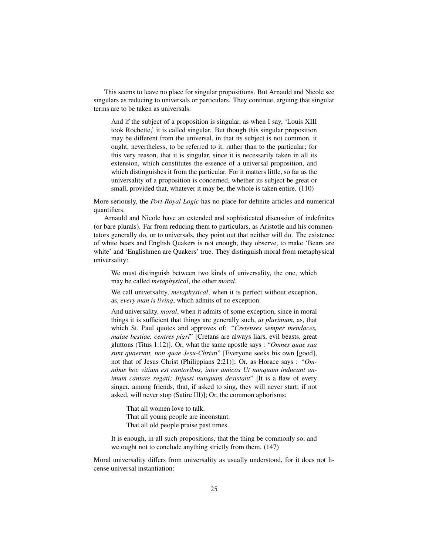This seems to leave no place for singular propositions. But Arnauld and Nicole see singulars as reducing to universals or particulars. They continue, arguing that singular terms are to be taken as universals:

And if the subject of a proposition is singular, as when I say, 'Louis XIII took Rochette,' it is called singular. But though this singular proposition may be different from the universal, in that its subject is not common, it ought, nevertheless, to be referred to it, rather than to the particular; for this very reason, that it is singular, since it is necessarily taken in all its extension, which constitutes the essence of a universal proposition, and which distinguishes it from the particular. For it matters little, so far as the universality of a proposition is concerned, whether its subject be great or small, provided that, whatever it may be, the whole is taken entire. (110)

More seriously, the *Port-Royal Logic* has no place for definite articles and numerical quantifiers.

Arnauld and Nicole have an extended and sophisticated discussion of indefinites (or bare plurals). Far from reducing them to particulars, as Aristotle and his commentators generally do, or to universals, they point out that neither will do. The existence of white bears and English Quakers is not enough, they observe, to make 'Bears are white' and 'Englishmen are Quakers' true. They distinguish moral from metaphysical universality:

We must distinguish between two kinds of universality, the one, which may be called *metaphysical*, the other *moral*.

We call universality, *metaphysical*, when it is perfect without exception, as, *every man is living*, which admits of no exception.

And universality, *moral*, when it admits of some exception, since in moral things it is sufficient that things are generally such, *ut plurimum*, as, that which St. Paul quotes and approves of: "*Cretenses semper mendaces, malae bestiae, centres pigri*" [Cretans are always liars, evil beasts, great gluttons (Titus 1:12)]. Or, what the same apostle says : "*Omnes quae sua sunt quaerunt, non quae Jesu-Christi*" [Everyone seeks his own [good], not that of Jesus Christ (Philippians 2:21)]; Or, as Horace says : "*Omnibus hoc vitium est cantoribus, inter amicos Ut nunquam inducant animum cantare rogati; Injussi nunquam desistant*" [It is a flaw of every singer, among friends, that, if asked to sing, they will never start; if not asked, will never stop (Satire III)]; Or, the common aphorisms:

That all women love to talk. That all young people are inconstant.

That all old people praise past times.

It is enough, in all such propositions, that the thing be commonly so, and we ought not to conclude anything strictly from them. (147)

Moral universality differs from universality as usually understood, for it does not license universal instantiation: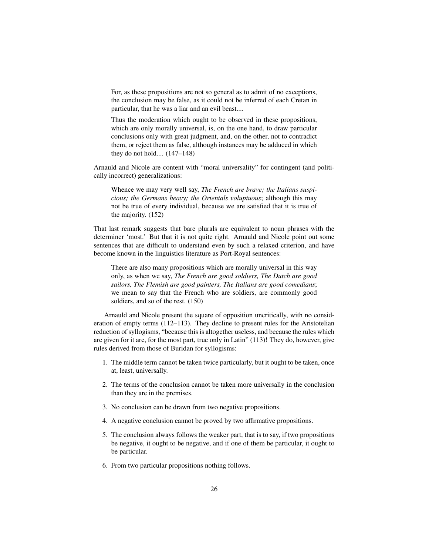For, as these propositions are not so general as to admit of no exceptions, the conclusion may be false, as it could not be inferred of each Cretan in particular, that he was a liar and an evil beast....

Thus the moderation which ought to be observed in these propositions, which are only morally universal, is, on the one hand, to draw particular conclusions only with great judgment, and, on the other, not to contradict them, or reject them as false, although instances may be adduced in which they do not hold.... (147–148)

Arnauld and Nicole are content with "moral universality" for contingent (and politically incorrect) generalizations:

Whence we may very well say, *The French are brave; the Italians suspicious; the Germans heavy; the Orientals voluptuous*; although this may not be true of every individual, because we are satisfied that it is true of the majority. (152)

That last remark suggests that bare plurals are equivalent to noun phrases with the determiner 'most.' But that it is not quite right. Arnauld and Nicole point out some sentences that are difficult to understand even by such a relaxed criterion, and have become known in the linguistics literature as Port-Royal sentences:

There are also many propositions which are morally universal in this way only, as when we say, *The French are good soldiers, The Dutch are good sailors, The Flemish are good painters, The Italians are good comedians*; we mean to say that the French who are soldiers, are commonly good soldiers, and so of the rest. (150)

Arnauld and Nicole present the square of opposition uncritically, with no consideration of empty terms (112–113). They decline to present rules for the Aristotelian reduction of syllogisms, "because this is altogether useless, and because the rules which are given for it are, for the most part, true only in Latin" (113)! They do, however, give rules derived from those of Buridan for syllogisms:

- 1. The middle term cannot be taken twice particularly, but it ought to be taken, once at, least, universally.
- 2. The terms of the conclusion cannot be taken more universally in the conclusion than they are in the premises.
- 3. No conclusion can be drawn from two negative propositions.
- 4. A negative conclusion cannot be proved by two affirmative propositions.
- 5. The conclusion always follows the weaker part, that is to say, if two propositions be negative, it ought to be negative, and if one of them be particular, it ought to be particular.
- 6. From two particular propositions nothing follows.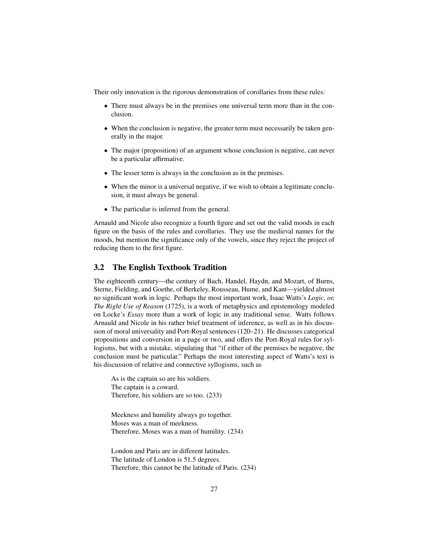Their only innovation is the rigorous demonstration of corollaries from these rules:

- There must always be in the premises one universal term more than in the conclusion.
- When the conclusion is negative, the greater term must necessarily be taken generally in the major.
- The major (proposition) of an argument whose conclusion is negative, can never be a particular affirmative.
- The lesser term is always in the conclusion as in the premises.
- When the minor is a universal negative, if we wish to obtain a legitimate conclusion, it must always be general.
- The particular is inferred from the general.

Arnauld and Nicole also recognize a fourth figure and set out the valid moods in each figure on the basis of the rules and corollaries. They use the medieval names for the moods, but mention the significance only of the vowels, since they reject the project of reducing them to the first figure.

#### 3.2 The English Textbook Tradition

The eighteenth century—the century of Bach, Handel, Haydn, and Mozart, of Burns, Sterne, Fielding, and Goethe, of Berkeley, Rousseau, Hume, and Kant—yielded almost no significant work in logic. Perhaps the most important work, Isaac Watts's *Logic, or, The Right Use of Reason* (1725), is a work of metaphysics and epistemology modeled on Locke's *Essay* more than a work of logic in any traditional sense. Watts follows Arnauld and Nicole in his rather brief treatment of inference, as well as in his discussion of moral universality and Port-Royal sentences (120–21). He discusses categorical propositions and conversion in a page or two, and offers the Port-Royal rules for syllogisms, but with a mistake, stipulating that "if either of the premises be negative, the conclusion must be particular." Perhaps the most interesting aspect of Watts's text is his discussion of relative and connective syllogisms, such as

As is the captain so are his soldiers. The captain is a coward. Therefore, his soldiers are so too. (233)

Meekness and humility always go together. Moses was a man of meekness. Therefore, Moses was a man of humility. (234)

London and Paris are in different latitudes. The latitude of London is 51.5 degrees. Therefore, this cannot be the latitude of Paris. (234)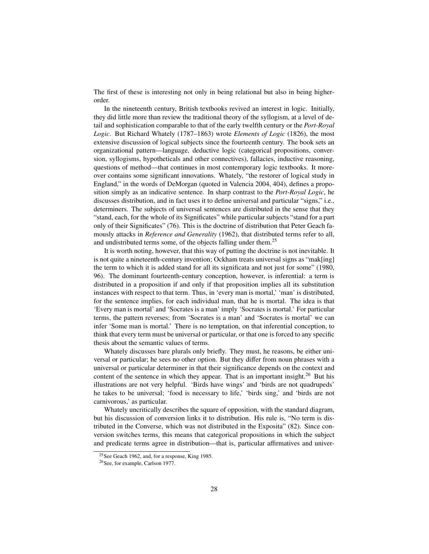The first of these is interesting not only in being relational but also in being higherorder.

In the nineteenth century, British textbooks revived an interest in logic. Initially, they did little more than review the traditional theory of the syllogism, at a level of detail and sophistication comparable to that of the early twelfth century or the *Port-Royal Logic*. But Richard Whately (1787–1863) wrote *Elements of Logic* (1826), the most extensive discussion of logical subjects since the fourteenth century. The book sets an organizational pattern—language, deductive logic (categorical propositions, conversion, syllogisms, hypotheticals and other connectives), fallacies, inductive reasoning, questions of method—that continues in most contemporary logic textbooks. It moreover contains some significant innovations. Whately, "the restorer of logical study in England," in the words of DeMorgan (quoted in Valencia 2004, 404), defines a proposition simply as an indicative sentence. In sharp contrast to the *Port-Royal Logic*, he discusses distribution, and in fact uses it to define universal and particular "signs," i.e., determiners. The subjects of universal sentences are distributed in the sense that they "stand, each, for the whole of its Significates" while particular subjects "stand for a part only of their Significates" (76). This is the doctrine of distribution that Peter Geach famously attacks in *Reference and Generality* (1962), that distributed terms refer to all, and undistributed terms some, of the objects falling under them.<sup>25</sup>

It is worth noting, however, that this way of putting the doctrine is not inevitable. It is not quite a nineteenth-century invention; Ockham treats universal signs as "mak[ing] the term to which it is added stand for all its significata and not just for some" (1980, 96). The dominant fourteenth-century conception, however, is inferential: a term is distributed in a proposition if and only if that proposition implies all its substitution instances with respect to that term. Thus, in 'every man is mortal,' 'man' is distributed, for the sentence implies, for each individual man, that he is mortal. The idea is that 'Every man is mortal' and 'Socrates is a man' imply 'Socrates is mortal.' For particular terms, the pattern reverses; from 'Socrates is a man' and 'Socrates is mortal' we can infer 'Some man is mortal.' There is no temptation, on that inferential conception, to think that every term must be universal or particular, or that one is forced to any specific thesis about the semantic values of terms.

Whately discusses bare plurals only briefly. They must, he reasons, be either universal or particular; he sees no other option. But they differ from noun phrases with a universal or particular determiner in that their significance depends on the context and content of the sentence in which they appear. That is an important insight.<sup>26</sup> But his illustrations are not very helpful. 'Birds have wings' and 'birds are not quadrupeds' he takes to be universal; 'food is necessary to life,' 'birds sing,' and 'birds are not carnivorous,' as particular.

Whately uncritically describes the square of opposition, with the standard diagram, but his discussion of conversion links it to distribution. His rule is, "No term is distributed in the Converse, which was not distributed in the Exposita" (82). Since conversion switches terms, this means that categorical propositions in which the subject and predicate terms agree in distribution—that is, particular affirmatives and univer-

<sup>&</sup>lt;sup>25</sup>See Geach 1962, and, for a response, King 1985.

<sup>26</sup>See, for example, Carlson 1977.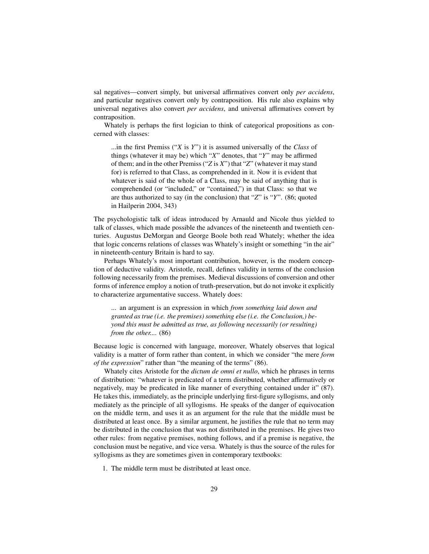sal negatives—convert simply, but universal affirmatives convert only *per accidens*, and particular negatives convert only by contraposition. His rule also explains why universal negatives also convert *per accidens*, and universal affirmatives convert by contraposition.

Whately is perhaps the first logician to think of categorical propositions as concerned with classes:

...in the first Premiss ("*X* is *Y*") it is assumed universally of the *Class* of things (whatever it may be) which "*X*" denotes, that "*Y*" may be affirmed of them; and in the other Premiss ("*Z* is *X*") that "*Z*" (whatever it may stand for) is referred to that Class, as comprehended in it. Now it is evident that whatever is said of the whole of a Class, may be said of anything that is comprehended (or "included," or "contained,") in that Class: so that we are thus authorized to say (in the conclusion) that "*Z*" is "*Y*". (86; quoted in Hailperin 2004, 343)

The psychologistic talk of ideas introduced by Arnauld and Nicole thus yielded to talk of classes, which made possible the advances of the nineteenth and twentieth centuries. Augustus DeMorgan and George Boole both read Whately; whether the idea that logic concerns relations of classes was Whately's insight or something "in the air" in nineteenth-century Britain is hard to say.

Perhaps Whately's most important contribution, however, is the modern conception of deductive validity. Aristotle, recall, defines validity in terms of the conclusion following necessarily from the premises. Medieval discussions of conversion and other forms of inference employ a notion of truth-preservation, but do not invoke it explicitly to characterize argumentative success. Whately does:

... an argument is an expression in which *from something laid down and granted as true (i.e. the premises) something else (i.e. the Conclusion,) beyond this must be admitted as true, as following necessarily (or resulting) from the other....* (86)

Because logic is concerned with language, moreover, Whately observes that logical validity is a matter of form rather than content, in which we consider "the mere *form of the expression*" rather than "the meaning of the terms" (86).

Whately cites Aristotle for the *dictum de omni et nullo*, which he phrases in terms of distribution: "whatever is predicated of a term distributed, whether affirmatively or negatively, may be predicated in like manner of everything contained under it" (87). He takes this, immediately, as the principle underlying first-figure syllogisms, and only mediately as the principle of all syllogisms. He speaks of the danger of equivocation on the middle term, and uses it as an argument for the rule that the middle must be distributed at least once. By a similar argument, he justifies the rule that no term may be distributed in the conclusion that was not distributed in the premises. He gives two other rules: from negative premises, nothing follows, and if a premise is negative, the conclusion must be negative, and vice versa. Whately is thus the source of the rules for syllogisms as they are sometimes given in contemporary textbooks:

1. The middle term must be distributed at least once.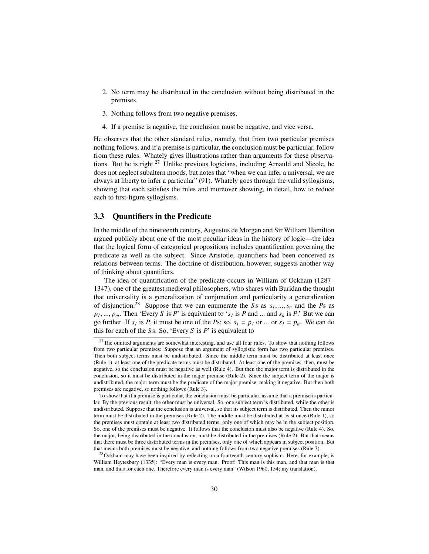- 2. No term may be distributed in the conclusion without being distributed in the premises.
- 3. Nothing follows from two negative premises.
- 4. If a premise is negative, the conclusion must be negative, and vice versa.

He observes that the other standard rules, namely, that from two particular premises nothing follows, and if a premise is particular, the conclusion must be particular, follow from these rules. Whately gives illustrations rather than arguments for these observations. But he is right.<sup>27</sup> Unlike previous logicians, including Arnauld and Nicole, he does not neglect subaltern moods, but notes that "when we can infer a universal, we are always at liberty to infer a particular" (91). Whately goes through the valid syllogisms, showing that each satisfies the rules and moreover showing, in detail, how to reduce each to first-figure syllogisms.

### 3.3 Quantifiers in the Predicate

In the middle of the nineteenth century, Augustus de Morgan and Sir William Hamilton argued publicly about one of the most peculiar ideas in the history of logic—the idea that the logical form of categorical propositions includes quantification governing the predicate as well as the subject. Since Aristotle, quantifiers had been conceived as relations between terms. The doctrine of distribution, however, suggests another way of thinking about quantifiers.

The idea of quantification of the predicate occurs in William of Ockham (1287– 1347), one of the greatest medieval philosophers, who shares with Buridan the thought that universality is a generalization of conjunction and particularity a generalization of disjunction.<sup>28</sup> Suppose that we can enumerate the *S* s as  $s_1$ , ...,  $s_n$  and the *P*s as  $p_1, ..., p_m$ . Then 'Every *S* is *P*' is equivalent to '*s<sub>1</sub>* is *P* and ... and *s<sub>n</sub>* is *P*.' But we can go further. If  $s<sub>l</sub>$  is *P*, it must be one of the *Ps*; so,  $s<sub>l</sub> = p<sub>l</sub>$  or ... or  $s<sub>l</sub> = p<sub>m</sub>$ . We can do this for each of the *S* s. So, 'Every *S* is *P*' is equivalent to

 $27$ The omitted arguments are somewhat interesting, and use all four rules. To show that nothing follows from two particular premises: Suppose that an argument of syllogistic form has two particular premises. Then both subject terms must be undistributed. Since the middle term must be distributed at least once (Rule 1), at least one of the predicate terms must be distributed. At least one of the premises, then, must be negative, so the conclusion must be negative as well (Rule 4). But then the major term is distributed in the conclusion, so it must be distributed in the major premise (Rule 2). Since the subject term of the major is undistributed, the major term must be the predicate of the major premise, making it negative. But then both premises are negative, so nothing follows (Rule 3).

To show that if a premise is particular, the conclusion must be particular, assume that a premise is particular. By the previous result, the other must be universal. So, one subject term is distributed, while the other is undistributed. Suppose that the conclusion is universal, so that its subject term is distributed. Then the minor term must be distributed in the premises (Rule 2). The middle must be distributed at least once (Rule 1), so the premises must contain at least two distributed terms, only one of which may be in the subject position. So, one of the premises must be negative. It follows that the conclusion must also be negative (Rule 4). So, the major, being distributed in the conclusion, must be distributed in the premises (Rule 2). But that means that there must be three distributed terms in the premises, only one of which appears in subject position. But that means both premises must be negative, and nothing follows from two negative premises (Rule 3).

 $28$ Ockham may have been inspired by reflecting on a fourteenth-century sophism. Here, for example, is William Heytesbury (1335): "Every man is every man. Proof: This man is this man, and that man is that man, and thus for each one. Therefore every man is every man" (Wilson 1960, 154; my translation).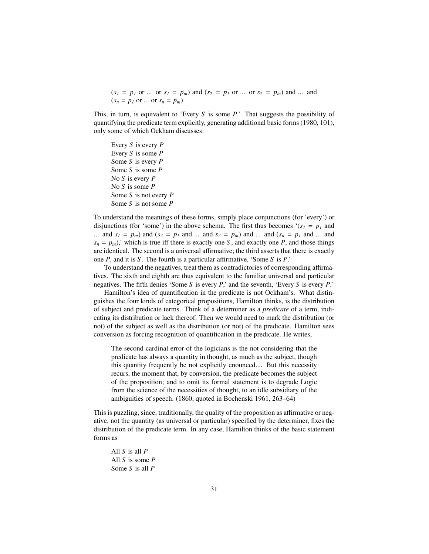$$
(s_1 = p_1
$$
 or ... or  $s_1 = p_m$ ) and  $(s_2 = p_1$  or ... or  $s_2 = p_m$ ) and ... and  $(s_n = p_1$  or ... or  $s_n = p_m)$ .

This, in turn, is equivalent to 'Every *S* is some *P*.' That suggests the possibility of quantifying the predicate term explicitly, generating additional basic forms (1980, 101), only some of which Ockham discusses:

Every *S* is every *P* Every *S* is some *P* Some *S* is every *P* Some *S* is some *P* No *S* is every *P* No *S* is some *P* Some *S* is not every *P* Some *S* is not some *P*

To understand the meanings of these forms, simply place conjunctions (for 'every') or disjunctions (for 'some') in the above schema. The first thus becomes  $(g_1 = p_1)$  and ... and  $s_1 = p_m$ ) and  $(s_2 = p_1$  and ... and  $s_2 = p_m$ ) and ... and  $(s_n = p_1$  and ... and  $s_n = p_m$ ), which is true iff there is exactly one *S*, and exactly one *P*, and those things are identical. The second is a universal affirmative; the third asserts that there is exactly one *P*, and it is *S* . The fourth is a particular affirmative, 'Some *S* is *P*.'

To understand the negatives, treat them as contradictories of corresponding affirmatives. The sixth and eighth are thus equivalent to the familiar universal and particular negatives. The fifth denies 'Some *S* is every *P*,' and the seventh, 'Every *S* is every *P*.'

Hamilton's idea of quantification in the predicate is not Ockham's. What distinguishes the four kinds of categorical propositions, Hamilton thinks, is the distribution of subject and predicate terms. Think of a determiner as a *predicate* of a term, indicating its distribution or lack thereof. Then we would need to mark the distribution (or not) of the subject as well as the distribution (or not) of the predicate. Hamilton sees conversion as forcing recognition of quantification in the predicate. He writes,

The second cardinal error of the logicians is the not considering that the predicate has always a quantity in thought, as much as the subject, though this quantity frequently be not explicitly enounced.... But this necessity recurs, the moment that, by conversion, the predicate becomes the subject of the proposition; and to omit its formal statement is to degrade Logic from the science of the necessities of thought, to an idle subsidiary of the ambiguities of speech. (1860, quoted in Bochenski 1961, 263–64)

This is puzzling, since, traditionally, the quality of the proposition as affirmative or negative, not the quantity (as universal or particular) specified by the determiner, fixes the distribution of the predicate term. In any case, Hamilton thinks of the basic statement forms as

All *S* is all *P* All *S* is some *P* Some *S* is all *P*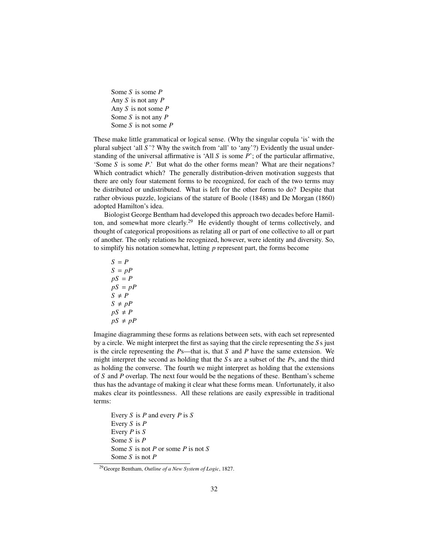Some *S* is some *P* Any *S* is not any *P* Any *S* is not some *P* Some *S* is not any *P* Some *S* is not some *P*

These make little grammatical or logical sense. (Why the singular copula 'is' with the plural subject 'all *S* '? Why the switch from 'all' to 'any'?) Evidently the usual understanding of the universal affirmative is 'All *S* is some *P*'; of the particular affirmative, 'Some *S* is some *P*.' But what do the other forms mean? What are their negations? Which contradict which? The generally distribution-driven motivation suggests that there are only four statement forms to be recognized, for each of the two terms may be distributed or undistributed. What is left for the other forms to do? Despite that rather obvious puzzle, logicians of the stature of Boole (1848) and De Morgan (1860) adopted Hamilton's idea.

Biologist George Bentham had developed this approach two decades before Hamilton, and somewhat more clearly.<sup>29</sup> He evidently thought of terms collectively, and thought of categorical propositions as relating all or part of one collective to all or part of another. The only relations he recognized, however, were identity and diversity. So, to simplify his notation somewhat, letting *p* represent part, the forms become

$$
S = P
$$
  
\n
$$
S = pP
$$
  
\n
$$
pS = p
$$
  
\n
$$
pS = pP
$$
  
\n
$$
S \neq P
$$
  
\n
$$
pS \neq P
$$
  
\n
$$
pS \neq pP
$$

Imagine diagramming these forms as relations between sets, with each set represented by a circle. We might interpret the first as saying that the circle representing the *S* s just is the circle representing the *P*s—that is, that *S* and *P* have the same extension. We might interpret the second as holding that the *S* s are a subset of the *P*s, and the third as holding the converse. The fourth we might interpret as holding that the extensions of *S* and *P* overlap. The next four would be the negations of these. Bentham's scheme thus has the advantage of making it clear what these forms mean. Unfortunately, it also makes clear its pointlessness. All these relations are easily expressible in traditional terms:

Every *S* is *P* and every *P* is *S* Every *S* is *P* Every *P* is *S* Some *S* is *P* Some *S* is not *P* or some *P* is not *S* Some *S* is not *P*

<sup>29</sup>George Bentham, *Outline of a New System of Logic*, 1827.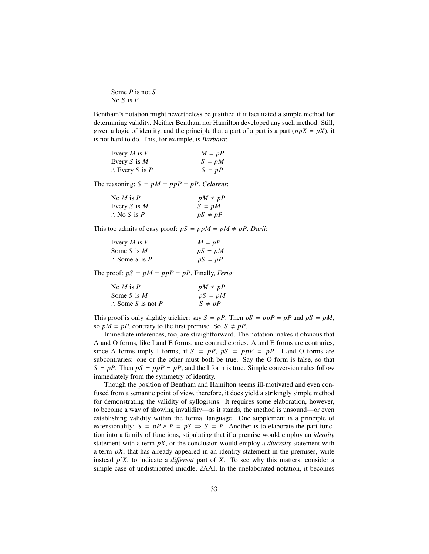Some *P* is not *S* No *S* is *P*

Bentham's notation might nevertheless be justified if it facilitated a simple method for determining validity. Neither Bentham nor Hamilton developed any such method. Still, given a logic of identity, and the principle that a part of a part is a part ( $ppX = pX$ ), it is not hard to do. This, for example, is *Barbara*:

| Every $M$ is $P$          | $M = pP$ |
|---------------------------|----------|
| Every S is $M$            | $S = pM$ |
| $\therefore$ Every S is P | $S = pP$ |

The reasoning:  $S = pM = pPP = pP$ . *Celarent*:

| No <i>M</i> is $P$     | $pM \neq pP$ |
|------------------------|--------------|
| Every S is $M$         | $S = pM$     |
| $\therefore$ No S is P | $pS \neq pP$ |

This too admits of easy proof:  $pS = ppM = pM \neq pP$ . *Darii*:

| Every $M$ is $P$         | $M = pP$  |
|--------------------------|-----------|
| Some S is $M$            | $pS = pM$ |
| $\therefore$ Some S is P | $pS = pP$ |

The proof:  $pS = pM = pPP = pP$ . Finally, *Ferio*:

| No <i>M</i> is $P$           | $pM \neq pP$ |
|------------------------------|--------------|
| Some S is $M$                | $pS = pM$    |
| $\therefore$ Some S is not P | $S \neq pP$  |

This proof is only slightly trickier: say  $S = pP$ . Then  $pS = pPP = pP$  and  $pS = pM$ , so  $pM = pP$ , contrary to the first premise. So,  $S \neq pP$ .

Immediate inferences, too, are straightforward. The notation makes it obvious that A and O forms, like I and E forms, are contradictories. A and E forms are contraries, since A forms imply I forms; if  $S = pP$ ,  $pS = ppP = pP$ . I and O forms are subcontraries: one or the other must both be true. Say the O form is false, so that  $S = pP$ . Then  $pS = pP = pP$ , and the I form is true. Simple conversion rules follow immediately from the symmetry of identity.

Though the position of Bentham and Hamilton seems ill-motivated and even confused from a semantic point of view, therefore, it does yield a strikingly simple method for demonstrating the validity of syllogisms. It requires some elaboration, however, to become a way of showing invalidity—as it stands, the method is unsound—or even establishing validity within the formal language. One supplement is a principle of extensionality:  $S = pP \wedge P = pS \Rightarrow S = P$ . Another is to elaborate the part function into a family of functions, stipulating that if a premise would employ an *identity* statement with a term  $pX$ , or the conclusion would employ a *diversity* statement with a term *pX*, that has already appeared in an identity statement in the premises, write instead  $p'X$ , to indicate a *different* part of  $X$ . To see why this matters, consider a simple case of undistributed middle, 2AAI. In the unelaborated notation, it becomes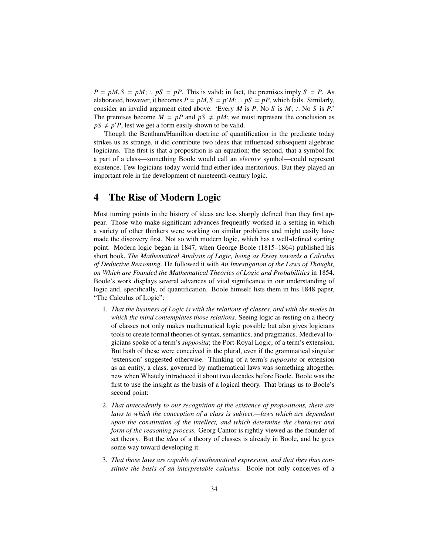$P = pM$ ,  $S = pM$ ; ∴  $pS = pP$ . This is valid; in fact, the premises imply  $S = P$ . As elaborated, however, it becomes  $P = pM$ ,  $S = p'M$ ; ∴  $pS = pP$ , which fails. Similarly, consider an invalid argument cited above: 'Every M is P: No S is M: : No S is P; consider an invalid argument cited above: 'Every *M* is *P*; No *S* is *M*; ∴ No *S* is *P*.' The premises become  $M = pP$  and  $pS \neq pM$ ; we must represent the conclusion as  $pS \neq p'P$ , lest we get a form easily shown to be valid.

Though the Bentham/Hamilton doctrine of quantification in the predicate today strikes us as strange, it did contribute two ideas that influenced subsequent algebraic logicians. The first is that a proposition is an equation; the second, that a symbol for a part of a class—something Boole would call an *elective* symbol—could represent existence. Few logicians today would find either idea meritorious. But they played an important role in the development of nineteenth-century logic.

# 4 The Rise of Modern Logic

Most turning points in the history of ideas are less sharply defined than they first appear. Those who make significant advances frequently worked in a setting in which a variety of other thinkers were working on similar problems and might easily have made the discovery first. Not so with modern logic, which has a well-defined starting point. Modern logic began in 1847, when George Boole (1815–1864) published his short book, *The Mathematical Analysis of Logic, being as Essay towards a Calculus of Deductive Reasoning*. He followed it with *An Investigation of the Laws of Thought, on Which are Founded the Mathematical Theories of Logic and Probabilities* in 1854. Boole's work displays several advances of vital significance in our understanding of logic and, specifically, of quantification. Boole himself lists them in his 1848 paper, "The Calculus of Logic":

- 1. *That the business of Logic is with the relations of classes, and with the modes in which the mind contemplates those relations.* Seeing logic as resting on a theory of classes not only makes mathematical logic possible but also gives logicians tools to create formal theories of syntax, semantics, and pragmatics. Medieval logicians spoke of a term's *supposita*; the Port-Royal Logic, of a term's extension. But both of these were conceived in the plural, even if the grammatical singular 'extension' suggested otherwise. Thinking of a term's *supposita* or extension as an entity, a class, governed by mathematical laws was something altogether new when Whately introduced it about two decades before Boole. Boole was the first to use the insight as the basis of a logical theory. That brings us to Boole's second point:
- 2. *That antecedently to our recognition of the existence of propositions, there are laws to which the conception of a class is subject,—laws which are dependent upon the constitution of the intellect, and which determine the character and form of the reasoning process.* Georg Cantor is rightly viewed as the founder of set theory. But the *idea* of a theory of classes is already in Boole, and he goes some way toward developing it.
- 3. *That those laws are capable of mathematical expression, and that they thus constitute the basis of an interpretable calculus.* Boole not only conceives of a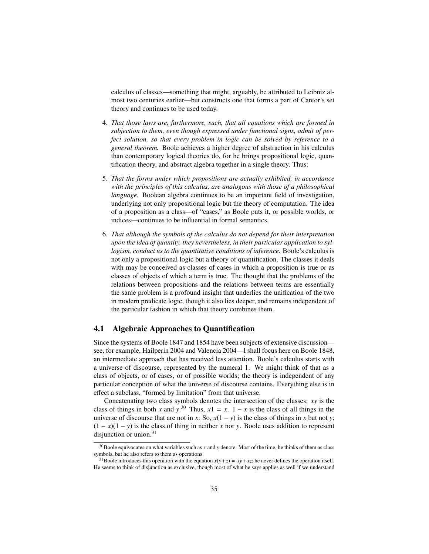calculus of classes—something that might, arguably, be attributed to Leibniz almost two centuries earlier—but constructs one that forms a part of Cantor's set theory and continues to be used today.

- 4. *That those laws are, furthermore, such, that all equations which are formed in subjection to them, even though expressed under functional signs, admit of perfect solution, so that every problem in logic can be solved by reference to a general theorem.* Boole achieves a higher degree of abstraction in his calculus than contemporary logical theories do, for he brings propositional logic, quantification theory, and abstract algebra together in a single theory. Thus:
- 5. *That the forms under which propositions are actually exhibited, in accordance with the principles of this calculus, are analogous with those of a philosophical language.* Boolean algebra continues to be an important field of investigation, underlying not only propositional logic but the theory of computation. The idea of a proposition as a class—of "cases," as Boole puts it, or possible worlds, or indices—continues to be influential in formal semantics.
- 6. *That although the symbols of the calculus do not depend for their interpretation upon the idea of quantity, they nevertheless, in their particular application to syllogism, conduct us to the quantitative conditions of inference.* Boole's calculus is not only a propositional logic but a theory of quantification. The classes it deals with may be conceived as classes of cases in which a proposition is true or as classes of objects of which a term is true. The thought that the problems of the relations between propositions and the relations between terms are essentially the same problem is a profound insight that underlies the unification of the two in modern predicate logic, though it also lies deeper, and remains independent of the particular fashion in which that theory combines them.

# 4.1 Algebraic Approaches to Quantification

Since the systems of Boole 1847 and 1854 have been subjects of extensive discussion see, for example, Hailperin 2004 and Valencia 2004—I shall focus here on Boole 1848, an intermediate approach that has received less attention. Boole's calculus starts with a universe of discourse, represented by the numeral 1. We might think of that as a class of objects, or of cases, or of possible worlds; the theory is independent of any particular conception of what the universe of discourse contains. Everything else is in effect a subclass, "formed by limitation" from that universe.

Concatenating two class symbols denotes the intersection of the classes: *xy* is the class of things in both *x* and *y*.<sup>30</sup> Thus,  $x1 = x$ .  $1 - x$  is the class of all things in the universe of discourse that are not in *x*. So,  $x(1 - y)$  is the class of things in *x* but not *y*;  $(1 - x)(1 - y)$  is the class of thing in neither *x* nor *y*. Boole uses addition to represent disjunction or union. $31$ 

<sup>30</sup>Boole equivocates on what variables such as *x* and *y* denote. Most of the time, he thinks of them as class symbols, but he also refers to them as operations.

<sup>&</sup>lt;sup>31</sup>Boole introduces this operation with the equation  $x(y+z) = xy + xz$ ; he never defines the operation itself. He seems to think of disjunction as exclusive, though most of what he says applies as well if we understand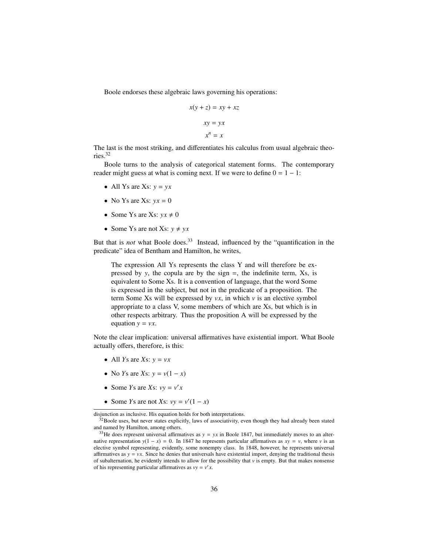Boole endorses these algebraic laws governing his operations:

$$
x(y + z) = xy + xz
$$

$$
xy = yx
$$

$$
x^n = x
$$

The last is the most striking, and differentiates his calculus from usual algebraic theories.<sup>32</sup>

Boole turns to the analysis of categorical statement forms. The contemporary reader might guess at what is coming next. If we were to define  $0 = 1 - 1$ :

- All Ys are Xs:  $y = yx$
- No Ys are Xs:  $yx = 0$
- Some Ys are Xs:  $yx \neq 0$
- Some Ys are not Xs:  $y \neq yx$

But that is *not* what Boole does.<sup>33</sup> Instead, influenced by the "quantification in the predicate" idea of Bentham and Hamilton, he writes,

The expression All Ys represents the class Y and will therefore be expressed by *y*, the copula are by the sign  $=$ , the indefinite term, Xs, is equivalent to Some Xs. It is a convention of language, that the word Some is expressed in the subject, but not in the predicate of a proposition. The term Some Xs will be expressed by *vx*, in which *v* is an elective symbol appropriate to a class V, some members of which are Xs, but which is in other respects arbitrary. Thus the proposition A will be expressed by the equation  $y = vx$ .

Note the clear implication: universal affirmatives have existential import. What Boole actually offers, therefore, is this:

- All *Y*s are *Xs*:  $y = vx$
- No *Y*s are *X*s:  $y = v(1 x)$
- Some *Y*s are *Xs*:  $vy = v'x$
- Some *Y*s are not *Xs*:  $vy = v'(1 x)$

disjunction as inclusive. His equation holds for both interpretations.

 $32$ Boole uses, but never states explicitly, laws of associativity, even though they had already been stated and named by Hamilton, among others.

<sup>&</sup>lt;sup>33</sup>He does represent universal affirmatives as  $y = yx$  in Boole 1847, but immediately moves to an alternative representation  $y(1 - x) = 0$ . In 1847 he represents particular affirmatives as  $xy = v$ , where *v* is an elective symbol representing, evidently, some nonempty class. In 1848, however, he represents universal affirmatives as  $y = vx$ . Since he denies that universals have existential import, denying the traditional thesis of subalternation, he evidently intends to allow for the possibility that *v* is empty. But that makes nonsense of his representing particular affirmatives as  $vy = v'x$ .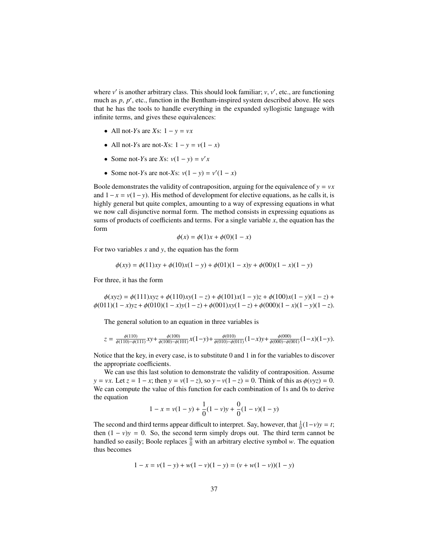where *v*' is another arbitrary class. This should look familiar; *v*, *v*', etc., are functioning much as  $p$ ,  $p'$ , etc., function in the Bentham-inspired system described above. He sees that he has the tools to handle everything in the expanded syllogistic language with infinite terms, and gives these equivalences:

- All not-*Y*s are *X*s: 1 − *y* = *vx*
- All not-*Y*s are not-*Xs*:  $1 y = v(1 x)$
- Some not-*Y*s are *Xs*:  $v(1 y) = v'x$
- Some not-*Y*s are not-*Xs*:  $v(1 y) = v'(1 x)$

Boole demonstrates the validity of contraposition, arguing for the equivalence of  $y = vx$ and 1− *x* = *v*(1−*y*). His method of development for elective equations, as he calls it, is highly general but quite complex, amounting to a way of expressing equations in what we now call disjunctive normal form. The method consists in expressing equations as sums of products of coefficients and terms. For a single variable *x*, the equation has the form

$$
\phi(x) = \phi(1)x + \phi(0)(1 - x)
$$

For two variables *x* and *y*, the equation has the form

$$
\phi(xy) = \phi(11)xy + \phi(10)x(1 - y) + \phi(01)(1 - x)y + \phi(00)(1 - x)(1 - y)
$$

For three, it has the form

 $\phi(xyz) = \phi(111)xyz + \phi(110)xy(1-z) + \phi(101)x(1-y)z + \phi(100)x(1-y)(1-z) +$  $\phi(011)(1-x)yz + \phi(010)(1-x)y(1-z) + \phi(001)xy(1-z) + \phi(000)(1-x)(1-y)(1-z).$ 

The general solution to an equation in three variables is

$$
z = \frac{\phi(110)}{\phi(110) - \phi(111)} xy + \frac{\phi(100)}{\phi(100) - \phi(101)} x(1-y) + \frac{\phi(010)}{\phi(010) - \phi(011)} (1-x) y + \frac{\phi(000)}{\phi(000) - \phi(001)} (1-x) (1-y).
$$

Notice that the key, in every case, is to substitute 0 and 1 in for the variables to discover the appropriate coefficients.

We can use this last solution to demonstrate the validity of contraposition. Assume *y* = *vx*. Let  $z = 1 - x$ ; then  $y = v(1 - z)$ , so  $y - v(1 - z) = 0$ . Think of this as  $\phi(vyz) = 0$ . We can compute the value of this function for each combination of 1s and 0s to derive the equation

$$
1 - x = v(1 - y) + \frac{1}{0}(1 - v)y + \frac{0}{0}(1 - v)(1 - y)
$$

The second and third terms appear difficult to interpret. Say, however, that  $\frac{1}{0}(1-v)y = t$ ; then  $(1 - v)y = 0$ . So, the second term simply drops out. The third term cannot be handled so easily; Boole replaces  $\frac{0}{0}$  with an arbitrary elective symbol *w*. The equation thus becomes

$$
1 - x = v(1 - y) + w(1 - v)(1 - y) = (v + w(1 - v))(1 - y)
$$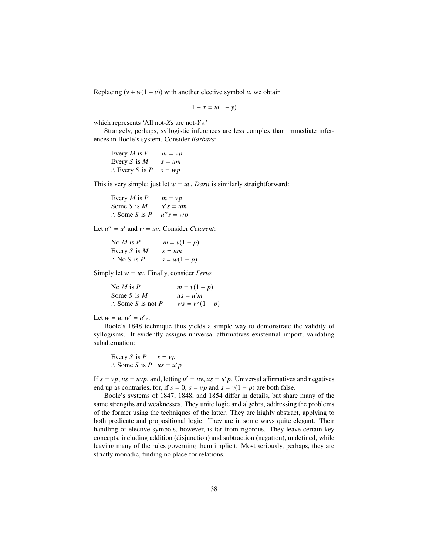Replacing  $(v + w(1 - v))$  with another elective symbol *u*, we obtain

$$
1 - x = u(1 - y)
$$

which represents 'All not-*X*s are not-*Y*s.'

Strangely, perhaps, syllogistic inferences are less complex than immediate inferences in Boole's system. Consider *Barbara*:

Every *M* is *P* 
$$
m = vp
$$
  
Every *S* is *M*  $s = um$   
 $\therefore$  Every *S* is *P*  $s = wp$ 

This is very simple; just let  $w = uv$ . *Darii* is similarly straightforward:

Every *M* is *P*  $m = vp$ Some *S* is *M*  $u's = um$  $\therefore$  Some *S* is *P*  $u''s = wp$ 

Let  $u'' = u'$  and  $w = uv$ . Consider *Celarent*:

| No <i>M</i> is $P$     | $m = v(1 - p)$ |
|------------------------|----------------|
| Every S is $M$         | $s = um$       |
| $\therefore$ No S is P | $s = w(1 - p)$ |

Simply let *w* = *uv*. Finally, consider *Ferio*:

| No <i>M</i> is $P$           | $m = v(1 - p)$   |
|------------------------------|------------------|
| Some S is $M$                | $us = u'm$       |
| $\therefore$ Some S is not P | $ws = w'(1 - p)$ |

Let  $w = u$ ,  $w' = u'v$ .

Boole's 1848 technique thus yields a simple way to demonstrate the validity of syllogisms. It evidently assigns universal affirmatives existential import, validating subalternation:

Every *S* is  $P$   $s = vp$ ∴ Some *S* is *P*  $us = u'p$ 

If  $s = vp$ ,  $us = uvp$ , and, letting  $u' = uv$ ,  $us = u'p$ . Universal affirmatives and negatives end up as contraries, for, if  $s = 0$ ,  $s = vp$  and  $s = v(1 - p)$  are both false.

Boole's systems of 1847, 1848, and 1854 differ in details, but share many of the same strengths and weaknesses. They unite logic and algebra, addressing the problems of the former using the techniques of the latter. They are highly abstract, applying to both predicate and propositional logic. They are in some ways quite elegant. Their handling of elective symbols, however, is far from rigorous. They leave certain key concepts, including addition (disjunction) and subtraction (negation), undefined, while leaving many of the rules governing them implicit. Most seriously, perhaps, they are strictly monadic, finding no place for relations.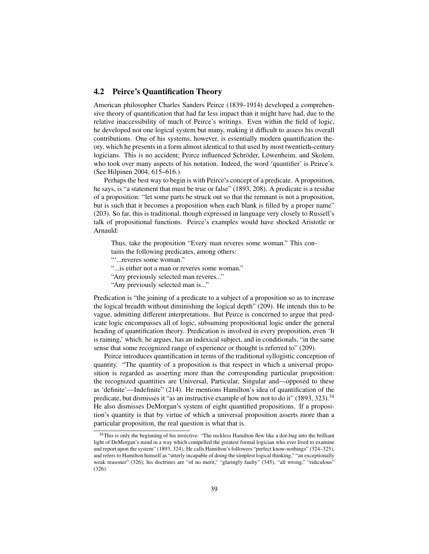### 4.2 Peirce's Quantification Theory

American philosopher Charles Sanders Peirce (1839–1914) developed a comprehensive theory of quantification that had far less impact than it might have had, due to the relative inaccessibility of much of Peirce's writings. Even within the field of logic, he developed not one logical system but many, making it difficult to assess his overall contributions. One of his systems, however, is essentially modern quantification theory, which he presents in a form almost identical to that used by most twentieth-century logicians. This is no accident; Peirce influenced Schröder, Löwenheim, and Skolem, who took over many aspects of his notation. Indeed, the word 'quantifier' is Peirce's. (See Hilpinen 2004, 615–616.)

Perhaps the best way to begin is with Peirce's concept of a predicate. A proposition, he says, is "a statement that must be true or false" (1893, 208). A predicate is a residue of a proposition: "let some parts be struck out so that the remnant is not a proposition, but is such that it becomes a proposition when each blank is filled by a proper name" (203). So far, this is traditional, though expressed in language very closely to Russell's talk of propositional functions. Peirce's examples would have shocked Aristotle or Arnauld:

Thus, take the proposition "Every man reveres some woman." This con-

- tains the following predicates, among others:
- "'...reveres some woman."
- "...is either not a man or reveres some woman."
- "Any previously selected man reveres..."
- "Any previously selected man is..."

Predication is "the joining of a predicate to a subject of a proposition so as to increase the logical breadth without diminishing the logical depth" (209). He intends this to be vague, admitting different interpretations. But Peirce is concerned to argue that predicate logic encompasses all of logic, subsuming propositional logic under the general heading of quantification theory. Predication is involved in every proposition, even 'It is raining,' which, he argues, has an indexical subject, and in conditionals, "in the same sense that some recognized range of experience or thought is referred to" (209).

Peirce introduces quantification in terms of the traditional syllogistic conception of quantity. "The quantity of a proposition is that respect in which a universal proposition is regarded as asserting more than the corresponding particular proposition: the recognized quantities are Universal, Particular, Singular and—opposed to these as 'definite'—Indefinite" (214). He mentions Hamilton's idea of quantification of the predicate, but dismisses it "as an instructive example of how not to do it" (1893, 323).<sup>34</sup> He also dismisses DeMorgan's system of eight quantified propositions. If a proposition's quantity is that by virtue of which a universal proposition asserts more than a particular proposition, the real question is what that is.

<sup>&</sup>lt;sup>34</sup>This is only the beginning of his invective: "The reckless Hamilton flew like a dor-bug into the brilliant light of DeMorgan's mind in a way which compelled the greatest formal logician who ever lived to examine and report upon the system" (1893, 324). He calls Hamilton's followers "perfect know-nothings" (324–325), and refers to Hamilton himself as "utterly incapable of doing the simplest logical thinking," "an exceptionally weak reasoner" (326); his doctrines are "of no merit," "glaringly faulty" (345), "all wrong," "ridiculous" (326).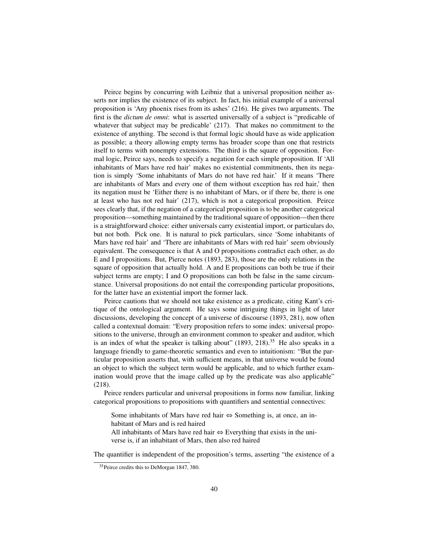Peirce begins by concurring with Leibniz that a universal proposition neither asserts nor implies the existence of its subject. In fact, his initial example of a universal proposition is 'Any phoenix rises from its ashes' (216). He gives two arguments. The first is the *dictum de omni*: what is asserted universally of a subject is "predicable of whatever that subject may be predicable' (217). That makes no commitment to the existence of anything. The second is that formal logic should have as wide application as possible; a theory allowing empty terms has broader scope than one that restricts itself to terms with nonempty extensions. The third is the square of opposition. Formal logic, Peirce says, needs to specify a negation for each simple proposition. If 'All inhabitants of Mars have red hair' makes no existential commitments, then its negation is simply 'Some inhabitants of Mars do not have red hair.' If it means 'There are inhabitants of Mars and every one of them without exception has red hair,' then its negation must be 'Either there is no inhabitant of Mars, or if there be, there is one at least who has not red hair' (217), which is not a categorical proposition. Peirce sees clearly that, if the negation of a categorical proposition is to be another categorical proposition—something maintained by the traditional square of opposition—then there is a straightforward choice: either universals carry existential import, or particulars do, but not both. Pick one. It is natural to pick particulars, since 'Some inhabitants of Mars have red hair' and 'There are inhabitants of Mars with red hair' seem obviously equivalent. The consequence is that A and O propositions contradict each other, as do E and I propositions. But, Pierce notes (1893, 283), those are the only relations in the square of opposition that actually hold. A and E propositions can both be true if their subject terms are empty; I and O propositions can both be false in the same circumstance. Universal propositions do not entail the corresponding particular propositions, for the latter have an existential import the former lack.

Peirce cautions that we should not take existence as a predicate, citing Kant's critique of the ontological argument. He says some intriguing things in light of later discussions, developing the concept of a universe of discourse (1893, 281), now often called a contextual domain: "Every proposition refers to some index: universal propositions to the universe, through an environment common to speaker and auditor, which is an index of what the speaker is talking about"  $(1893, 218)$ .<sup>35</sup> He also speaks in a language friendly to game-theoretic semantics and even to intuitionism: "But the particular proposition asserts that, with sufficient means, in that universe would be found an object to which the subject term would be applicable, and to which further examination would prove that the image called up by the predicate was also applicable" (218).

Peirce renders particular and universal propositions in forms now familiar, linking categorical propositions to propositions with quantifiers and sentential connectives:

Some inhabitants of Mars have red hair ⇔ Something is, at once, an inhabitant of Mars and is red haired

All inhabitants of Mars have red hair ⇔ Everything that exists in the universe is, if an inhabitant of Mars, then also red haired

The quantifier is independent of the proposition's terms, asserting "the existence of a

<sup>&</sup>lt;sup>35</sup>Peirce credits this to DeMorgan 1847, 380.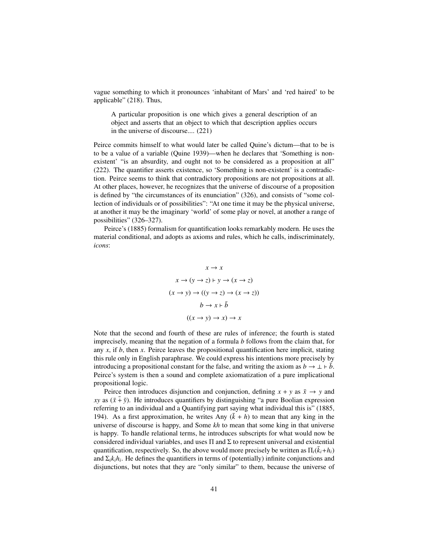vague something to which it pronounces 'inhabitant of Mars' and 'red haired' to be applicable" (218). Thus,

A particular proposition is one which gives a general description of an object and asserts that an object to which that description applies occurs in the universe of discourse.... (221)

Peirce commits himself to what would later be called Quine's dictum—that to be is to be a value of a variable (Quine 1939)—when he declares that 'Something is nonexistent' "is an absurdity, and ought not to be considered as a proposition at all" (222). The quantifier asserts existence, so 'Something is non-existent' is a contradiction. Peirce seems to think that contradictory propositions are not propositions at all. At other places, however, he recognizes that the universe of discourse of a proposition is defined by "the circumstances of its enunciation" (326), and consists of "some collection of individuals or of possibilities": "At one time it may be the physical universe, at another it may be the imaginary 'world' of some play or novel, at another a range of possibilities" (326–327).

Peirce's (1885) formalism for quantification looks remarkably modern. He uses the material conditional, and adopts as axioms and rules, which he calls, indiscriminately, *icons*:

$$
x \to x
$$
  
\n
$$
x \to (y \to z) \vdash y \to (x \to z)
$$
  
\n
$$
(x \to y) \to ((y \to z) \to (x \to z))
$$
  
\n
$$
b \to x \vdash \bar{b}
$$
  
\n
$$
((x \to y) \to x) \to x
$$

Note that the second and fourth of these are rules of inference; the fourth is stated imprecisely, meaning that the negation of a formula *b* follows from the claim that, for any *x*, if *b*, then *x*. Peirce leaves the propositional quantification here implicit, stating this rule only in English paraphrase. We could express his intentions more precisely by introducing a propositional constant for the false, and writing the axiom as  $b \to \bot \vdash \overline{b}$ . Peirce's system is then a sound and complete axiomatization of a pure implicational propositional logic.

Peirce then introduces disjunction and conjunction, defining  $x + y$  as  $\bar{x} \rightarrow y$  and *xy* as  $(\bar{x} + \bar{y})$ . He introduces quantifiers by distinguishing "a pure Boolian expression referring to an individual and a Quantifying part saying what individual this is" (1885, 194). As a first approximation, he writes Any  $(\bar{k} + h)$  to mean that any king in the universe of discourse is happy, and Some *kh* to mean that some king in that universe is happy. To handle relational terms, he introduces subscripts for what would now be considered individual variables, and uses  $\Pi$  and  $\Sigma$  to represent universal and existential quantification, respectively. So, the above would more precisely be written as  $\Pi_i(\bar{k}_i + h_i)$ and  $\Sigma_i k_i h_i$ . He defines the quantifiers in terms of (potentially) infinite conjunctions and disjunctions, but notes that they are "only similar" to them, because the universe of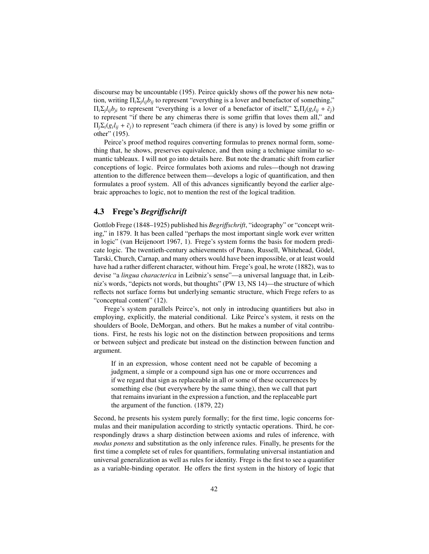discourse may be uncountable (195). Peirce quickly shows off the power his new notation, writing Π*i*Σ*<sup>j</sup> lijbij* to represent "everything is a lover and benefactor of something,"  $\Pi_i \Sigma_j l_{ij} b_{ji}$  to represent "everything is a lover of a benefactor of itself,"  $\Sigma_i \Pi_j (g_i l_{ij} + \bar{c}_j)$ to represent "if there be any chimeras there is some griffin that loves them all," and  $\Pi_j \Sigma_i (g_i l_{ij} + \bar{c}_j)$  to represent "each chimera (if there is any) is loved by some griffin or other" (195).

Peirce's proof method requires converting formulas to prenex normal form, something that, he shows, preserves equivalence, and then using a technique similar to semantic tableaux. I will not go into details here. But note the dramatic shift from earlier conceptions of logic. Peirce formulates both axioms and rules—though not drawing attention to the difference between them—develops a logic of quantification, and then formulates a proof system. All of this advances significantly beyond the earlier algebraic approaches to logic, not to mention the rest of the logical tradition.

# 4.3 Frege's *Begri*ff*schrift*

Gottlob Frege (1848–1925) published his *Begri*ff*schrift*, "ideography" or "concept writing," in 1879. It has been called "perhaps the most important single work ever written in logic" (van Heijenoort 1967, 1). Frege's system forms the basis for modern predicate logic. The twentieth-century achievements of Peano, Russell, Whitehead, Gödel, Tarski, Church, Carnap, and many others would have been impossible, or at least would have had a rather different character, without him. Frege's goal, he wrote (1882), was to devise "a *lingua characterica* in Leibniz's sense"—a universal language that, in Leibniz's words, "depicts not words, but thoughts" (PW 13, NS 14)—the structure of which reflects not surface forms but underlying semantic structure, which Frege refers to as "conceptual content" (12).

Frege's system parallels Peirce's, not only in introducing quantifiers but also in employing, explicitly, the material conditional. Like Peirce's system, it rests on the shoulders of Boole, DeMorgan, and others. But he makes a number of vital contributions. First, he rests his logic not on the distinction between propositions and terms or between subject and predicate but instead on the distinction between function and argument.

If in an expression, whose content need not be capable of becoming a judgment, a simple or a compound sign has one or more occurrences and if we regard that sign as replaceable in all or some of these occurrences by something else (but everywhere by the same thing), then we call that part that remains invariant in the expression a function, and the replaceable part the argument of the function. (1879, 22)

Second, he presents his system purely formally; for the first time, logic concerns formulas and their manipulation according to strictly syntactic operations. Third, he correspondingly draws a sharp distinction between axioms and rules of inference, with *modus ponens* and substitution as the only inference rules. Finally, he presents for the first time a complete set of rules for quantifiers, formulating universal instantiation and universal generalization as well as rules for identity. Frege is the first to see a quantifier as a variable-binding operator. He offers the first system in the history of logic that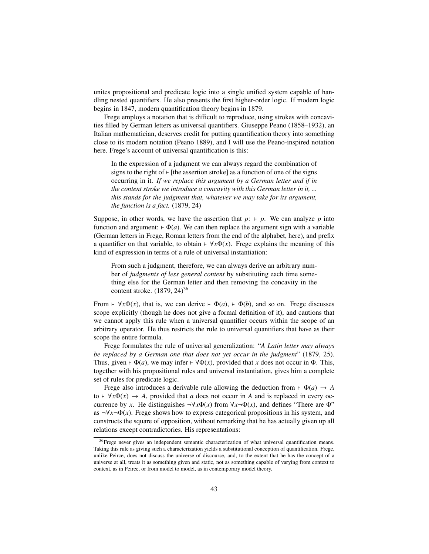unites propositional and predicate logic into a single unified system capable of handling nested quantifiers. He also presents the first higher-order logic. If modern logic begins in 1847, modern quantification theory begins in 1879.

Frege employs a notation that is difficult to reproduce, using strokes with concavities filled by German letters as universal quantifiers. Giuseppe Peano (1858–1932), an Italian mathematician, deserves credit for putting quantification theory into something close to its modern notation (Peano 1889), and I will use the Peano-inspired notation here. Frege's account of universal quantification is this:

In the expression of a judgment we can always regard the combination of signs to the right of  $\vdash$  [the assertion stroke] as a function of one of the signs occurring in it. *If we replace this argument by a German letter and if in the content stroke we introduce a concavity with this German letter in it, ... this stands for the judgment that, whatever we may take for its argument, the function is a fact.* (1879, 24)

Suppose, in other words, we have the assertion that  $p: \vdash p$ . We can analyze  $p$  into function and argument:  $\vdash \Phi(a)$ . We can then replace the argument sign with a variable (German letters in Frege, Roman letters from the end of the alphabet, here), and prefix a quantifier on that variable, to obtain  $\vdash \forall x \Phi(x)$ . Frege explains the meaning of this kind of expression in terms of a rule of universal instantiation:

From such a judgment, therefore, we can always derive an arbitrary number of *judgments of less general content* by substituting each time something else for the German letter and then removing the concavity in the content stroke.  $(1879, 24)^{36}$ 

From  $\vdash \forall x \Phi(x)$ , that is, we can derive  $\vdash \Phi(a)$ ,  $\vdash \Phi(b)$ , and so on. Frege discusses scope explicitly (though he does not give a formal definition of it), and cautions that we cannot apply this rule when a universal quantifier occurs within the scope of an arbitrary operator. He thus restricts the rule to universal quantifiers that have as their scope the entire formula.

Frege formulates the rule of universal generalization: "*A Latin letter may always be replaced by a German one that does not yet occur in the judgment*" (1879, 25). Thus, given  $\vdash \Phi(a)$ , we may infer  $\vdash \forall \Phi(x)$ , provided that *x* does not occur in  $\Phi$ . This, together with his propositional rules and universal instantiation, gives him a complete set of rules for predicate logic.

Frege also introduces a derivable rule allowing the deduction from  $\vdash \Phi(a) \rightarrow A$ to  $\vdash \forall x \Phi(x) \rightarrow A$ , provided that *a* does not occur in *A* and is replaced in every occurrence by *x*. He distinguishes  $\neg \forall x \Phi(x)$  from  $\forall x \neg \Phi(x)$ , and defines "There are  $\Phi$ " as  $\neg \forall x \neg \Phi(x)$ . Frege shows how to express categorical propositions in his system, and constructs the square of opposition, without remarking that he has actually given up all relations except contradictories. His representations:

<sup>&</sup>lt;sup>36</sup>Frege never gives an independent semantic characterization of what universal quantification means. Taking this rule as giving such a characterization yields a substitutional conception of quantification. Frege, unlike Peirce, does not discuss the universe of discourse, and, to the extent that he has the concept of a universe at all, treats it as something given and static, not as something capable of varying from context to context, as in Peirce, or from model to model, as in contemporary model theory.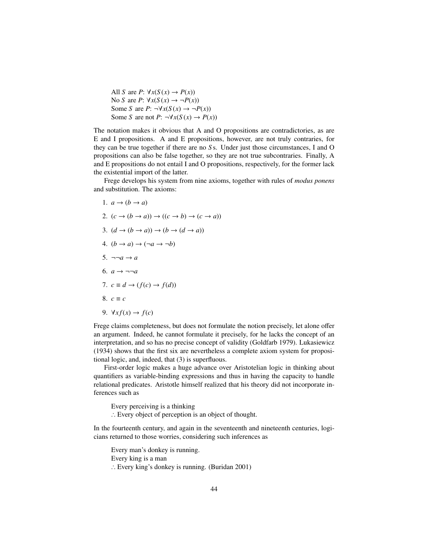All *S* are *P*:  $\forall x(S(x) \rightarrow P(x))$ No *S* are *P*:  $\forall x (S(x) \rightarrow \neg P(x))$ Some *S* are  $P: \neg \forall x (S(x) \rightarrow \neg P(x))$ Some *S* are not *P*:  $\neg \forall x (S(x) \rightarrow P(x))$ 

The notation makes it obvious that A and O propositions are contradictories, as are E and I propositions. A and E propositions, however, are not truly contraries, for they can be true together if there are no *S* s. Under just those circumstances, I and O propositions can also be false together, so they are not true subcontraries. Finally, A and E propositions do not entail I and O propositions, respectively, for the former lack the existential import of the latter.

Frege develops his system from nine axioms, together with rules of *modus ponens* and substitution. The axioms:

1. 
$$
a \rightarrow (b \rightarrow a)
$$
  
\n2.  $(c \rightarrow (b \rightarrow a)) \rightarrow ((c \rightarrow b) \rightarrow (c \rightarrow a))$   
\n3.  $(d \rightarrow (b \rightarrow a)) \rightarrow (b \rightarrow (d \rightarrow a))$   
\n4.  $(b \rightarrow a) \rightarrow (\neg a \rightarrow \neg b)$   
\n5.  $\neg \neg a \rightarrow a$   
\n6.  $a \rightarrow \neg \neg a$   
\n7.  $c \equiv d \rightarrow (f(c) \rightarrow f(d))$   
\n8.  $c \equiv c$   
\n9.  $\forall x f(x) \rightarrow f(c)$ 

Frege claims completeness, but does not formulate the notion precisely, let alone offer an argument. Indeed, he cannot formulate it precisely, for he lacks the concept of an interpretation, and so has no precise concept of validity (Goldfarb 1979). Lukasiewicz (1934) shows that the first six are nevertheless a complete axiom system for propositional logic, and, indeed, that (3) is superfluous.

First-order logic makes a huge advance over Aristotelian logic in thinking about quantifiers as variable-binding expressions and thus in having the capacity to handle relational predicates. Aristotle himself realized that his theory did not incorporate inferences such as

Every perceiving is a thinking

∴ Every object of perception is an object of thought.

In the fourteenth century, and again in the seventeenth and nineteenth centuries, logicians returned to those worries, considering such inferences as

Every man's donkey is running. Every king is a man ∴ Every king's donkey is running. (Buridan 2001)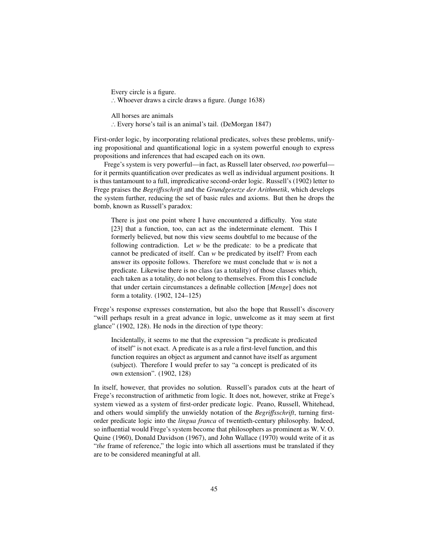Every circle is a figure. ∴ Whoever draws a circle draws a figure. (Junge 1638)

All horses are animals

∴ Every horse's tail is an animal's tail. (DeMorgan 1847)

First-order logic, by incorporating relational predicates, solves these problems, unifying propositional and quantificational logic in a system powerful enough to express propositions and inferences that had escaped each on its own.

Frege's system is very powerful—in fact, as Russell later observed, *too* powerful for it permits quantification over predicates as well as individual argument positions. It is thus tantamount to a full, impredicative second-order logic. Russell's (1902) letter to Frege praises the *Begri*ff*sschrift* and the *Grundgesetze der Arithmetik*, which develops the system further, reducing the set of basic rules and axioms. But then he drops the bomb, known as Russell's paradox:

There is just one point where I have encountered a difficulty. You state [23] that a function, too, can act as the indeterminate element. This I formerly believed, but now this view seems doubtful to me because of the following contradiction. Let *w* be the predicate: to be a predicate that cannot be predicated of itself. Can *w* be predicated by itself? From each answer its opposite follows. Therefore we must conclude that *w* is not a predicate. Likewise there is no class (as a totality) of those classes which, each taken as a totality, do not belong to themselves. From this I conclude that under certain circumstances a definable collection [*Menge*] does not form a totality. (1902, 124–125)

Frege's response expresses consternation, but also the hope that Russell's discovery "will perhaps result in a great advance in logic, unwelcome as it may seem at first glance" (1902, 128). He nods in the direction of type theory:

Incidentally, it seems to me that the expression "a predicate is predicated of itself" is not exact. A predicate is as a rule a first-level function, and this function requires an object as argument and cannot have itself as argument (subject). Therefore I would prefer to say "a concept is predicated of its own extension". (1902, 128)

In itself, however, that provides no solution. Russell's paradox cuts at the heart of Frege's reconstruction of arithmetic from logic. It does not, however, strike at Frege's system viewed as a system of first-order predicate logic. Peano, Russell, Whitehead, and others would simplify the unwieldy notation of the *Begri*ff*sschrift*, turning firstorder predicate logic into the *lingua franca* of twentieth-century philosophy. Indeed, so influential would Frege's system become that philosophers as prominent as W. V. O. Quine (1960), Donald Davidson (1967), and John Wallace (1970) would write of it as "*the* frame of reference," the logic into which all assertions must be translated if they are to be considered meaningful at all.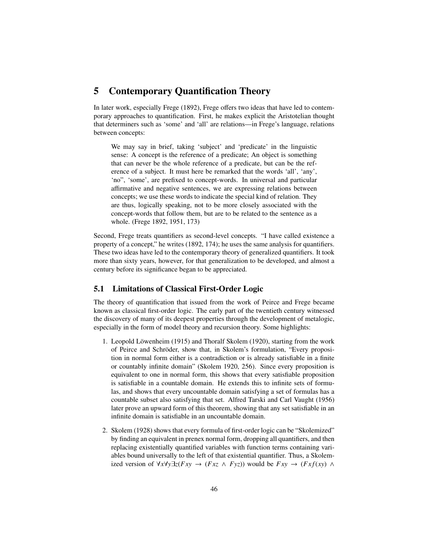# 5 Contemporary Quantification Theory

In later work, especially Frege (1892), Frege offers two ideas that have led to contemporary approaches to quantification. First, he makes explicit the Aristotelian thought that determiners such as 'some' and 'all' are relations—in Frege's language, relations between concepts:

We may say in brief, taking 'subject' and 'predicate' in the linguistic sense: A concept is the reference of a predicate; An object is something that can never be the whole reference of a predicate, but can be the reference of a subject. It must here be remarked that the words 'all', 'any', 'no", 'some', are prefixed to concept-words. In universal and particular affirmative and negative sentences, we are expressing relations between concepts; we use these words to indicate the special kind of relation. They are thus, logically speaking, not to be more closely associated with the concept-words that follow them, but are to be related to the sentence as a whole. (Frege 1892, 1951, 173)

Second, Frege treats quantifiers as second-level concepts. "I have called existence a property of a concept," he writes (1892, 174); he uses the same analysis for quantifiers. These two ideas have led to the contemporary theory of generalized quantifiers. It took more than sixty years, however, for that generalization to be developed, and almost a century before its significance began to be appreciated.

# 5.1 Limitations of Classical First-Order Logic

The theory of quantification that issued from the work of Peirce and Frege became known as classical first-order logic. The early part of the twentieth century witnessed the discovery of many of its deepest properties through the development of metalogic, especially in the form of model theory and recursion theory. Some highlights:

- 1. Leopold Löwenheim (1915) and Thoralf Skolem (1920), starting from the work of Peirce and Schröder, show that, in Skolem's formulation, "Every proposition in normal form either is a contradiction or is already satisfiable in a finite or countably infinite domain" (Skolem 1920, 256). Since every proposition is equivalent to one in normal form, this shows that every satisfiable proposition is satisfiable in a countable domain. He extends this to infinite sets of formulas, and shows that every uncountable domain satisfying a set of formulas has a countable subset also satisfying that set. Alfred Tarski and Carl Vaught (1956) later prove an upward form of this theorem, showing that any set satisfiable in an infinite domain is satisfiable in an uncountable domain.
- 2. Skolem (1928) shows that every formula of first-order logic can be "Skolemized" by finding an equivalent in prenex normal form, dropping all quantifiers, and then replacing existentially quantified variables with function terms containing variables bound universally to the left of that existential quantifier. Thus, a Skolemized version of  $\forall x \forall y \exists z (Fx \land Fyz)$  would be  $Fx \rightarrow (Fx f(xy) \land Fz)$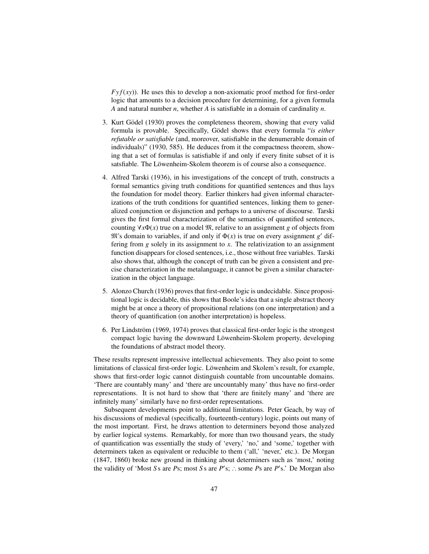$Fy f(xy)$ ). He uses this to develop a non-axiomatic proof method for first-order logic that amounts to a decision procedure for determining, for a given formula *A* and natural number *n*, whether *A* is satisfiable in a domain of cardinality *n*.

- 3. Kurt Gödel (1930) proves the completeness theorem, showing that every valid formula is provable. Specifically, Gödel shows that every formula "is either *refutable or satisfiable* (and, moreover, satisfiable in the denumerable domain of individuals)" (1930, 585). He deduces from it the compactness theorem, showing that a set of formulas is satisfiable if and only if every finite subset of it is satsfiable. The Löwenheim-Skolem theorem is of course also a consequence.
- 4. Alfred Tarski (1936), in his investigations of the concept of truth, constructs a formal semantics giving truth conditions for quantified sentences and thus lays the foundation for model theory. Earlier thinkers had given informal characterizations of the truth conditions for quantified sentences, linking them to generalized conjunction or disjunction and perhaps to a universe of discourse. Tarski gives the first formal characterization of the semantics of quantified sentences, counting  $\forall x \Phi(x)$  true on a model  $\mathfrak{M}$ , relative to an assignment *g* of objects from  $\mathfrak{M}'$ 's domain to variables, if and only if  $\Phi(x)$  is true on every assignment *g*' differing from *g* solely in its assignment to *x*. The relativization to an assignment function disappears for closed sentences, i.e., those without free variables. Tarski also shows that, although the concept of truth can be given a consistent and precise characterization in the metalanguage, it cannot be given a similar characterization in the object language.
- 5. Alonzo Church (1936) proves that first-order logic is undecidable. Since propositional logic is decidable, this shows that Boole's idea that a single abstract theory might be at once a theory of propositional relations (on one interpretation) and a theory of quantification (on another interpretation) is hopeless.
- 6. Per Lindström (1969, 1974) proves that classical first-order logic is the strongest compact logic having the downward Löwenheim-Skolem property, developing the foundations of abstract model theory.

These results represent impressive intellectual achievements. They also point to some limitations of classical first-order logic. Löwenheim and Skolem's result, for example, shows that first-order logic cannot distinguish countable from uncountable domains. 'There are countably many' and 'there are uncountably many' thus have no first-order representations. It is not hard to show that 'there are finitely many' and 'there are infinitely many' similarly have no first-order representations.

Subsequent developments point to additional limitations. Peter Geach, by way of his discussions of medieval (specifically, fourteenth-century) logic, points out many of the most important. First, he draws attention to determiners beyond those analyzed by earlier logical systems. Remarkably, for more than two thousand years, the study of quantification was essentially the study of 'every,' 'no,' and 'some,' together with determiners taken as equivalent or reducible to them ('all,' 'never,' etc.). De Morgan (1847, 1860) broke new ground in thinking about determiners such as 'most,' noting the validity of 'Most *S*'s are *P*'s; most *S*'s are *P*'s; ∴ some *P*'s are *P*'s.' De Morgan also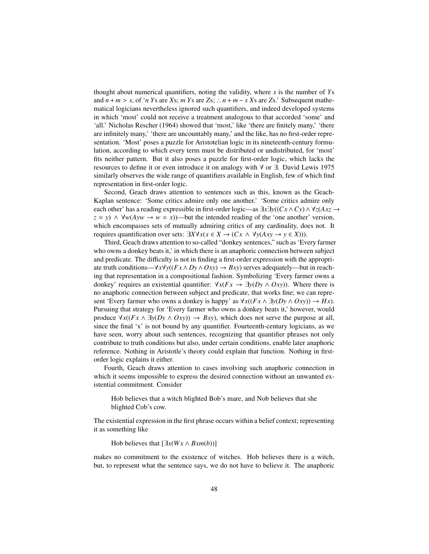thought about numerical quantifiers, noting the validity, where *s* is the number of *Y*s and  $n + m > s$ , of '*n Ys* are *Xs*; *m Ys* are *Zs*; ∴  $n + m - s$  *Xs* are *Zs*.' Subsequent mathematical logicians nevertheless ignored such quantifiers, and indeed developed systems in which 'most' could not receive a treatment analogous to that accorded 'some' and 'all.' Nicholas Rescher (1964) showed that 'most,' like 'there are finitely many,' 'there are infinitely many,' 'there are uncountably many,' and the like, has no first-order representation. 'Most' poses a puzzle for Aristotelian logic in its nineteenth-century formulation, according to which every term must be distributed or undistributed, for 'most' fits neither pattern. But it also poses a puzzle for first-order logic, which lacks the resources to define it or even introduce it on analogy with ∀ or ∃. David Lewis 1975 similarly observes the wide range of quantifiers available in English, few of which find representation in first-order logic.

Second, Geach draws attention to sentences such as this, known as the Geach-Kaplan sentence: 'Some critics admire only one another.' 'Some critics admire only each other' has a reading expressible in first-order logic—as ∃*x*∃*y*((*Cx* ∧*Cy*) ∧ ∀*z*(*Axz* →  $z = y$ )  $\land$   $\forall w(Ayw \rightarrow w = x)$ )—but the intended reading of the 'one another' version, which encompasses sets of mutually admiring critics of any cardinality, does not. It requires quantification over sets:  $\exists X \forall x (x \in X \rightarrow (Cx \land \forall y (Axy \rightarrow y \in X))).$ 

Third, Geach draws attention to so-called "donkey sentences," such as 'Every farmer who owns a donkey beats it,' in which there is an anaphoric connection between subject and predicate. The difficulty is not in finding a first-order expression with the appropriate truth conditions— $\forall x \forall y ((Fx \land Dy \land Oxy) \rightarrow Bxy)$  serves adequately—but in reaching that representation in a compositional fashion. Symbolizing 'Every farmer owns a donkey' requires an existential quantifier:  $\forall x(Fx \rightarrow \exists y(Dy \land Oxy))$ . Where there is no anaphoric connection between subject and predicate, that works fine; we can represent 'Every farmer who owns a donkey is happy' as  $\forall x((Fx \land \exists y(Dy \land Oxy)) \rightarrow Hx)$ . Pursuing that strategy for 'Every farmer who owns a donkey beats it,' however, would produce  $\forall x((Fx \land \exists y(Dy \land Oxy)) \rightarrow Bxy)$ , which does not serve the purpose at all, since the final 'x' is not bound by any quantifier. Fourteenth-century logicians, as we have seen, worry about such sentences, recognizing that quantifier phrases not only contribute to truth conditions but also, under certain conditions, enable later anaphoric reference. Nothing in Aristotle's theory could explain that function. Nothing in firstorder logic explains it either.

Fourth, Geach draws attention to cases involving such anaphoric connection in which it seems impossible to express the desired connection without an unwanted existential commitment. Consider

Hob believes that a witch blighted Bob's mare, and Nob believes that she blighted Cob's cow.

The existential expression in the first phrase occurs within a belief context; representing it as something like

Hob believes that  $[\exists x(Wx \land Bxm(b))]$ 

makes no commitment to the existence of witches. Hob believes there is a witch, but, to represent what the sentence says, we do not have to believe it. The anaphoric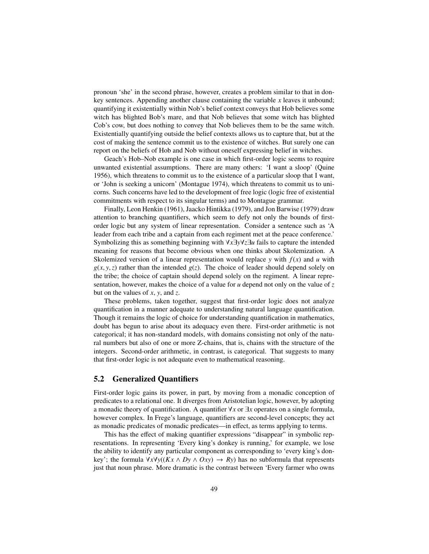pronoun 'she' in the second phrase, however, creates a problem similar to that in donkey sentences. Appending another clause containing the variable  $x$  leaves it unbound; quantifying it existentially within Nob's belief context conveys that Hob believes some witch has blighted Bob's mare, and that Nob believes that some witch has blighted Cob's cow, but does nothing to convey that Nob believes them to be the same witch. Existentially quantifying outside the belief contexts allows us to capture that, but at the cost of making the sentence commit us to the existence of witches. But surely one can report on the beliefs of Hob and Nob without oneself expressing belief in witches.

Geach's Hob–Nob example is one case in which first-order logic seems to require unwanted existential assumptions. There are many others: 'I want a sloop' (Quine 1956), which threatens to commit us to the existence of a particular sloop that I want, or 'John is seeking a unicorn' (Montague 1974), which threatens to commit us to unicorns. Such concerns have led to the development of free logic (logic free of existential commitments with respect to its singular terms) and to Montague grammar.

Finally, Leon Henkin (1961), Jaacko Hintikka (1979), and Jon Barwise (1979) draw attention to branching quantifiers, which seem to defy not only the bounds of firstorder logic but any system of linear representation. Consider a sentence such as 'A leader from each tribe and a captain from each regiment met at the peace conference.' Symbolizing this as something beginning with ∀*x*∃*y*∀*z*∃*u* fails to capture the intended meaning for reasons that become obvious when one thinks about Skolemization. A Skolemized version of a linear representation would replace *y* with  $f(x)$  and *u* with  $g(x, y, z)$  rather than the intended  $g(z)$ . The choice of leader should depend solely on the tribe; the choice of captain should depend solely on the regiment. A linear representation, however, makes the choice of a value for *u* depend not only on the value of *z* but on the values of *x*, *y*, and *z*.

These problems, taken together, suggest that first-order logic does not analyze quantification in a manner adequate to understanding natural language quantification. Though it remains the logic of choice for understanding quantification in mathematics, doubt has begun to arise about its adequacy even there. First-order arithmetic is not categorical; it has non-standard models, with domains consisting not only of the natural numbers but also of one or more Z-chains, that is, chains with the structure of the integers. Second-order arithmetic, in contrast, is categorical. That suggests to many that first-order logic is not adequate even to mathematical reasoning.

# 5.2 Generalized Quantifiers

First-order logic gains its power, in part, by moving from a monadic conception of predicates to a relational one. It diverges from Aristotelian logic, however, by adopting a monadic theory of quantification. A quantifier ∀*x* or ∃*x* operates on a single formula, however complex. In Frege's language, quantifiers are second-level concepts; they act as monadic predicates of monadic predicates—in effect, as terms applying to terms.

This has the effect of making quantifier expressions "disappear" in symbolic representations. In representing 'Every king's donkey is running,' for example, we lose the ability to identify any particular component as corresponding to 'every king's donkey'; the formula  $\forall x \forall y ((Kx \land Dy \land Oxy) \rightarrow Ry)$  has no subformula that represents just that noun phrase. More dramatic is the contrast between 'Every farmer who owns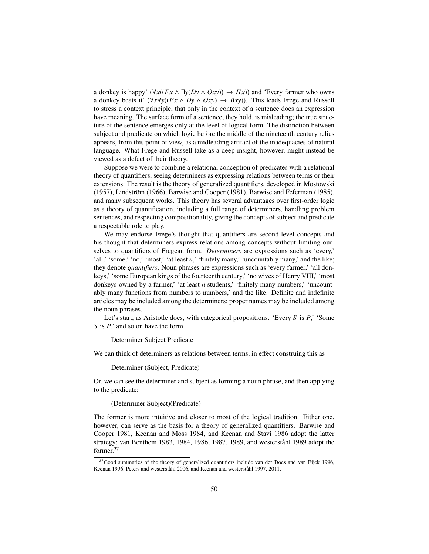a donkey is happy'  $(\forall x((Fx \land \exists y(Dy \land Oxy)) \rightarrow Hx))$  and 'Every farmer who owns a donkey beats it'  $(\forall x \forall y((Fx \land Dy \land Oxy) \rightarrow Bxy))$ . This leads Frege and Russell to stress a context principle, that only in the context of a sentence does an expression have meaning. The surface form of a sentence, they hold, is misleading; the true structure of the sentence emerges only at the level of logical form. The distinction between subject and predicate on which logic before the middle of the nineteenth century relies appears, from this point of view, as a midleading artifact of the inadequacies of natural language. What Frege and Russell take as a deep insight, however, might instead be viewed as a defect of their theory.

Suppose we were to combine a relational conception of predicates with a relational theory of quantifiers, seeing determiners as expressing relations between terms or their extensions. The result is the theory of generalized quantifiers, developed in Mostowski (1957), Lindström (1966), Barwise and Cooper (1981), Barwise and Feferman (1985), and many subsequent works. This theory has several advantages over first-order logic as a theory of quantification, including a full range of determiners, handling problem sentences, and respecting compositionality, giving the concepts of subject and predicate a respectable role to play.

We may endorse Frege's thought that quantifiers are second-level concepts and his thought that determiners express relations among concepts without limiting ourselves to quantifiers of Fregean form. *Determiners* are expressions such as 'every,' 'all,' 'some,' 'no,' 'most,' 'at least *n*,' 'finitely many,' 'uncountably many,' and the like; they denote *quantifiers*. Noun phrases are expressions such as 'every farmer,' 'all donkeys,' 'some European kings of the fourteenth century,' 'no wives of Henry VIII,' 'most donkeys owned by a farmer,' 'at least *n* students,' 'finitely many numbers,' 'uncountably many functions from numbers to numbers,' and the like. Definite and indefinite articles may be included among the determiners; proper names may be included among the noun phrases.

Let's start, as Aristotle does, with categorical propositions. 'Every *S* is *P*,' 'Some *S* is *P*,' and so on have the form

Determiner Subject Predicate

We can think of determiners as relations between terms, in effect construing this as

Determiner (Subject, Predicate)

Or, we can see the determiner and subject as forming a noun phrase, and then applying to the predicate:

(Determiner Subject)(Predicate)

The former is more intuitive and closer to most of the logical tradition. Either one, however, can serve as the basis for a theory of generalized quantifiers. Barwise and Cooper 1981, Keenan and Moss 1984, and Keenan and Stavi 1986 adopt the latter strategy; van Benthem 1983, 1984, 1986, 1987, 1989, and westerståhl 1989 adopt the former.<sup>37</sup>

 $37$ Good summaries of the theory of generalized quantifiers include van der Does and van Eijck 1996, Keenan 1996, Peters and westerståhl 2006, and Keenan and westerståhl 1997, 2011.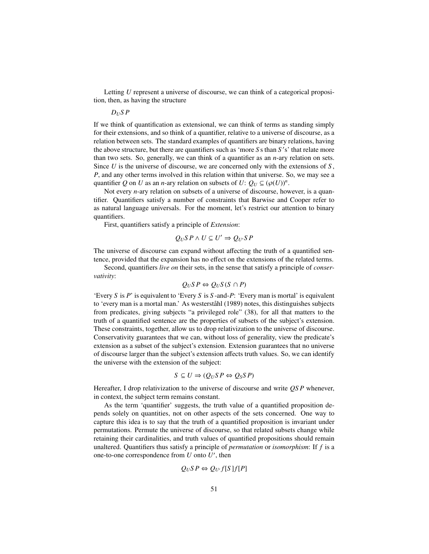Letting *U* represent a universe of discourse, we can think of a categorical proposition, then, as having the structure

 $D_U S P$ 

If we think of quantification as extensional, we can think of terms as standing simply for their extensions, and so think of a quantifier, relative to a universe of discourse, as a relation between sets. The standard examples of quantifiers are binary relations, having the above structure, but there are quantifiers such as 'more  $S$  s than  $S$ 's' that relate more than two sets. So, generally, we can think of a quantifier as an *n*-ary relation on sets. Since *U* is the universe of discourse, we are concerned only with the extensions of *S* , *P*, and any other terms involved in this relation within that universe. So, we may see a quantifier *Q* on *U* as an *n*-ary relation on subsets of *U*:  $Q_U \subseteq (\wp(U))^n$ .<br>Not every *n*-ary relation on subsets of a universe of discourse how

Not every *n*-ary relation on subsets of a universe of discourse, however, is a quantifier. Quantifiers satisfy a number of constraints that Barwise and Cooper refer to as natural language universals. For the moment, let's restrict our attention to binary quantifiers.

First, quantifiers satisfy a principle of *Extension*:

$$
Q_U SP \wedge U \subseteq U' \Rightarrow Q_{U'} SP
$$

The universe of discourse can expand without affecting the truth of a quantified sentence, provided that the expansion has no effect on the extensions of the related terms.

Second, quantifiers *live on* their sets, in the sense that satisfy a principle of *conservativity*:

$$
Q_U S P \Leftrightarrow Q_U S (S \cap P)
$$

'Every *S* is *P*' is equivalent to 'Every *S* is *S* -and-*P*: 'Every man is mortal' is equivalent to 'every man is a mortal man.' As westerståhl (1989) notes, this distinguishes subjects from predicates, giving subjects "a privileged role" (38), for all that matters to the truth of a quantified sentence are the properties of subsets of the subject's extension. These constraints, together, allow us to drop relativization to the universe of discourse. Conservativity guarantees that we can, without loss of generality, view the predicate's extension as a subset of the subject's extension. Extension guarantees that no universe of discourse larger than the subject's extension affects truth values. So, we can identify the universe with the extension of the subject:

$$
S \subseteq U \Rightarrow (Q_U S P \Leftrightarrow Q_S S P)
$$

Hereafter, I drop relativization to the universe of discourse and write *QS P* whenever, in context, the subject term remains constant.

As the term 'quantifier' suggests, the truth value of a quantified proposition depends solely on quantities, not on other aspects of the sets concerned. One way to capture this idea is to say that the truth of a quantified proposition is invariant under permutations. Permute the universe of discourse, so that related subsets change while retaining their cardinalities, and truth values of quantified propositions should remain unaltered. Quantifiers thus satisfy a principle of *permutation* or *isomorphism*: If *f* is a one-to-one correspondence from  $U$  onto  $U'$ , then

$$
Q_U SP \Leftrightarrow Q_{U'} f[S] f[P]
$$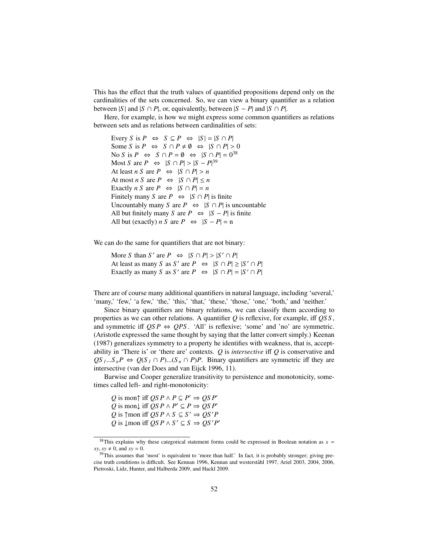This has the effect that the truth values of quantified propositions depend only on the cardinalities of the sets concerned. So, we can view a binary quantifier as a relation between |*S* | and |*S* ∩ *P*|, or, equivalently, between  $|S - P|$  and  $|S \cap P|$ .

Here, for example, is how we might express some common quantifiers as relations between sets and as relations between cardinalities of sets:

Every *S* is  $P \Leftrightarrow S \subseteq P \Leftrightarrow |S| = |S \cap P|$ Some *S* is  $P \Leftrightarrow S \cap P \neq \emptyset \Leftrightarrow |S \cap P| > 0$ No *S* is  $P \Leftrightarrow S \cap P = \emptyset \Leftrightarrow |S \cap P| = 0^{38}$ Most *S* are  $P \Leftrightarrow |S \cap P| > |S - P|^{39}$ <br>At least *n S* are  $P \Leftrightarrow |S \cap P| > n$ At least *n* S are  $P \Leftrightarrow |S \cap P| > n$ At most *n S* are  $P \Leftrightarrow |S \cap P| \le n$ Exactly *n S* are  $P \Leftrightarrow |S \cap P| = n$ Finitely many *S* are  $P \Leftrightarrow |S \cap P|$  is finite Uncountably many *S* are *P* ⇔ |*S* ∩ *P*| is uncountable All but finitely many *S* are  $P \Leftrightarrow |S - P|$  is finite All but (exactly) *n S* are  $P \Leftrightarrow |S - P| = n$ 

We can do the same for quantifiers that are not binary:

More *S* than *S'* are  $P \Leftrightarrow |S \cap P| > |S' \cap P|$ <br>At least as many *S* as *S'* are  $P \Leftrightarrow |S \cap P|$ At least as many *S* as *S'* are  $P \Leftrightarrow |S \cap P| \ge |S' \cap P|$ Exactly as many *S* as *S*' are  $P \Leftrightarrow |S \cap P| = |S' \cap P|$ 

There are of course many additional quantifiers in natural language, including 'several,' 'many,' 'few,' 'a few,' 'the,' 'this,' 'that,' 'these,' 'those,' 'one,' 'both,' and 'neither.'

Since binary quantifiers are binary relations, we can classify them according to properties as we can other relations. A quantifier *Q* is reflexive, for example, iff *QS S* , and symmetric iff  $\overline{OSP} \Leftrightarrow \overline{OPS}$ . 'All' is reflexive; 'some' and 'no' are symmetric. (Aristotle expressed the same thought by saying that the latter convert simply.) Keenan (1987) generalizes symmetry to a property he identifies with weakness, that is, acceptability in 'There is' or 'there are' contexts. *Q* is *intersective* iff *Q* is conservative and  $QS<sub>1</sub>...S<sub>n</sub>P \Leftrightarrow Q(S<sub>1</sub> \cap P)...(S<sub>n</sub> \cap P)P$ . Binary quantifiers are symmetric iff they are intersective (van der Does and van Eijck 1996, 11).

Barwise and Cooper generalize transitivity to persistence and monotonicity, sometimes called left- and right-monotonicity:

 $Q$  is mon $\uparrow$  iff  $QS P \land P \subseteq P' \Rightarrow QS P'$  $Q$  is mon $\downarrow$  iff  $QS P \land P' \subseteq P \Rightarrow QS P'$  $Q$  is  $\uparrow$  mon iff  $QS P \wedge S \subseteq S' \Rightarrow QS'P$  $Q$  is  $\downarrow$  mon iff  $QS P \wedge S' \subseteq S \Rightarrow QS'P'$ 

<sup>&</sup>lt;sup>38</sup>This explains why these categorical statement forms could be expressed in Boolean notation as  $x =$  $xy, xy \neq 0$ , and  $xy = 0$ .

<sup>&</sup>lt;sup>39</sup>This assumes that 'most' is equivalent to 'more than half.' In fact, it is probably stronger; giving precise truth conditions is difficult. See Kennan 1996, Kennan and westerståhl 1997, Ariel 2003, 2004, 2006, Pietroski, Lidz, Hunter, and Halberda 2009, and Hackl 2009.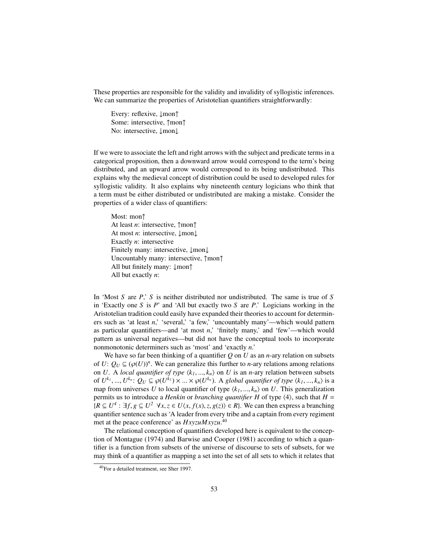These properties are responsible for the validity and invalidity of syllogistic inferences. We can summarize the properties of Aristotelian quantifiers straightforwardly:

Every: reflexive, ↓mon↑ Some: intersective, ↑mon↑ No: intersective,  $\downarrow$ mon $\downarrow$ 

If we were to associate the left and right arrows with the subject and predicate terms in a categorical proposition, then a downward arrow would correspond to the term's being distributed, and an upward arrow would correspond to its being undistributed. This explains why the medieval concept of distribution could be used to developed rules for syllogistic validity. It also explains why nineteenth century logicians who think that a term must be either distributed or undistributed are making a mistake. Consider the properties of a wider class of quantifiers:

Most: mon↑ At least *n*: intersective, ↑mon↑ At most *n*: intersective, ↓mon↓ Exactly *n*: intersective Finitely many: intersective, ↓mon↓ Uncountably many: intersective, ↑mon↑ All but finitely many: ↓mon↑ All but exactly *n*:

In 'Most *S* are *P*,' *S* is neither distributed nor undistributed. The same is true of *S* in 'Exactly one *S* is *P*' and 'All but exactly two *S* are *P*.' Logicians working in the Aristotelian tradition could easily have expanded their theories to account for determiners such as 'at least *n*,' 'several,' 'a few,' 'uncountably many'—which would pattern as particular quantifiers—and 'at most *n*,' 'finitely many,' and 'few'—which would pattern as universal negatives—but did not have the conceptual tools to incorporate nonmonotonic determiners such as 'most' and 'exactly *n*.'

We have so far been thinking of a quantifier *Q* on *U* as an *n*-ary relation on subsets of *U*:  $Q_U \subseteq (\wp(U))^n$ . We can generalize this further to *n*-ary relations among relations on *U* A local quantifier of type  $(k, k)$  on *U* is an *n*-ary relation between subsets on *U*. A *local quantifier of type*  $\langle k_1, ..., k_n \rangle$  on *U* is an *n*-ary relation between subsets of  $U^{k_1},..., U^{k_n}$ :  $Q_U \subseteq \wp(U^{k_1}) \times ... \times \wp(U^{k_n})$ . A global quantifier of type  $\langle k_1,...,k_n \rangle$  is a map from universes *U* to local quantifier of type  $\langle k_1, ..., k_n \rangle$  is a map from universes *U* to local quantifier of type  $\langle k_1$ map from universes *U* to local quantifier of type  $\langle k_1, ..., k_n \rangle$  on *U*. This generalization permits us to introduce a *Henkin* or *branching quantifier H* of type  $\langle 4 \rangle$ , such that *H* =  ${R \subseteq U^4 : \exists f, g \subseteq U^2 \ \forall x, z \in U \langle x, f(x), z, g(z) \rangle \in R}$ . We can then express a branching quantifier sentence such as 'A leader from every tribe and a cantain from every regiment quantifier sentence such as 'A leader from every tribe and a captain from every regiment met at the peace conference' as *HxyzuMxyzu*. 40

The relational conception of quantifiers developed here is equivalent to the conception of Montague (1974) and Barwise and Cooper (1981) according to which a quantifier is a function from subsets of the universe of discourse to sets of subsets, for we may think of a quantifier as mapping a set into the set of all sets to which it relates that

<sup>40</sup>For a detailed treatment, see Sher 1997.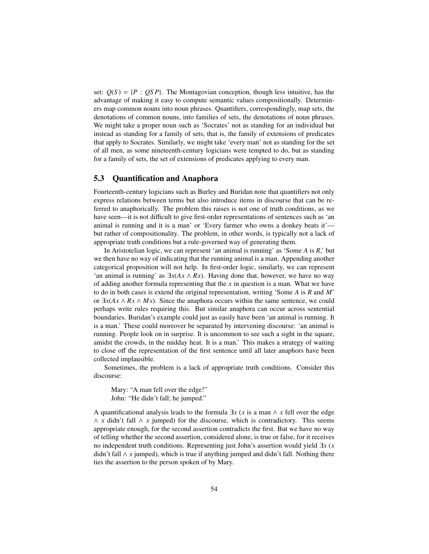set:  $Q(S) = {P : QSP}$ . The Montagovian conception, though less intuitive, has the advantage of making it easy to compute semantic values compositionally. Determiners map common nouns into noun phrases. Quantifiers, correspondingly, map sets, the denotations of common nouns, into families of sets, the denotations of noun phrases. We might take a proper noun such as 'Socrates' not as standing for an individual but instead as standing for a family of sets, that is, the family of extensions of predicates that apply to Socrates. Similarly, we might take 'every man' not as standing for the set of all men, as some nineteenth-century logicians were tempted to do, but as standing for a family of sets, the set of extensions of predicates applying to every man.

#### 5.3 Quantification and Anaphora

Fourteenth-century logicians such as Burley and Buridan note that quantifiers not only express relations between terms but also introduce items in discourse that can be referred to anaphorically. The problem this raises is not one of truth conditions, as we have seen—it is not difficult to give first-order representations of sentences such as 'an animal is running and it is a man' or 'Every farmer who owns a donkey beats it' but rather of compositionality. The problem, in other words, is typically not a lack of appropriate truth conditions but a rule-governed way of generating them.

In Aristotelian logic, we can represent 'an animal is running' as 'Some *A* is *R*,' but we then have no way of indicating that the running animal is a man. Appending another categorical proposition will not help. In first-order logic, similarly, we can represent 'an animal is running' as  $\exists x(Ax \land Rx)$ . Having done that, however, we have no way of adding another formula representing that the *x* in question is a man. What we have to do in both cases is extend the original representation, writing 'Some *A* is *R* and *M*' or  $\exists x(Ax \land Rx \land Mx)$ . Since the anaphora occurs within the same sentence, we could perhaps write rules requiring this. But similar anaphora can occur across sentential boundaries. Buridan's example could just as easily have been 'an animal is running. It is a man.' These could moreover be separated by intervening discourse: 'an animal is running. People look on in surprise. It is uncommon to see such a sight in the square, amidst the crowds, in the midday heat. It is a man.' This makes a strategy of waiting to close off the representation of the first sentence until all later anaphors have been collected implausible.

Sometimes, the problem is a lack of appropriate truth conditions. Consider this discourse:

Mary: "A man fell over the edge!" John: "He didn't fall; he jumped."

A quantificational analysis leads to the formula ∃*x* (*x* is a man ∧ *x* fell over the edge ∧ *x* didn't fall ∧ *x* jumped) for the discourse, which is contradictory. This seems appropriate enough, for the second assertion contradicts the first. But we have no way of telling whether the second assertion, considered alone, is true or false, for it receives no independent truth conditions. Representing just John's assertion would yield ∃*x* (*x* didn't fall ∧ *x* jumped), which is true if anything jumped and didn't fall. Nothing there ties the assertion to the person spoken of by Mary.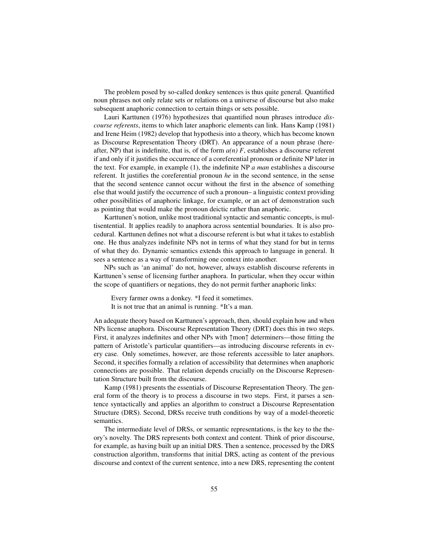The problem posed by so-called donkey sentences is thus quite general. Quantified noun phrases not only relate sets or relations on a universe of discourse but also make subsequent anaphoric connection to certain things or sets possible.

Lauri Karttunen (1976) hypothesizes that quantified noun phrases introduce *discourse referents*, items to which later anaphoric elements can link. Hans Kamp (1981) and Irene Heim (1982) develop that hypothesis into a theory, which has become known as Discourse Representation Theory (DRT). An appearance of a noun phrase (hereafter, NP) that is indefinite, that is, of the form  $a(n)$  F, establishes a discourse referent if and only if it justifies the occurrence of a coreferential pronoun or definite NP later in the text. For example, in example (1), the indefinite NP *a man* establishes a discourse referent. It justifies the coreferential pronoun *he* in the second sentence, in the sense that the second sentence cannot occur without the first in the absence of something else that would justify the occurrence of such a pronoun– a linguistic context providing other possibilities of anaphoric linkage, for example, or an act of demonstration such as pointing that would make the pronoun deictic rather than anaphoric.

Karttunen's notion, unlike most traditional syntactic and semantic concepts, is multisentential. It applies readily to anaphora across sentential boundaries. It is also procedural. Karttunen defines not what a discourse referent is but what it takes to establish one. He thus analyzes indefinite NPs not in terms of what they stand for but in terms of what they do. Dynamic semantics extends this approach to language in general. It sees a sentence as a way of transforming one context into another.

NPs such as 'an animal' do not, however, always establish discourse referents in Karttunen's sense of licensing further anaphora. In particular, when they occur within the scope of quantifiers or negations, they do not permit further anaphoric links:

Every farmer owns a donkey. \*I feed it sometimes. It is not true that an animal is running. \*It's a man.

An adequate theory based on Karttunen's approach, then, should explain how and when NPs license anaphora. Discourse Representation Theory (DRT) does this in two steps. First, it analyzes indefinites and other NPs with ↑mon↑ determiners—those fitting the pattern of Aristotle's particular quantifiers—as introducing discourse referents in every case. Only sometimes, however, are those referents accessible to later anaphors. Second, it specifies formally a relation of accessibility that determines when anaphoric connections are possible. That relation depends crucially on the Discourse Representation Structure built from the discourse.

Kamp (1981) presents the essentials of Discourse Representation Theory. The general form of the theory is to process a discourse in two steps. First, it parses a sentence syntactically and applies an algorithm to construct a Discourse Representation Structure (DRS). Second, DRSs receive truth conditions by way of a model-theoretic semantics.

The intermediate level of DRSs, or semantic representations, is the key to the theory's novelty. The DRS represents both context and content. Think of prior discourse, for example, as having built up an initial DRS. Then a sentence, processed by the DRS construction algorithm, transforms that initial DRS, acting as content of the previous discourse and context of the current sentence, into a new DRS, representing the content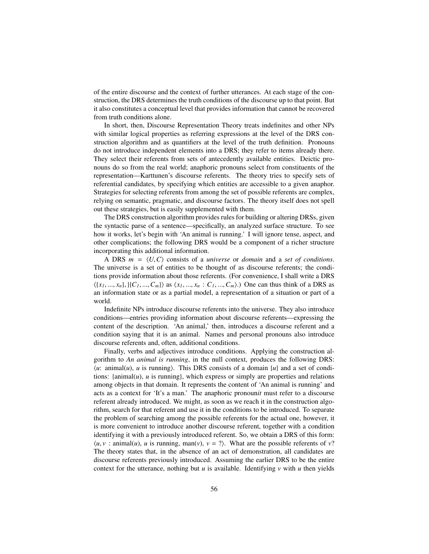of the entire discourse and the context of further utterances. At each stage of the construction, the DRS determines the truth conditions of the discourse up to that point. But it also constitutes a conceptual level that provides information that cannot be recovered from truth conditions alone.

In short, then, Discourse Representation Theory treats indefinites and other NPs with similar logical properties as referring expressions at the level of the DRS construction algorithm and as quantifiers at the level of the truth definition. Pronouns do not introduce independent elements into a DRS; they refer to items already there. They select their referents from sets of antecedently available entities. Deictic pronouns do so from the real world; anaphoric pronouns select from constituents of the representation—Karttunen's discourse referents. The theory tries to specify sets of referential candidates, by specifying which entities are accessible to a given anaphor. Strategies for selecting referents from among the set of possible referents are complex, relying on semantic, pragmatic, and discourse factors. The theory itself does not spell out these strategies, but is easily supplemented with them.

The DRS construction algorithm provides rules for building or altering DRSs, given the syntactic parse of a sentence—specifically, an analyzed surface structure. To see how it works, let's begin with 'An animal is running.' I will ignore tense, aspect, and other complications; the following DRS would be a component of a richer structure incorporating this additional information.

A DRS  $m = \langle U, C \rangle$  consists of a *universe* or *domain* and a *set of conditions*. The universe is a set of entities to be thought of as discourse referents; the conditions provide information about those referents. (For convenience, I shall write a DRS  $\langle \{x_1, ..., x_n\}, \{C_1, ..., C_m\} \rangle$  as  $\langle x_1, ..., x_n : C_1, ..., C_m \rangle$ .) One can thus think of a DRS as an information state or as a partial model, a representation of a situation or part of a world.

Indefinite NPs introduce discourse referents into the universe. They also introduce conditions—entries providing information about discourse referents—expressing the content of the description. 'An animal,' then, introduces a discourse referent and a condition saying that it is an animal. Names and personal pronouns also introduce discourse referents and, often, additional conditions.

Finally, verbs and adjectives introduce conditions. Applying the construction algorithm to *An animal is running*, in the null context, produces the following DRS:  $\langle u: \text{ animal}(u), u \text{ is running} \rangle$ . This DRS consists of a domain  $\{u\}$  and a set of conditions: {animal(*u*), *u* is running}, which express or simply are properties and relations among objects in that domain. It represents the content of 'An animal is running' and acts as a context for 'It's a man.' The anaphoric pronoun*it* must refer to a discourse referent already introduced. We might, as soon as we reach it in the construction algorithm, search for that referent and use it in the conditions to be introduced. To separate the problem of searching among the possible referents for the actual one, however, it is more convenient to introduce another discourse referent, together with a condition identifying it with a previously introduced referent. So, we obtain a DRS of this form:  $\langle u, v : \text{animal}(u), u \text{ is running, man}(v), v = ? \rangle$ . What are the possible referents of *v*? The theory states that, in the absence of an act of demonstration, all candidates are discourse referents previously introduced. Assuming the earlier DRS to be the entire context for the utterance, nothing but  $u$  is available. Identifying  $v$  with  $u$  then yields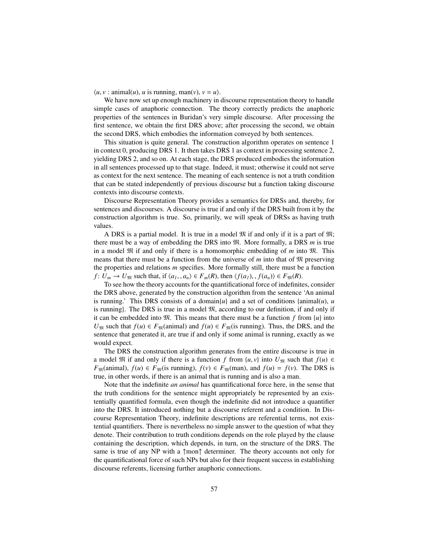$\langle u, v : \text{animal}(u), u \text{ is running, man}(v), v = u \rangle.$ 

We have now set up enough machinery in discourse representation theory to handle simple cases of anaphoric connection. The theory correctly predicts the anaphoric properties of the sentences in Buridan's very simple discourse. After processing the first sentence, we obtain the first DRS above; after processing the second, we obtain the second DRS, which embodies the information conveyed by both sentences.

This situation is quite general. The construction algorithm operates on sentence 1 in context 0, producing DRS 1. It then takes DRS 1 as context in processing sentence 2, yielding DRS 2, and so on. At each stage, the DRS produced embodies the information in all sentences processed up to that stage. Indeed, it must; otherwise it could not serve as context for the next sentence. The meaning of each sentence is not a truth condition that can be stated independently of previous discourse but a function taking discourse contexts into discourse contexts.

Discourse Representation Theory provides a semantics for DRSs and, thereby, for sentences and discourses. A discourse is true if and only if the DRS built from it by the construction algorithm is true. So, primarily, we will speak of DRSs as having truth values.

A DRS is a partial model. It is true in a model  $\mathfrak{M}$  if and only if it is a part of  $\mathfrak{M}$ ; there must be a way of embedding the DRS into M. More formally, a DRS *m* is true in a model M if and only if there is a homomorphic embedding of *m* into M. This means that there must be a function from the universe of *m* into that of  $\mathfrak{M}$  preserving the properties and relations *m* specifies. More formally still, there must be a function *f*:  $U_m \to U_{\mathfrak{M}}$  such that, if  $\langle a_1, a_n \rangle \in F_m(R)$ , then  $\langle f(a_1), f(a_n) \rangle \in F_{\mathfrak{M}}(R)$ .

To see how the theory accounts for the quantificational force of indefinites, consider the DRS above, generated by the construction algorithm from the sentence 'An animal is running.' This DRS consists of a domain $\{u\}$  and a set of conditions  $\{\text{animal}(u), u\}$ is running}. The DRS is true in a model  $\mathfrak{M}$ , according to our definition, if and only if it can be embedded into  $\mathfrak{M}$ . This means that there must be a function f from  $\{u\}$  into *U*<sub>M</sub> such that  $f(u) \in F_{\mathfrak{M}}(\text{animal})$  and  $f(u) \in F_{\mathfrak{M}}(\text{is running})$ . Thus, the DRS, and the sentence that generated it, are true if and only if some animal is running, exactly as we would expect.

The DRS the construction algorithm generates from the entire discourse is true in a model  $\mathfrak{M}$  if and only if there is a function *f* from  $\{u, v\}$  into  $U_{\mathfrak{M}}$  such that  $f(u) \in$ *F*<sub>M</sub>(animal),  $f(u) \in F_\mathfrak{M}$ (is running),  $f(v) \in F_\mathfrak{M}$ (man), and  $f(u) = f(v)$ . The DRS is true, in other words, if there is an animal that is running and is also a man.

Note that the indefinite *an animal* has quantificational force here, in the sense that the truth conditions for the sentence might appropriately be represented by an existentially quantified formula, even though the indefinite did not introduce a quantifier into the DRS. It introduced nothing but a discourse referent and a condition. In Discourse Representation Theory, indefinite descriptions are referential terms, not existential quantifiers. There is nevertheless no simple answer to the question of what they denote. Their contribution to truth conditions depends on the role played by the clause containing the description, which depends, in turn, on the structure of the DRS. The same is true of any NP with a ↑mon↑ determiner. The theory accounts not only for the quantificational force of such NPs but also for their frequent success in establishing discourse referents, licensing further anaphoric connections.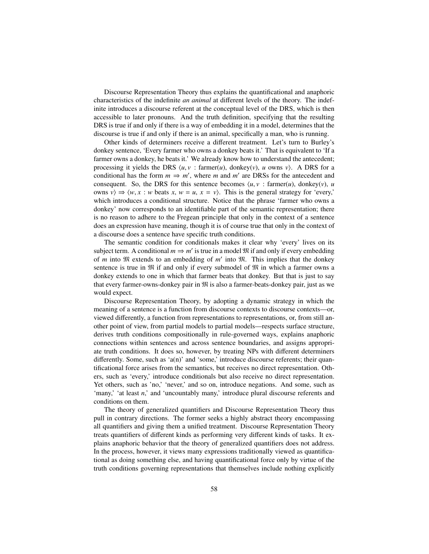Discourse Representation Theory thus explains the quantificational and anaphoric characteristics of the indefinite *an animal* at different levels of the theory. The indefinite introduces a discourse referent at the conceptual level of the DRS, which is then accessible to later pronouns. And the truth definition, specifying that the resulting DRS is true if and only if there is a way of embedding it in a model, determines that the discourse is true if and only if there is an animal, specifically a man, who is running.

Other kinds of determiners receive a different treatment. Let's turn to Burley's donkey sentence, 'Every farmer who owns a donkey beats it.' That is equivalent to 'If a farmer owns a donkey, he beats it.' We already know how to understand the antecedent; processing it yields the DRS  $\langle u, v \rangle$ : farmer(*u*), donkey(*v*), *u* owns *v*). A DRS for a conditional has the form  $m \Rightarrow m'$ , where *m* and  $m'$  are DRSs for the antecedent and consequent. So, the DRS for this sentence becomes  $\langle u, v \rangle$ : farmer $(u)$ , donkey $(v)$ , *u* owns  $v \geq v \land w, x : w$  beats  $x, w = u, x = v$ . This is the general strategy for 'every,' which introduces a conditional structure. Notice that the phrase 'farmer who owns a donkey' now corresponds to an identifiable part of the semantic representation; there is no reason to adhere to the Fregean principle that only in the context of a sentence does an expression have meaning, though it is of course true that only in the context of a discourse does a sentence have specific truth conditions.

The semantic condition for conditionals makes it clear why 'every' lives on its subject term. A conditional  $m \Rightarrow m'$  is true in a model  $\mathfrak{M}$  if and only if every embedding of  $m$  into  $M$  extends to an embedding of  $m'$  into  $M$ . This implies that the donkey sentence is true in  $\mathfrak{M}$  if and only if every submodel of  $\mathfrak{M}$  in which a farmer owns a donkey extends to one in which that farmer beats that donkey. But that is just to say that every farmer-owns-donkey pair in M is also a farmer-beats-donkey pair, just as we would expect.

Discourse Representation Theory, by adopting a dynamic strategy in which the meaning of a sentence is a function from discourse contexts to discourse contexts—or, viewed differently, a function from representations to representations, or, from still another point of view, from partial models to partial models—respects surface structure, derives truth conditions compositionally in rule-governed ways, explains anaphoric connections within sentences and across sentence boundaries, and assigns appropriate truth conditions. It does so, however, by treating NPs with different determiners differently. Some, such as  $(a(n))$  and 'some,' introduce discourse referents; their quantificational force arises from the semantics, but receives no direct representation. Others, such as 'every,' introduce conditionals but also receive no direct representation. Yet others, such as 'no,' 'never,' and so on, introduce negations. And some, such as 'many,' 'at least *n*,' and 'uncountably many,' introduce plural discourse referents and conditions on them.

The theory of generalized quantifiers and Discourse Representation Theory thus pull in contrary directions. The former seeks a highly abstract theory encompassing all quantifiers and giving them a unified treatment. Discourse Representation Theory treats quantifiers of different kinds as performing very different kinds of tasks. It explains anaphoric behavior that the theory of generalized quantifiers does not address. In the process, however, it views many expressions traditionally viewed as quantificational as doing something else, and having quantificational force only by virtue of the truth conditions governing representations that themselves include nothing explicitly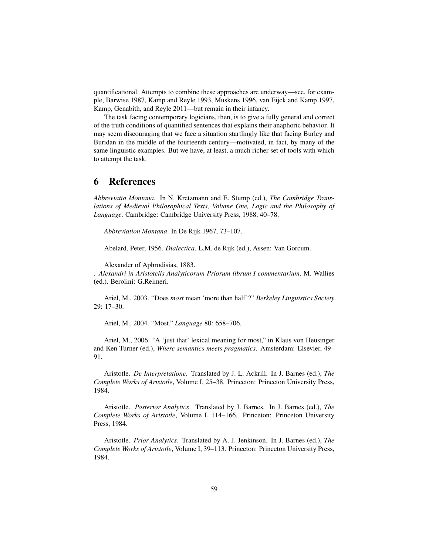quantificational. Attempts to combine these approaches are underway—see, for example, Barwise 1987, Kamp and Reyle 1993, Muskens 1996, van Eijck and Kamp 1997, Kamp, Genabith, and Reyle 2011—but remain in their infancy.

The task facing contemporary logicians, then, is to give a fully general and correct of the truth conditions of quantified sentences that explains their anaphoric behavior. It may seem discouraging that we face a situation startlingly like that facing Burley and Buridan in the middle of the fourteenth century—motivated, in fact, by many of the same linguistic examples. But we have, at least, a much richer set of tools with which to attempt the task.

# 6 References

*Abbreviatio Montana*. In N. Kretzmann and E. Stump (ed.), *The Cambridge Translations of Medieval Philosophical Texts, Volume One, Logic and the Philosophy of Language*. Cambridge: Cambridge University Press, 1988, 40–78.

*Abbreviation Montana*. In De Rijk 1967, 73–107.

Abelard, Peter, 1956. *Dialectica*. L.M. de Rijk (ed.), Assen: Van Gorcum.

Alexander of Aphrodisias, 1883.

. *Alexandri in Aristotelis Analyticorum Priorum librum I commentarium*, M. Wallies (ed.). Berolini: G.Reimeri.

Ariel, M., 2003. "Does *most* mean 'more than half'?" *Berkeley Linguistics Society* 29: 17–30.

Ariel, M., 2004. "Most," *Language* 80: 658–706.

Ariel, M., 2006. "A 'just that' lexical meaning for most," in Klaus von Heusinger and Ken Turner (ed.), *Where semantics meets pragmatics*. Amsterdam: Elsevier, 49– 91.

Aristotle. *De Interpretatione*. Translated by J. L. Ackrill. In J. Barnes (ed.), *The Complete Works of Aristotle*, Volume I, 25–38. Princeton: Princeton University Press, 1984.

Aristotle. *Posterior Analytics*. Translated by J. Barnes. In J. Barnes (ed.), *The Complete Works of Aristotle*, Volume I, 114–166. Princeton: Princeton University Press, 1984.

Aristotle. *Prior Analytics*. Translated by A. J. Jenkinson. In J. Barnes (ed.), *The Complete Works of Aristotle*, Volume I, 39–113. Princeton: Princeton University Press, 1984.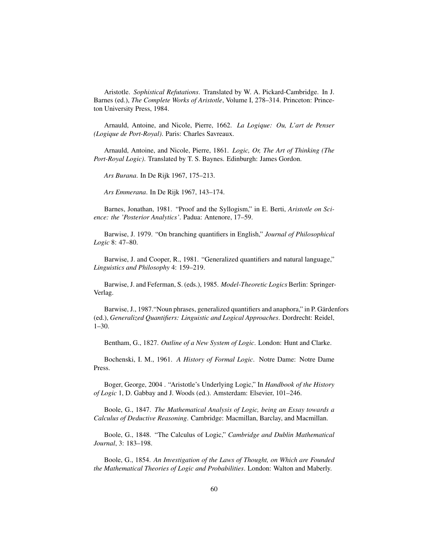Aristotle. *Sophistical Refutations*. Translated by W. A. Pickard-Cambridge. In J. Barnes (ed.), *The Complete Works of Aristotle*, Volume I, 278–314. Princeton: Princeton University Press, 1984.

Arnauld, Antoine, and Nicole, Pierre, 1662. *La Logique: Ou, L'art de Penser (Logique de Port-Royal)*. Paris: Charles Savreaux.

Arnauld, Antoine, and Nicole, Pierre, 1861. *Logic, Or, The Art of Thinking (The Port-Royal Logic)*. Translated by T. S. Baynes. Edinburgh: James Gordon.

*Ars Burana*. In De Rijk 1967, 175–213.

*Ars Emmerana*. In De Rijk 1967, 143–174.

Barnes, Jonathan, 1981. "Proof and the Syllogism," in E. Berti, *Aristotle on Science: the 'Posterior Analytics'*. Padua: Antenore, 17–59.

Barwise, J. 1979. "On branching quantifiers in English," *Journal of Philosophical Logic* 8: 47–80.

Barwise, J. and Cooper, R., 1981. "Generalized quantifiers and natural language," *Linguistics and Philosophy* 4: 159–219.

Barwise, J. and Feferman, S. (eds.), 1985. *Model-Theoretic Logics* Berlin: Springer-Verlag.

Barwise, J., 1987. "Noun phrases, generalized quantifiers and anaphora," in P. Gärdenfors (ed.), *Generalized Quantifiers: Linguistic and Logical Approaches*. Dordrecht: Reidel, 1–30.

Bentham, G., 1827. *Outline of a New System of Logic*. London: Hunt and Clarke.

Bochenski, I. M., 1961. *A History of Formal Logic*. Notre Dame: Notre Dame Press.

Boger, George, 2004 . "Aristotle's Underlying Logic," In *Handbook of the History of Logic* 1, D. Gabbay and J. Woods (ed.). Amsterdam: Elsevier, 101–246.

Boole, G., 1847. *The Mathematical Analysis of Logic, being an Essay towards a Calculus of Deductive Reasoning*. Cambridge: Macmillan, Barclay, and Macmillan.

Boole, G., 1848. "The Calculus of Logic," *Cambridge and Dublin Mathematical Journal*, 3: 183–198.

Boole, G., 1854. *An Investigation of the Laws of Thought, on Which are Founded the Mathematical Theories of Logic and Probabilities*. London: Walton and Maberly.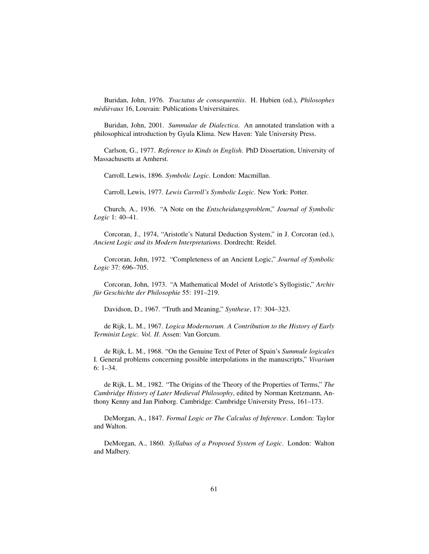Buridan, John, 1976. *Tractatus de consequentiis*. H. Hubien (ed.), *Philosophes mèdièvaux* 16, Louvain: Publications Universitaires.

Buridan, John, 2001. *Summulae de Dialectica*. An annotated translation with a philosophical introduction by Gyula Klima. New Haven: Yale University Press.

Carlson, G., 1977. *Reference to Kinds in English*. PhD Dissertation, University of Massachusetts at Amherst.

Carroll, Lewis, 1896. *Symbolic Logic*. London: Macmillan.

Carroll, Lewis, 1977. *Lewis Carroll's Symbolic Logic*. New York: Potter.

Church, A., 1936. "A Note on the *Entscheidungsproblem*," *Journal of Symbolic Logic* 1: 40–41.

Corcoran, J., 1974, "Aristotle's Natural Deduction System," in J. Corcoran (ed.), *Ancient Logic and its Modern Interpretations*. Dordrecht: Reidel.

Corcoran, John, 1972. "Completeness of an Ancient Logic," *Journal of Symbolic Logic* 37: 696–705.

Corcoran, John, 1973. "A Mathematical Model of Aristotle's Syllogistic," *Archiv f ¨ur Geschichte der Philosophie* 55: 191–219.

Davidson, D., 1967. "Truth and Meaning," *Synthese*, 17: 304–323.

de Rijk, L. M., 1967. *Logica Modernorum. A Contribution to the History of Early Terminist Logic. Vol. II*. Assen: Van Gorcum.

de Rijk, L. M., 1968. "On the Genuine Text of Peter of Spain's *Summule logicales* I. General problems concerning possible interpolations in the manuscripts," *Vivarium* 6: 1–34.

de Rijk, L. M., 1982. "The Origins of the Theory of the Properties of Terms," *The Cambridge History of Later Medieval Philosophy*, edited by Norman Kretzmann, Anthony Kenny and Jan Pinborg. Cambridge: Cambridge University Press, 161–173.

DeMorgan, A., 1847. *Formal Logic or The Calculus of Inference*. London: Taylor and Walton.

DeMorgan, A., 1860. *Syllabus of a Proposed System of Logic*. London: Walton and Malbery.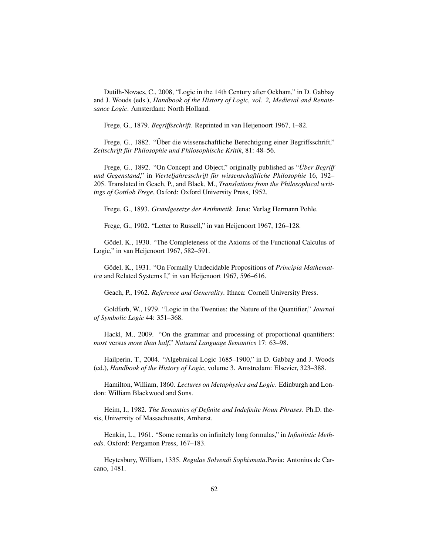Dutilh-Novaes, C., 2008, "Logic in the 14th Century after Ockham," in D. Gabbay and J. Woods (eds.), *Handbook of the History of Logic, vol. 2, Medieval and Renaissance Logic*. Amsterdam: North Holland.

Frege, G., 1879. *Begri*ff*sschrift*. Reprinted in van Heijenoort 1967, 1–82.

Frege, G., 1882. "Über die wissenschaftliche Berechtigung einer Begriffsschrift," Zeitschrift für Philosophie und Philosophische Kritik, 81: 48–56.

Frege, G., 1892. "On Concept and Object," originally published as "*Über Begriff und Gegenstand*," in *Vierteljahresschrift für wissenschaftliche Philosophie* 16, 192– 205. Translated in Geach, P., and Black, M., *Translations from the Philosophical writings of Gottlob Frege*, Oxford: Oxford University Press, 1952.

Frege, G., 1893. *Grundgesetze der Arithmetik*. Jena: Verlag Hermann Pohle.

Frege, G., 1902. "Letter to Russell," in van Heijenoort 1967, 126–128.

Gödel, K., 1930. "The Completeness of the Axioms of the Functional Calculus of Logic," in van Heijenoort 1967, 582–591.

Gödel, K., 1931. "On Formally Undecidable Propositions of *Principia Mathematica* and Related Systems I," in van Heijenoort 1967, 596–616.

Geach, P., 1962. *Reference and Generality*. Ithaca: Cornell University Press.

Goldfarb, W., 1979. "Logic in the Twenties: the Nature of the Quantifier," *Journal of Symbolic Logic* 44: 351–368.

Hackl, M., 2009. "On the grammar and processing of proportional quantifiers: *most* versus *more than half*," *Natural Language Semantics* 17: 63–98.

Hailperin, T., 2004. "Algebraical Logic 1685–1900," in D. Gabbay and J. Woods (ed.), *Handbook of the History of Logic*, volume 3. Amstredam: Elsevier, 323–388.

Hamilton, William, 1860. *Lectures on Metaphysics and Logic*. Edinburgh and London: William Blackwood and Sons.

Heim, I., 1982. *The Semantics of Definite and Indefinite Noun Phrases*. Ph.D. thesis, University of Massachusetts, Amherst.

Henkin, L., 1961. "Some remarks on infinitely long formulas," in *Infinitistic Methods*. Oxford: Pergamon Press, 167–183.

Heytesbury, William, 1335. *Regulae Solvendi Sophismata*.Pavia: Antonius de Carcano, 1481.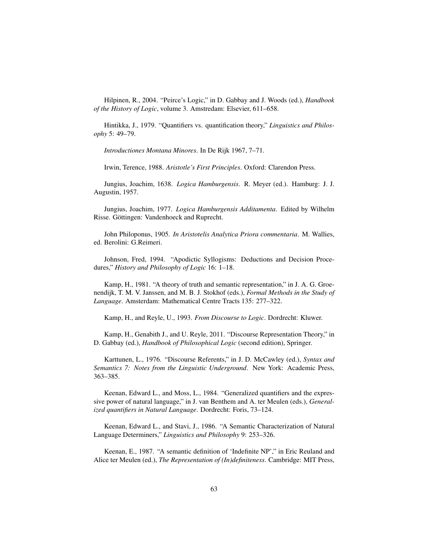Hilpinen, R., 2004. "Peirce's Logic," in D. Gabbay and J. Woods (ed.), *Handbook of the History of Logic*, volume 3. Amstredam: Elsevier, 611–658.

Hintikka, J., 1979. "Quantifiers vs. quantification theory," *Linguistics and Philosophy* 5: 49–79.

*Introductiones Montana Minores*. In De Rijk 1967, 7–71.

Irwin, Terence, 1988. *Aristotle's First Principles*. Oxford: Clarendon Press.

Jungius, Joachim, 1638. *Logica Hamburgensis*. R. Meyer (ed.). Hamburg: J. J. Augustin, 1957.

Jungius, Joachim, 1977. *Logica Hamburgensis Additamenta*. Edited by Wilhelm Risse. Göttingen: Vandenhoeck and Ruprecht.

John Philoponus, 1905. *In Aristotelis Analytica Priora commentaria*. M. Wallies, ed. Berolini: G.Reimeri.

Johnson, Fred, 1994. "Apodictic Syllogisms: Deductions and Decision Procedures," *History and Philosophy of Logic* 16: 1–18.

Kamp, H., 1981. "A theory of truth and semantic representation," in J. A. G. Groenendijk, T. M. V. Janssen, and M. B. J. Stokhof (eds.), *Formal Methods in the Study of Language*. Amsterdam: Mathematical Centre Tracts 135: 277–322.

Kamp, H., and Reyle, U., 1993. *From Discourse to Logic*. Dordrecht: Kluwer.

Kamp, H., Genabith J., and U. Reyle, 2011. "Discourse Representation Theory," in D. Gabbay (ed.), *Handbook of Philosophical Logic* (second edition), Springer.

Karttunen, L., 1976. "Discourse Referents," in J. D. McCawley (ed.), *Syntax and Semantics 7: Notes from the Linguistic Underground*. New York: Academic Press, 363–385.

Keenan, Edward L., and Moss, L., 1984. "Generalized quantifiers and the expressive power of natural language," in J. van Benthem and A. ter Meulen (eds.), *Generalized quantifiers in Natural Language*. Dordrecht: Foris, 73–124.

Keenan, Edward L., and Stavi, J., 1986. "A Semantic Characterization of Natural Language Determiners," *Linguistics and Philosophy* 9: 253–326.

Keenan, E., 1987. "A semantic definition of 'Indefinite NP'," in Eric Reuland and Alice ter Meulen (ed.), *The Representation of (In)definiteness*. Cambridge: MIT Press,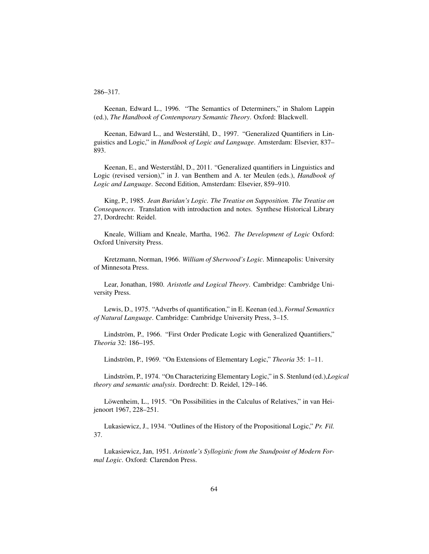#### 286–317.

Keenan, Edward L., 1996. "The Semantics of Determiners," in Shalom Lappin (ed.), *The Handbook of Contemporary Semantic Theory*. Oxford: Blackwell.

Keenan, Edward L., and Westerståhl, D., 1997. "Generalized Quantifiers in Linguistics and Logic," in *Handbook of Logic and Language*. Amsterdam: Elsevier, 837– 893.

Keenan, E., and Westerståhl, D., 2011. "Generalized quantifiers in Linguistics and Logic (revised version)," in J. van Benthem and A. ter Meulen (eds.), *Handbook of Logic and Language*. Second Edition, Amsterdam: Elsevier, 859–910.

King, P., 1985. *Jean Buridan's Logic. The Treatise on Supposition. The Treatise on Consequences*. Translation with introduction and notes. Synthese Historical Library 27, Dordrecht: Reidel.

Kneale, William and Kneale, Martha, 1962. *The Development of Logic* Oxford: Oxford University Press.

Kretzmann, Norman, 1966. *William of Sherwood's Logic*. Minneapolis: University of Minnesota Press.

Lear, Jonathan, 1980. *Aristotle and Logical Theory*. Cambridge: Cambridge University Press.

Lewis, D., 1975. "Adverbs of quantification," in E. Keenan (ed.), *Formal Semantics of Natural Language*. Cambridge: Cambridge University Press, 3–15.

Lindström, P., 1966. "First Order Predicate Logic with Generalized Quantifiers," *Theoria* 32: 186–195.

Lindström, P., 1969. "On Extensions of Elementary Logic," *Theoria* 35: 1–11.

Lindström, P., 1974. "On Characterizing Elementary Logic," in S. Stenlund (ed.), *Logical theory and semantic analysis*. Dordrecht: D. Reidel, 129–146.

Löwenheim, L., 1915. "On Possibilities in the Calculus of Relatives," in van Heijenoort 1967, 228–251.

Lukasiewicz, J., 1934. "Outlines of the History of the Propositional Logic," *Pr. Fil.* 37.

Lukasiewicz, Jan, 1951. *Aristotle's Syllogistic from the Standpoint of Modern Formal Logic*. Oxford: Clarendon Press.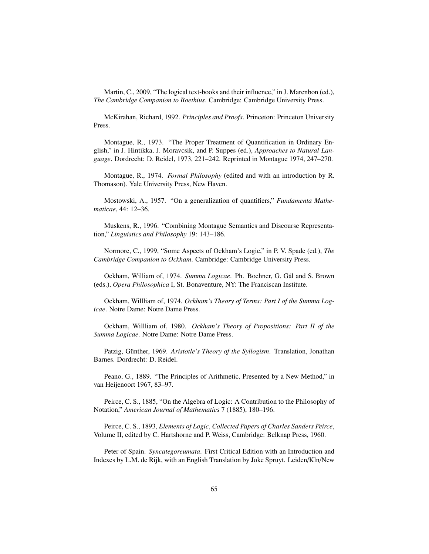Martin, C., 2009, "The logical text-books and their influence," in J. Marenbon (ed.), *The Cambridge Companion to Boethius*. Cambridge: Cambridge University Press.

McKirahan, Richard, 1992. *Principles and Proofs*. Princeton: Princeton University Press.

Montague, R., 1973. "The Proper Treatment of Quantification in Ordinary English," in J. Hintikka, J. Moravcsik, and P. Suppes (ed.), *Approaches to Natural Language*. Dordrecht: D. Reidel, 1973, 221–242. Reprinted in Montague 1974, 247–270.

Montague, R., 1974. *Formal Philosophy* (edited and with an introduction by R. Thomason). Yale University Press, New Haven.

Mostowski, A., 1957. "On a generalization of quantifiers," *Fundamenta Mathematicae*, 44: 12–36.

Muskens, R., 1996. "Combining Montague Semantics and Discourse Representation," *Linguistics and Philosophy* 19: 143–186.

Normore, C., 1999, "Some Aspects of Ockham's Logic," in P. V. Spade (ed.), *The Cambridge Companion to Ockham*. Cambridge: Cambridge University Press.

Ockham, William of, 1974. *Summa Logicae*. Ph. Boehner, G. Gal and S. Brown ´ (eds.), *Opera Philosophica* I, St. Bonaventure, NY: The Franciscan Institute.

Ockham, Willliam of, 1974. *Ockham's Theory of Terms: Part I of the Summa Logicae*. Notre Dame: Notre Dame Press.

Ockham, Willliam of, 1980. *Ockham's Theory of Propositions: Part II of the Summa Logicae*. Notre Dame: Notre Dame Press.

Patzig, Günther, 1969. Aristotle's Theory of the Syllogism. Translation, Jonathan Barnes. Dordrecht: D. Reidel.

Peano, G., 1889. "The Principles of Arithmetic, Presented by a New Method," in van Heijenoort 1967, 83–97.

Peirce, C. S., 1885, "On the Algebra of Logic: A Contribution to the Philosophy of Notation," *American Journal of Mathematics* 7 (1885), 180–196.

Peirce, C. S., 1893, *Elements of Logic*, *Collected Papers of Charles Sanders Peirce*, Volume II, edited by C. Hartshorne and P. Weiss, Cambridge: Belknap Press, 1960.

Peter of Spain. *Syncategoreumata*. First Critical Edition with an Introduction and Indexes by L.M. de Rijk, with an English Translation by Joke Spruyt. Leiden/Kln/New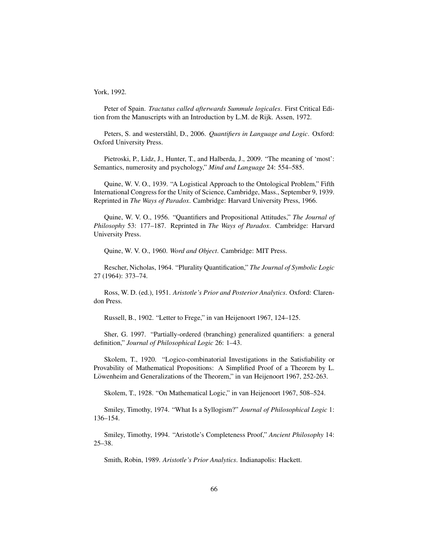York, 1992.

Peter of Spain. *Tractatus called afterwards Summule logicales*. First Critical Edition from the Manuscripts with an Introduction by L.M. de Rijk. Assen, 1972.

Peters, S. and westerståhl, D., 2006. *Quantifiers in Language and Logic*. Oxford: Oxford University Press.

Pietroski, P., Lidz, J., Hunter, T., and Halberda, J., 2009. "The meaning of 'most': Semantics, numerosity and psychology," *Mind and Language* 24: 554–585.

Quine, W. V. O., 1939. "A Logistical Approach to the Ontological Problem," Fifth International Congress for the Unity of Science, Cambridge, Mass., September 9, 1939. Reprinted in *The Ways of Paradox*. Cambridge: Harvard University Press, 1966.

Quine, W. V. O., 1956. "Quantifiers and Propositional Attitudes," *The Journal of Philosophy* 53: 177–187. Reprinted in *The Ways of Paradox*. Cambridge: Harvard University Press.

Quine, W. V. O., 1960. *Word and Object*. Cambridge: MIT Press.

Rescher, Nicholas, 1964. "Plurality Quantification," *The Journal of Symbolic Logic* 27 (1964): 373–74.

Ross, W. D. (ed.), 1951. *Aristotle's Prior and Posterior Analytics*. Oxford: Clarendon Press.

Russell, B., 1902. "Letter to Frege," in van Heijenoort 1967, 124–125.

Sher, G. 1997. "Partially-ordered (branching) generalized quantifiers: a general definition," *Journal of Philosophical Logic* 26: 1–43.

Skolem, T., 1920. "Logico-combinatorial Investigations in the Satisfiability or Provability of Mathematical Propositions: A Simplified Proof of a Theorem by L. Löwenheim and Generalizations of the Theorem," in van Heijenoort 1967, 252-263.

Skolem, T., 1928. "On Mathematical Logic," in van Heijenoort 1967, 508–524.

Smiley, Timothy, 1974. "What Is a Syllogism?" *Journal of Philosophical Logic* 1: 136–154.

Smiley, Timothy, 1994. "Aristotle's Completeness Proof," *Ancient Philosophy* 14: 25–38.

Smith, Robin, 1989. *Aristotle's Prior Analytics*. Indianapolis: Hackett.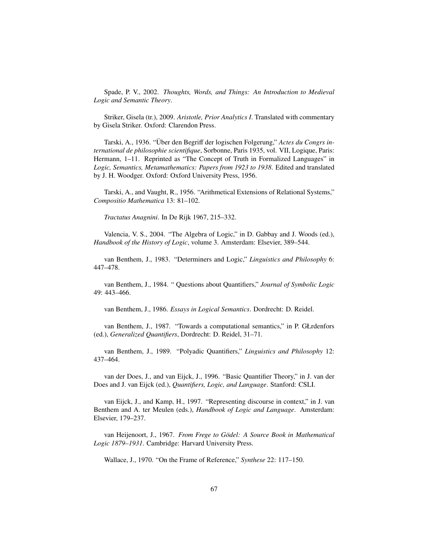Spade, P. V., 2002. *Thoughts, Words, and Things: An Introduction to Medieval Logic and Semantic Theory*.

Striker, Gisela (tr.), 2009. *Aristotle, Prior Analytics I*. Translated with commentary by Gisela Striker. Oxford: Clarendon Press.

Tarski, A., 1936. "Über den Begriff der logischen Folgerung," *Actes du Congrs international de philosophie scientifique*, Sorbonne, Paris 1935, vol. VII, Logique, Paris: Hermann, 1–11. Reprinted as "The Concept of Truth in Formalized Languages" in *Logic, Semantics, Metamathematics: Papers from 1923 to 1938*. Edited and translated by J. H. Woodger. Oxford: Oxford University Press, 1956.

Tarski, A., and Vaught, R., 1956. "Arithmetical Extensions of Relational Systems," *Compositio Mathematica* 13: 81–102.

*Tractatus Anagnini*. In De Rijk 1967, 215–332.

Valencia, V. S., 2004. "The Algebra of Logic," in D. Gabbay and J. Woods (ed.), *Handbook of the History of Logic*, volume 3. Amsterdam: Elsevier, 389–544.

van Benthem, J., 1983. "Determiners and Logic," *Linguistics and Philosophy* 6: 447–478.

van Benthem, J., 1984. " Questions about Quantifiers," *Journal of Symbolic Logic* 49: 443–466.

van Benthem, J., 1986. *Essays in Logical Semantics*. Dordrecht: D. Reidel.

van Benthem, J., 1987. "Towards a computational semantics," in P. GŁrdenfors (ed.), *Generalized Quantifiers*, Dordrecht: D. Reidel, 31–71.

van Benthem, J., 1989. "Polyadic Quantifiers," *Linguistics and Philosophy* 12: 437–464.

van der Does, J., and van Eijck, J., 1996. "Basic Quantifier Theory," in J. van der Does and J. van Eijck (ed.), *Quantifiers, Logic, and Language*. Stanford: CSLI.

van Eijck, J., and Kamp, H., 1997. "Representing discourse in context," in J. van Benthem and A. ter Meulen (eds.), *Handbook of Logic and Language*. Amsterdam: Elsevier, 179–237.

van Heijenoort, J., 1967. *From Frege to Gödel: A Source Book in Mathematical Logic 1879–1931*. Cambridge: Harvard University Press.

Wallace, J., 1970. "On the Frame of Reference," *Synthese* 22: 117–150.